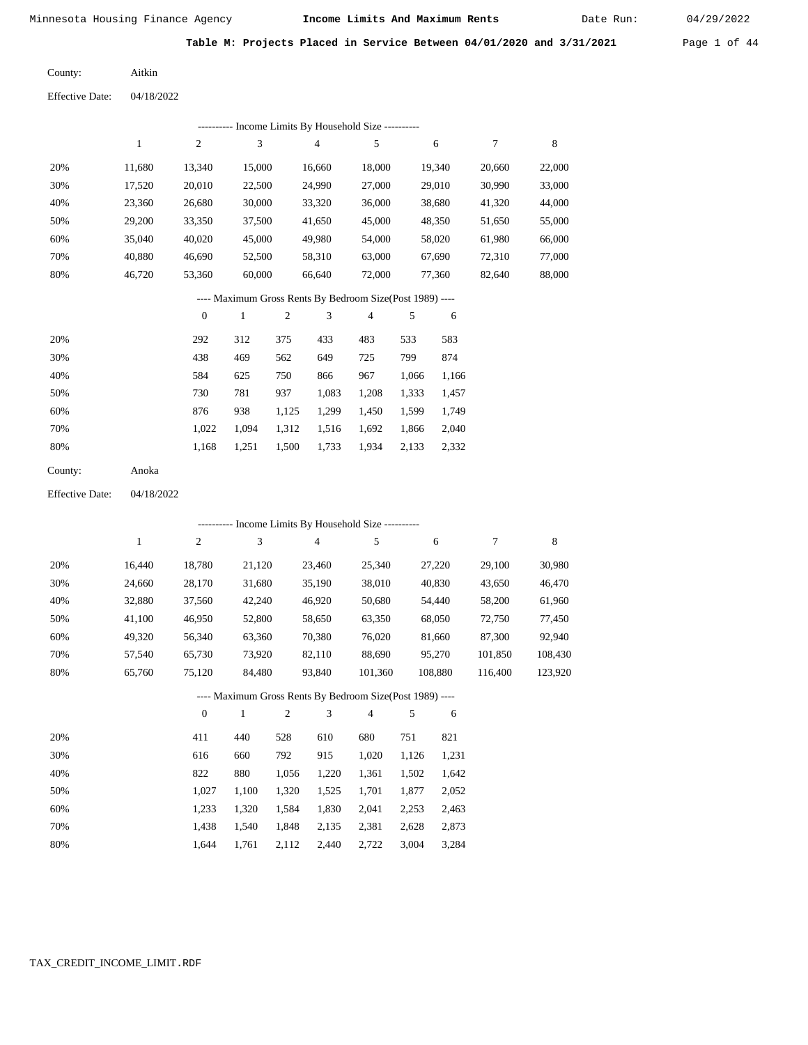Date Run:

**Table M: Projects Placed in Service Between 04/01/2020 and 3/31/2021** Page 1 of 44

| County: | Aitkin |
|---------|--------|
|---------|--------|

Effective Date: 04/18/2022

|                        |              |                  |                |                  | ---------- Income Limits By Household Size ----------    |                  |                |                  |                  |             |
|------------------------|--------------|------------------|----------------|------------------|----------------------------------------------------------|------------------|----------------|------------------|------------------|-------------|
|                        | $\mathbf{1}$ | $\sqrt{2}$       | 3              |                  | 4                                                        | 5                |                | 6                | $\tau$           | $\,8\,$     |
| 20%                    | 11,680       | 13,340           | 15,000         |                  | 16,660                                                   | 18,000           |                | 19,340           | 20,660           | 22,000      |
| 30%                    | 17,520       | 20,010           | 22,500         |                  | 24,990                                                   | 27,000           |                | 29,010           | 30,990           | 33,000      |
| 40%                    | 23,360       | 26,680           | 30,000         |                  | 33,320                                                   | 36,000           |                | 38,680           | 41,320           | 44,000      |
| 50%                    | 29,200       | 33,350           | 37,500         |                  | 41,650                                                   | 45,000           |                | 48,350           | 51,650           | 55,000      |
| 60%                    | 35,040       | 40,020           | 45,000         |                  | 49,980                                                   | 54,000           |                | 58,020           | 61,980           | 66,000      |
| 70%                    | 40,880       | 46,690           | 52,500         |                  | 58,310                                                   | 63,000           |                | 67,690           | 72,310           | 77,000      |
| 80%                    | 46,720       | 53,360           | 60,000         |                  | 66,640                                                   | 72,000           |                | 77,360           | 82,640           | 88,000      |
|                        |              |                  |                |                  | ---- Maximum Gross Rents By Bedroom Size(Post 1989) ---- |                  |                |                  |                  |             |
|                        |              | $\boldsymbol{0}$ | $\mathbf{1}$   | $\sqrt{2}$       | 3                                                        | $\overline{4}$   | 5              | 6                |                  |             |
| 20%                    |              | 292              | 312            | 375              | 433                                                      | 483              | 533            | 583              |                  |             |
| 30%                    |              | 438              | 469            | 562              | 649                                                      | 725              | 799            | 874              |                  |             |
| 40%                    |              | 584              | 625            | 750              | 866                                                      | 967              | 1,066          | 1,166            |                  |             |
| 50%                    |              | 730              | 781            | 937              | 1,083                                                    | 1,208            | 1,333          | 1,457            |                  |             |
| 60%                    |              | 876              | 938            | 1,125            | 1,299                                                    | 1,450            | 1,599          | 1,749            |                  |             |
| 70%                    |              | 1,022            | 1,094          | 1,312            | 1,516                                                    | 1,692            | 1,866          | 2,040            |                  |             |
| 80%                    |              | 1,168            | 1,251          | 1,500            | 1,733                                                    | 1,934            | 2,133          | 2,332            |                  |             |
| County:                | Anoka        |                  |                |                  |                                                          |                  |                |                  |                  |             |
| <b>Effective Date:</b> | 04/18/2022   |                  |                |                  |                                                          |                  |                |                  |                  |             |
|                        |              |                  |                |                  | --------- Income Limits By Household Size ----------     |                  |                |                  |                  |             |
|                        | $\mathbf{1}$ | $\overline{c}$   | 3              |                  | 4                                                        | 5                |                | 6                | $\boldsymbol{7}$ | $\,$ 8 $\,$ |
| 20%                    | 16,440       |                  | 21,120         |                  |                                                          |                  |                |                  | 29,100           | 30,980      |
| 30%                    | 24,660       | 18,780<br>28,170 | 31,680         |                  | 23,460<br>35,190                                         | 25,340<br>38,010 |                | 27,220<br>40,830 | 43,650           | 46,470      |
| 40%                    | 32,880       | 37,560           | 42,240         |                  | 46,920                                                   | 50,680           |                | 54,440           | 58,200           | 61,960      |
| 50%                    | 41,100       | 46,950           | 52,800         |                  | 58,650                                                   | 63,350           |                | 68,050           | 72,750           | 77,450      |
| 60%                    | 49,320       | 56,340           | 63,360         |                  | 70,380                                                   | 76,020           |                | 81,660           | 87,300           | 92,940      |
| 70%                    | 57,540       | 65,730           | 73,920         |                  | 82,110                                                   | 88,690           |                | 95,270           | 101,850          | 108,430     |
| 80%                    | 65,760       | 75,120           | 84,480         |                  | 93,840                                                   | 101,360          |                | 108,880          | 116,400          | 123,920     |
|                        |              |                  |                |                  |                                                          |                  |                |                  |                  |             |
|                        |              |                  |                |                  | ---- Maximum Gross Rents By Bedroom Size(Post 1989) ---- |                  |                |                  |                  |             |
|                        |              | $\boldsymbol{0}$ | $\mathbf{1}$   | $\boldsymbol{2}$ | 3                                                        | $\overline{4}$   | $\sqrt{5}$     | 6                |                  |             |
| 20%                    |              | 411              | 440            | 528              | 610                                                      | 680              | 751            | 821              |                  |             |
| 30%                    |              | 616              | 660            | 792              | 915                                                      | 1,020            | 1,126          | 1,231            |                  |             |
| 40%                    |              | 822              | 880            | 1,056            | 1,220                                                    | 1,361            | 1,502          | 1,642            |                  |             |
|                        |              |                  |                |                  |                                                          |                  |                |                  |                  |             |
| 50%<br>60%             |              | 1,027<br>1,233   | 1,100<br>1,320 | 1,320<br>1,584   | 1,525<br>1,830                                           | 1,701<br>2,041   | 1,877<br>2,253 | 2,052            |                  |             |

 1,438 1,540 1,848 2,135 2,381 2,628 2,873 1,644 1,761 2,112 2,440 2,722 3,004 3,284

 70% 80%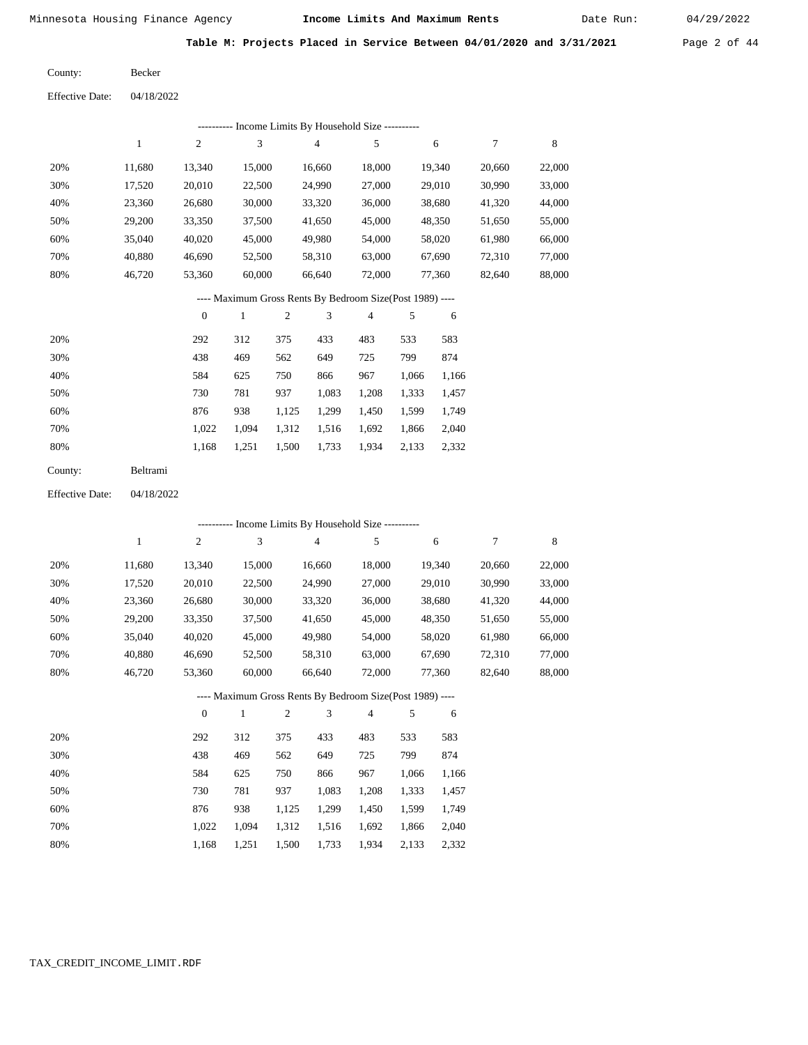Date Run:

**Table M: Projects Placed in Service Between 04/01/2020 and 3/31/2021** Page 2 of 44

Becker County:

04/18/2022 Effective Date:

|     | ---------- Income Limits By Household Size ---------- |        |        |        |        |        |        |        |  |  |
|-----|-------------------------------------------------------|--------|--------|--------|--------|--------|--------|--------|--|--|
|     | 1                                                     | 2      | 3      | 4      | 5      | 6      | 7      | 8      |  |  |
| 20% | 11,680                                                | 13.340 | 15,000 | 16.660 | 18.000 | 19,340 | 20,660 | 22,000 |  |  |
| 30% | 17.520                                                | 20,010 | 22,500 | 24,990 | 27,000 | 29,010 | 30,990 | 33,000 |  |  |
| 40% | 23,360                                                | 26,680 | 30,000 | 33,320 | 36,000 | 38,680 | 41,320 | 44,000 |  |  |
| 50% | 29,200                                                | 33,350 | 37,500 | 41,650 | 45,000 | 48,350 | 51,650 | 55,000 |  |  |
| 60% | 35,040                                                | 40,020 | 45,000 | 49,980 | 54,000 | 58,020 | 61,980 | 66,000 |  |  |
| 70% | 40,880                                                | 46.690 | 52,500 | 58,310 | 63,000 | 67.690 | 72,310 | 77,000 |  |  |
| 80% | 46,720                                                | 53,360 | 60,000 | 66,640 | 72,000 | 77,360 | 82,640 | 88,000 |  |  |
|     |                                                       |        |        |        |        |        |        |        |  |  |

### ---- Maximum Gross Rents By Bedroom Size(Post 1989) ----

|     | $\mathbf{0}$ |       | $\overline{2}$ | 3     | 4     | 5     | 6     |
|-----|--------------|-------|----------------|-------|-------|-------|-------|
| 20% | 292          | 312   | 375            | 433   | 483   | 533   | 583   |
| 30% | 438          | 469   | 562            | 649   | 725   | 799   | 874   |
| 40% | 584          | 625   | 750            | 866   | 967   | 1,066 | 1,166 |
| 50% | 730          | 781   | 937            | 1,083 | 1,208 | 1,333 | 1,457 |
| 60% | 876          | 938   | 1,125          | 1,299 | 1,450 | 1,599 | 1,749 |
| 70% | 1,022        | 1.094 | 1,312          | 1,516 | 1,692 | 1,866 | 2,040 |
| 80% | 1,168        | 1,251 | 1,500          | 1,733 | 1,934 | 2,133 | 2,332 |
|     |              |       |                |       |       |       |       |

| County: | Beltrami |
|---------|----------|
|---------|----------|

04/18/2022 Effective Date:

|     | --------- Income Limits By Household Size ---------- |                |              |                |                                                          |                |       |        |        |        |
|-----|------------------------------------------------------|----------------|--------------|----------------|----------------------------------------------------------|----------------|-------|--------|--------|--------|
|     | 1                                                    | 2              | 3            |                | $\overline{4}$                                           | 5              |       | 6      | 7      | 8      |
| 20% | 11,680                                               | 13,340         | 15,000       |                | 16,660                                                   | 18,000         |       | 19,340 | 20,660 | 22,000 |
| 30% | 17,520                                               | 20,010         | 22,500       |                | 24,990                                                   | 27,000         |       | 29,010 | 30,990 | 33,000 |
| 40% | 23,360                                               | 26,680         | 30,000       |                | 33,320                                                   | 36,000         |       | 38,680 | 41,320 | 44,000 |
| 50% | 29,200                                               | 33,350         | 37,500       |                | 41,650                                                   | 45,000         |       | 48,350 | 51,650 | 55,000 |
| 60% | 35,040                                               | 40,020         | 45,000       |                | 49,980                                                   | 54,000         |       | 58,020 | 61,980 | 66,000 |
| 70% | 40,880                                               | 46,690         | 52,500       |                | 58,310                                                   | 63,000         |       | 67,690 | 72,310 | 77,000 |
| 80% | 46,720                                               | 53,360         | 60,000       |                | 66,640                                                   | 72,000         |       | 77,360 | 82,640 | 88,000 |
|     |                                                      |                |              |                | ---- Maximum Gross Rents By Bedroom Size(Post 1989) ---- |                |       |        |        |        |
|     |                                                      | $\overline{0}$ | $\mathbf{1}$ | $\mathfrak{2}$ | 3                                                        | $\overline{4}$ | 5     | 6      |        |        |
| 20% |                                                      | 292            | 312          | 375            | 433                                                      | 483            | 533   | 583    |        |        |
| 30% |                                                      | 438            | 469          | 562            | 649                                                      | 725            | 799   | 874    |        |        |
| 40% |                                                      | 584            | 625          | 750            | 866                                                      | 967            | 1,066 | 1,166  |        |        |
| 50% |                                                      | 730            | 781          | 937            | 1,083                                                    | 1,208          | 1,333 | 1,457  |        |        |
| 60% |                                                      | 876            | 938          | 1,125          | 1,299                                                    | 1,450          | 1,599 | 1,749  |        |        |
| 70% |                                                      | 1,022          | 1,094        | 1,312          | 1,516                                                    | 1,692          | 1,866 | 2,040  |        |        |

1,500 1,733

1,934 2,133 2,332

1,168

1,251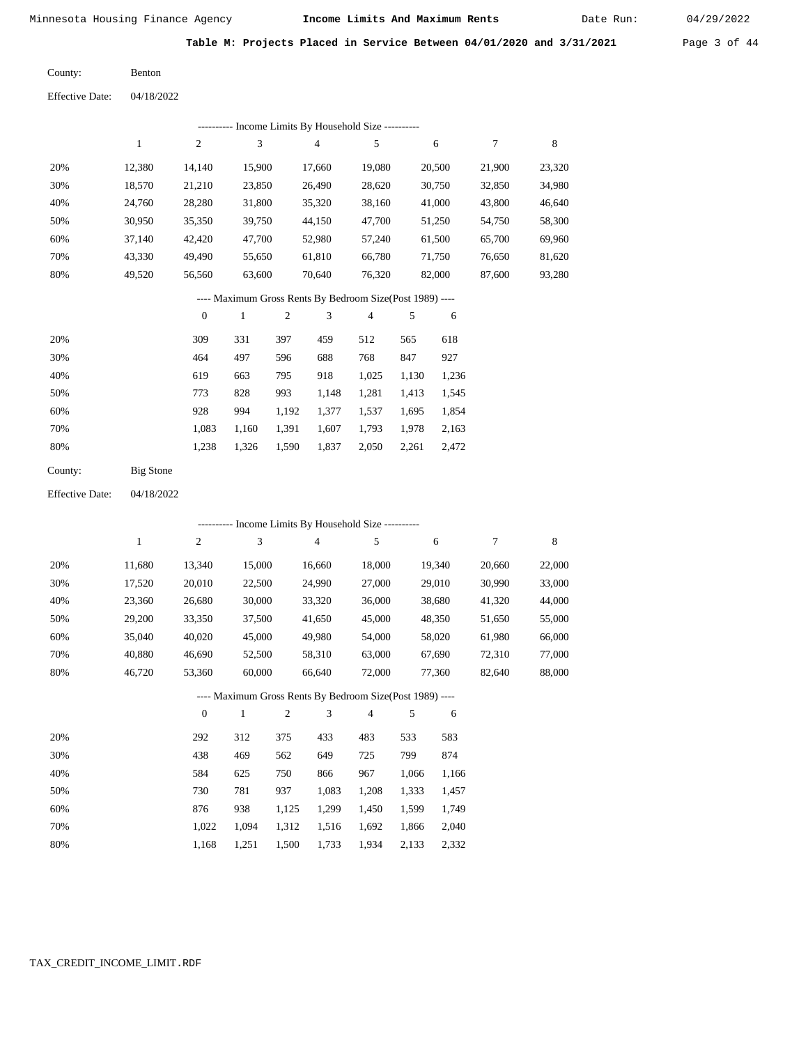Date Run:

**Table M: Projects Placed in Service Between 04/01/2020 and 3/31/2021** Page 3 of 44

| County: | <b>Benton</b> |
|---------|---------------|
|         |               |

| <b>Effective Date:</b> | 04/18/2022 |
|------------------------|------------|
|                        |            |

|     | ---------- Income Limits By Household Size ---------- |        |        |        |        |        |        |        |  |  |
|-----|-------------------------------------------------------|--------|--------|--------|--------|--------|--------|--------|--|--|
|     |                                                       | 2      | 3      | 4      | 5      | 6      |        | 8      |  |  |
| 20% | 12.380                                                | 14.140 | 15,900 | 17.660 | 19,080 | 20,500 | 21,900 | 23,320 |  |  |
| 30% | 18,570                                                | 21,210 | 23,850 | 26,490 | 28,620 | 30,750 | 32,850 | 34,980 |  |  |
| 40% | 24,760                                                | 28,280 | 31,800 | 35,320 | 38,160 | 41,000 | 43,800 | 46,640 |  |  |
| 50% | 30,950                                                | 35,350 | 39,750 | 44,150 | 47,700 | 51,250 | 54,750 | 58,300 |  |  |
| 60% | 37.140                                                | 42,420 | 47,700 | 52,980 | 57,240 | 61,500 | 65,700 | 69,960 |  |  |
| 70% | 43,330                                                | 49,490 | 55,650 | 61,810 | 66,780 | 71,750 | 76,650 | 81,620 |  |  |
| 80% | 49.520                                                | 56,560 | 63,600 | 70,640 | 76,320 | 82,000 | 87,600 | 93,280 |  |  |

### ---- Maximum Gross Rents By Bedroom Size(Post 1989) ----

|     | $\mathbf{0}$ |       |       | 3     | 4     |       | 6     |
|-----|--------------|-------|-------|-------|-------|-------|-------|
| 20% | 309          | 331   | 397   | 459   | 512   | 565   | 618   |
| 30% | 464          | 497   | 596   | 688   | 768   | 847   | 927   |
| 40% | 619          | 663   | 795   | 918   | 1,025 | 1.130 | 1,236 |
| 50% | 773          | 828   | 993   | 1,148 | 1,281 | 1,413 | 1,545 |
| 60% | 928          | 994   | 1,192 | 1,377 | 1,537 | 1.695 | 1,854 |
| 70% | 1,083        | 1,160 | 1,391 | 1,607 | 1,793 | 1,978 | 2,163 |
| 80% | 1,238        | 1,326 | 1,590 | 1,837 | 2,050 | 2,261 | 2,472 |
|     |              |       |       |       |       |       |       |

| Big Stone |
|-----------|
|           |

04/18/2022 Effective Date:

|     | ---------- Income Limits By Household Size ---------- |                |              |                |                |                                                          |       |        |        |        |
|-----|-------------------------------------------------------|----------------|--------------|----------------|----------------|----------------------------------------------------------|-------|--------|--------|--------|
|     | 1                                                     | $\overline{c}$ | 3            |                | $\overline{4}$ | 5                                                        |       | 6      | 7      | 8      |
| 20% | 11,680                                                | 13,340         | 15,000       |                | 16,660         | 18,000                                                   |       | 19,340 | 20,660 | 22,000 |
| 30% | 17,520                                                | 20,010         | 22,500       |                | 24,990         | 27,000                                                   |       | 29,010 | 30,990 | 33,000 |
| 40% | 23,360                                                | 26,680         | 30,000       |                | 33,320         | 36,000                                                   |       | 38,680 | 41,320 | 44,000 |
| 50% | 29,200                                                | 33,350         | 37,500       |                | 41,650         | 45,000                                                   |       | 48,350 | 51,650 | 55,000 |
| 60% | 35,040                                                | 40,020         | 45,000       |                | 49,980         | 54,000                                                   |       | 58,020 | 61,980 | 66,000 |
| 70% | 40,880                                                | 46,690         | 52,500       |                | 58,310         | 63,000                                                   |       | 67,690 | 72,310 | 77,000 |
| 80% | 46,720                                                | 53,360         | 60,000       |                | 66,640         | 72,000                                                   |       | 77,360 | 82,640 | 88,000 |
|     |                                                       |                |              |                |                | ---- Maximum Gross Rents By Bedroom Size(Post 1989) ---- |       |        |        |        |
|     |                                                       | $\theta$       | $\mathbf{1}$ | $\mathfrak{2}$ | 3              | $\overline{4}$                                           | 5     | 6      |        |        |
| 20% |                                                       | 292            | 312          | 375            | 433            | 483                                                      | 533   | 583    |        |        |
| 30% |                                                       | 438            | 469          | 562            | 649            | 725                                                      | 799   | 874    |        |        |
| 40% |                                                       | 584            | 625          | 750            | 866            | 967                                                      | 1,066 | 1,166  |        |        |
| 50% |                                                       | 730            | 781          | 937            | 1,083          | 1,208                                                    | 1,333 | 1,457  |        |        |
| 60% |                                                       | 876            | 938          | 1,125          | 1,299          | 1,450                                                    | 1,599 | 1,749  |        |        |
| 70% |                                                       | 1,022          | 1,094        | 1,312          | 1,516          | 1,692                                                    | 1,866 | 2,040  |        |        |

1,168 1,251 1,500 1,733 1,934 2,133 2,332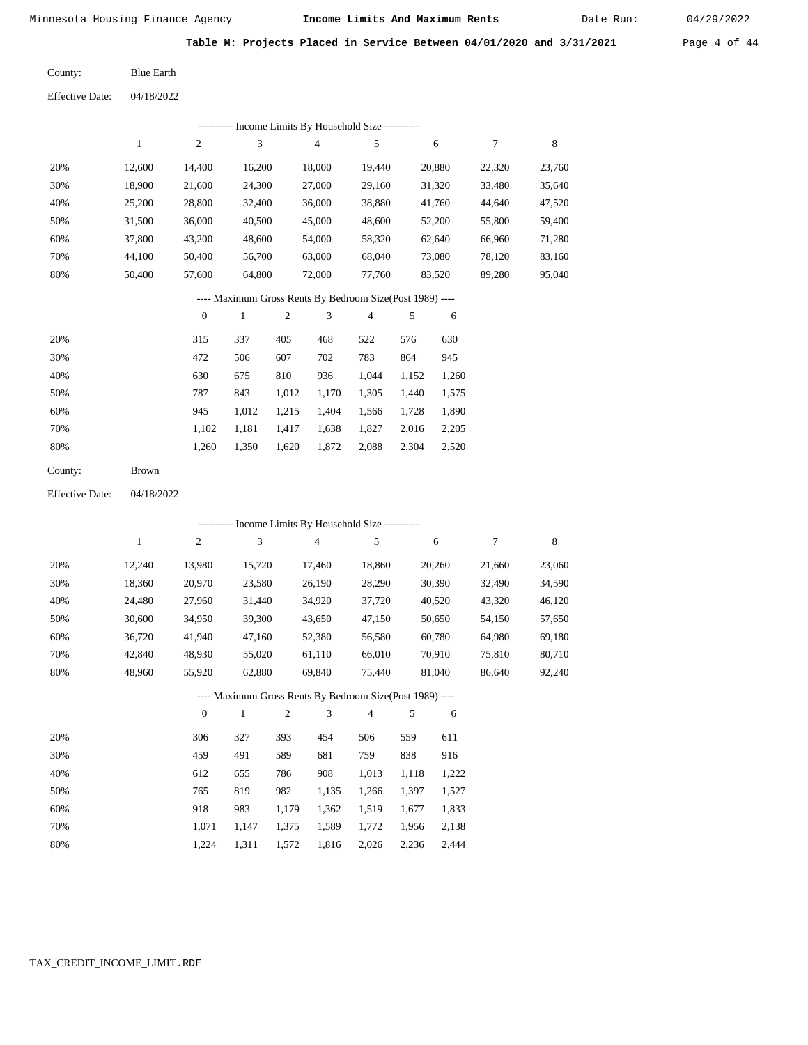Date Run:

**Table M: Projects Placed in Service Between 04/01/2020 and 3/31/2021** Page 4 of 44

Effective Date: 04/18/2022 Blue Earth County:

|                        |              |                  |                             |                  | --------- Income Limits By Household Size ----------     |                         |       |        |                  |        |
|------------------------|--------------|------------------|-----------------------------|------------------|----------------------------------------------------------|-------------------------|-------|--------|------------------|--------|
|                        | $\mathbf{1}$ | 2                | $\ensuremath{\mathfrak{Z}}$ |                  | $\overline{4}$                                           | 5                       |       | 6      | $\boldsymbol{7}$ | 8      |
| 20%                    | 12,600       | 14,400           | 16,200                      |                  | 18,000                                                   | 19,440                  |       | 20,880 | 22,320           | 23,760 |
| 30%                    | 18,900       | 21,600           | 24,300                      |                  | 27,000                                                   | 29,160                  |       | 31,320 | 33,480           | 35,640 |
| 40%                    | 25,200       | 28,800           | 32,400                      |                  | 36,000                                                   | 38,880                  |       | 41,760 | 44,640           | 47,520 |
| 50%                    | 31,500       | 36,000           | 40,500                      |                  | 45,000                                                   | 48,600                  |       | 52,200 | 55,800           | 59,400 |
| 60%                    | 37,800       | 43,200           | 48,600                      |                  | 54,000                                                   | 58,320                  |       | 62,640 | 66,960           | 71,280 |
| 70%                    | 44,100       | 50,400           | 56,700                      |                  | 63,000                                                   | 68,040                  |       | 73,080 | 78,120           | 83,160 |
| 80%                    | 50,400       | 57,600           |                             | 64,800<br>72,000 |                                                          | 77,760                  |       | 83,520 | 89,280           | 95,040 |
|                        |              |                  |                             |                  | ---- Maximum Gross Rents By Bedroom Size(Post 1989) ---- |                         |       |        |                  |        |
|                        |              | $\boldsymbol{0}$ | $\mathbf{1}$                | $\sqrt{2}$       | 3                                                        | $\overline{\mathbf{4}}$ | 5     | 6      |                  |        |
| 20%                    |              | 315              | 337                         | 405              | 468                                                      | 522                     | 576   | 630    |                  |        |
| 30%                    |              | 472              | 506                         | 607              | 702                                                      | 783                     | 864   | 945    |                  |        |
| 40%                    |              | 630              | 675                         | 810              | 936                                                      | 1,044                   | 1,152 | 1,260  |                  |        |
| 50%                    |              | 787              | 843                         | 1,012            | 1,170                                                    | 1,305                   | 1,440 | 1,575  |                  |        |
| 60%                    |              | 945              | 1,012                       | 1,215            | 1,404                                                    | 1,566                   | 1,728 | 1,890  |                  |        |
| 70%                    |              | 1,102            | 1,181                       | 1,417            | 1,638                                                    | 1,827                   | 2,016 | 2,205  |                  |        |
| 80%                    |              | 1,260            | 1,350                       | 1,620            | 1,872                                                    | 2,088                   | 2,304 | 2,520  |                  |        |
| County:                | Brown        |                  |                             |                  |                                                          |                         |       |        |                  |        |
| <b>Effective Date:</b> | 04/18/2022   |                  |                             |                  |                                                          |                         |       |        |                  |        |
|                        |              |                  |                             |                  | ---------- Income Limits By Household Size ----------    |                         |       |        |                  |        |
|                        | $\mathbf{1}$ | $\sqrt{2}$       | $\sqrt{3}$                  |                  | $\overline{4}$                                           | 5                       |       | 6      | $\boldsymbol{7}$ | 8      |
| 20%                    | 12,240       | 13,980           | 15,720                      |                  | 17,460                                                   | 18,860                  |       | 20,260 | 21,660           | 23,060 |
| 30%                    | 18,360       | 20,970           | 23,580                      |                  | 26,190                                                   | 28,290                  |       | 30,390 | 32,490           | 34,590 |
| 40%                    | 24,480       | 27,960           | 31,440                      |                  | 34,920                                                   | 37,720                  |       | 40,520 | 43,320           | 46,120 |
| 50%                    | 30,600       | 34,950           | 39,300                      |                  | 43,650                                                   | 47,150                  |       | 50,650 | 54,150           | 57,650 |
| 60%                    | 36,720       | 41,940           | 47,160                      |                  | 52,380                                                   | 56,580                  |       | 60,780 | 64,980           | 69,180 |
| 70%                    | 42,840       | 48,930           | 55,020                      |                  | 61,110                                                   | 66,010                  |       | 70,910 | 75,810           | 80,710 |
| 80%                    | 48,960       | 55.920           | 62,880                      |                  | 69,840                                                   | 75,440                  |       | 81,040 | 86,640           | 92,240 |
|                        |              |                  |                             |                  | ---- Maximum Gross Rents By Bedroom Size(Post 1989) ---- |                         |       |        |                  |        |
|                        |              | $\boldsymbol{0}$ | $\,1\,$                     | $\sqrt{2}$       | 3                                                        | 4                       | 5     | 6      |                  |        |
| 20%                    |              | 306              | 327                         | 393              | 454                                                      | 506                     | 559   | 611    |                  |        |
| 30%                    |              | 459              | 491                         | 589              | 681                                                      | 759                     | 838   | 916    |                  |        |
| 40%                    |              | 612              | 655                         | 786              | 908                                                      | 1,013                   | 1,118 | 1,222  |                  |        |
| 50%                    |              | 765              | 819                         | 982              | 1,135                                                    | 1,266                   | 1,397 | 1,527  |                  |        |
| 60%                    |              | 918              | 983                         | 1,179            | 1,362                                                    | 1,519                   | 1,677 | 1,833  |                  |        |
| 70%                    |              | 1,071            | 1,147                       | 1,375            | 1,589                                                    | 1,772                   | 1,956 | 2,138  |                  |        |
| 80%                    |              | 1,224            | 1,311                       | 1,572            | 1,816                                                    | 2,026                   | 2,236 | 2,444  |                  |        |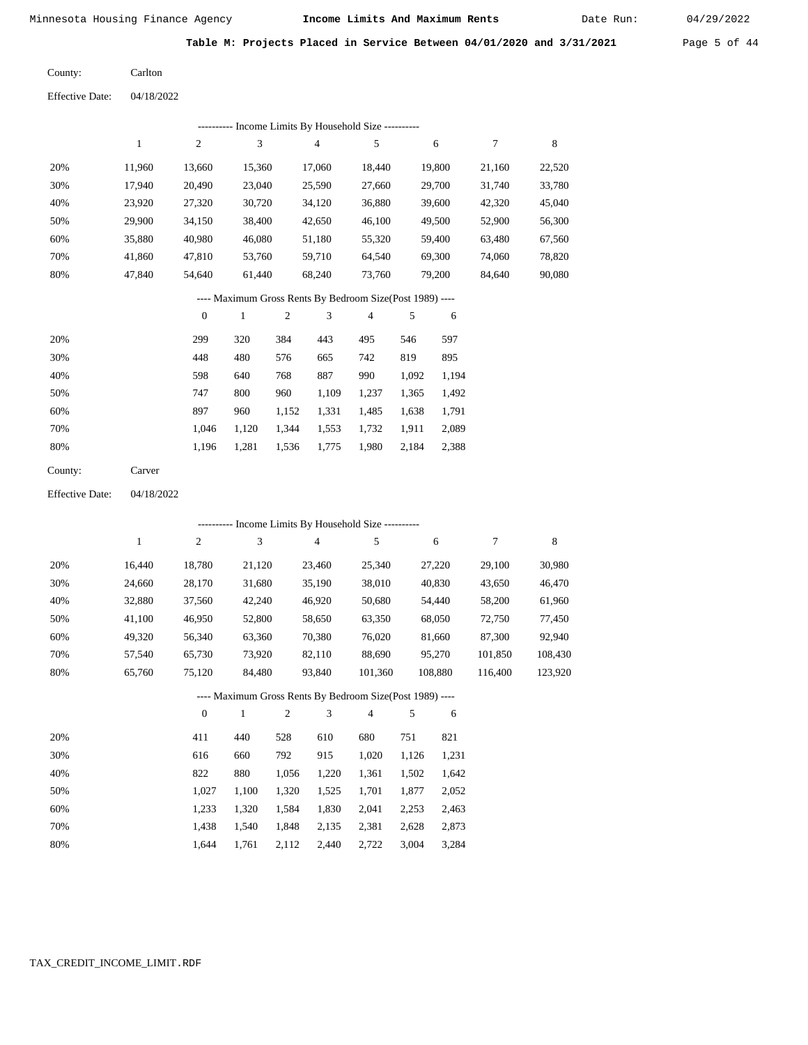Date Run:

| Table M: Projects Placed in Service Between 04/01/2020 and 3/31/2021<br>Page 5 of 44 |  |  |  |  |  |  |  |  |  |  |
|--------------------------------------------------------------------------------------|--|--|--|--|--|--|--|--|--|--|
|--------------------------------------------------------------------------------------|--|--|--|--|--|--|--|--|--|--|

| County:                | Carlton    |
|------------------------|------------|
| <b>Effective Date:</b> | 04/18/2022 |

|                        |              |                  |                           |            | ---------- Income Limits By Household Size ----------    |                |       |         |         |         |
|------------------------|--------------|------------------|---------------------------|------------|----------------------------------------------------------|----------------|-------|---------|---------|---------|
|                        | $\mathbf{1}$ | $\sqrt{2}$       | 3                         |            | $\overline{4}$                                           | 5              |       | 6       | 7       | 8       |
| 20%                    | 11,960       | 13,660           | 15,360                    |            | 17,060                                                   | 18,440         |       | 19,800  | 21,160  | 22,520  |
| 30%                    | 17,940       | 20,490           | 23,040                    |            | 25,590                                                   | 27,660         |       | 29,700  | 31,740  | 33,780  |
| 40%                    | 23,920       | 27,320           | 30,720                    |            | 34,120                                                   | 36,880         |       | 39,600  | 42,320  | 45,040  |
| 50%                    | 29,900       | 34,150           | 38,400                    |            | 42,650                                                   | 46,100         |       | 49,500  | 52,900  | 56,300  |
| 60%                    | 35,880       | 40,980           | 46,080                    |            | 51,180                                                   | 55,320         |       | 59,400  | 63,480  | 67,560  |
| 70%                    | 41,860       | 47,810           | 53,760                    |            | 59,710                                                   | 64,540         |       | 69,300  | 74,060  | 78,820  |
| 80%                    | 47,840       | 54,640           | 61,440                    |            | 68,240                                                   | 73,760         |       | 79,200  | 84,640  | 90,080  |
|                        |              |                  |                           |            | ---- Maximum Gross Rents By Bedroom Size(Post 1989) ---- |                |       |         |         |         |
|                        |              | $\boldsymbol{0}$ | $\mathbf{1}$              | $\sqrt{2}$ | 3                                                        | $\overline{4}$ | 5     | 6       |         |         |
| 20%                    |              | 299              | 320                       | 384        | 443                                                      | 495            | 546   | 597     |         |         |
| 30%                    |              | 448              | 480                       | 576        | 665                                                      | 742            | 819   | 895     |         |         |
| 40%                    |              | 598              | 640                       | 768        | 887                                                      | 990            | 1,092 | 1,194   |         |         |
| 50%                    |              | 747              | 800                       | 960        | 1,109                                                    | 1,237          | 1,365 | 1,492   |         |         |
| 60%                    |              | 897              | 960                       | 1,152      | 1,331                                                    | 1,485          | 1,638 | 1,791   |         |         |
| 70%                    |              | 1,046            | 1,120                     | 1,344      | 1,553                                                    | 1,732          | 1,911 | 2,089   |         |         |
| 80%                    |              | 1,196            | 1,281                     | 1,536      | 1,775                                                    | 1,980          | 2,184 | 2,388   |         |         |
| County:                | Carver       |                  |                           |            |                                                          |                |       |         |         |         |
| <b>Effective Date:</b> | 04/18/2022   |                  |                           |            |                                                          |                |       |         |         |         |
|                        |              |                  |                           |            | ---------- Income Limits By Household Size ----------    |                |       |         |         |         |
|                        | $\mathbf{1}$ | 2                | $\ensuremath{\mathbf{3}}$ |            | 4                                                        | 5              |       | 6       | 7       | 8       |
| 20%                    | 16,440       | 18,780           | 21,120                    |            | 23,460                                                   | 25,340         |       | 27,220  | 29,100  | 30,980  |
| 30%                    | 24,660       | 28,170           | 31,680                    |            | 35,190                                                   | 38,010         |       | 40,830  | 43,650  | 46,470  |
| 40%                    | 32,880       | 37,560           | 42,240                    |            | 46,920                                                   | 50,680         |       | 54,440  | 58,200  | 61,960  |
| 50%                    | 41,100       | 46,950           | 52,800                    |            | 58,650                                                   | 63,350         |       | 68,050  | 72,750  | 77,450  |
| 60%                    | 49,320       | 56,340           | 63,360                    |            | 70,380                                                   | 76,020         |       | 81,660  | 87,300  | 92,940  |
| 70%                    | 57,540       | 65,730           | 73,920                    |            | 82,110                                                   | 88,690         |       | 95,270  | 101,850 | 108,430 |
| 80%                    | 65,760       | 75,120           | 84,480                    |            | 93,840                                                   | 101,360        |       | 108,880 | 116,400 | 123,920 |
|                        |              |                  |                           |            | ---- Maximum Gross Rents By Bedroom Size(Post 1989)      |                |       |         |         |         |
|                        |              | $\mathbf{0}$     | $\mathbf{1}$              | 2          | 3                                                        | 4              | 5     | 6       |         |         |
| 20%                    |              | 411              | 440                       | 528        | 610                                                      | 680            | 751   | 821     |         |         |
| 30%                    |              | 616              | 660                       | 792        | 915                                                      | 1,020          | 1,126 | 1,231   |         |         |
| 40%                    |              | 822              | 880                       | 1,056      | 1,220                                                    | 1,361          | 1,502 | 1,642   |         |         |
| 50%                    |              | 1,027            | 1,100                     | 1,320      | 1,525                                                    | 1,701          | 1,877 | 2,052   |         |         |
| 60%                    |              | 1,233            | 1,320                     | 1,584      | 1,830                                                    | 2,041          | 2,253 | 2,463   |         |         |
| 70%                    |              | 1,438            | 1,540                     | 1,848      | 2,135                                                    | 2,381          | 2,628 | 2,873   |         |         |
| 80%                    |              | 1,644            | 1,761                     | 2,112      | 2,440                                                    | 2,722          | 3,004 | 3,284   |         |         |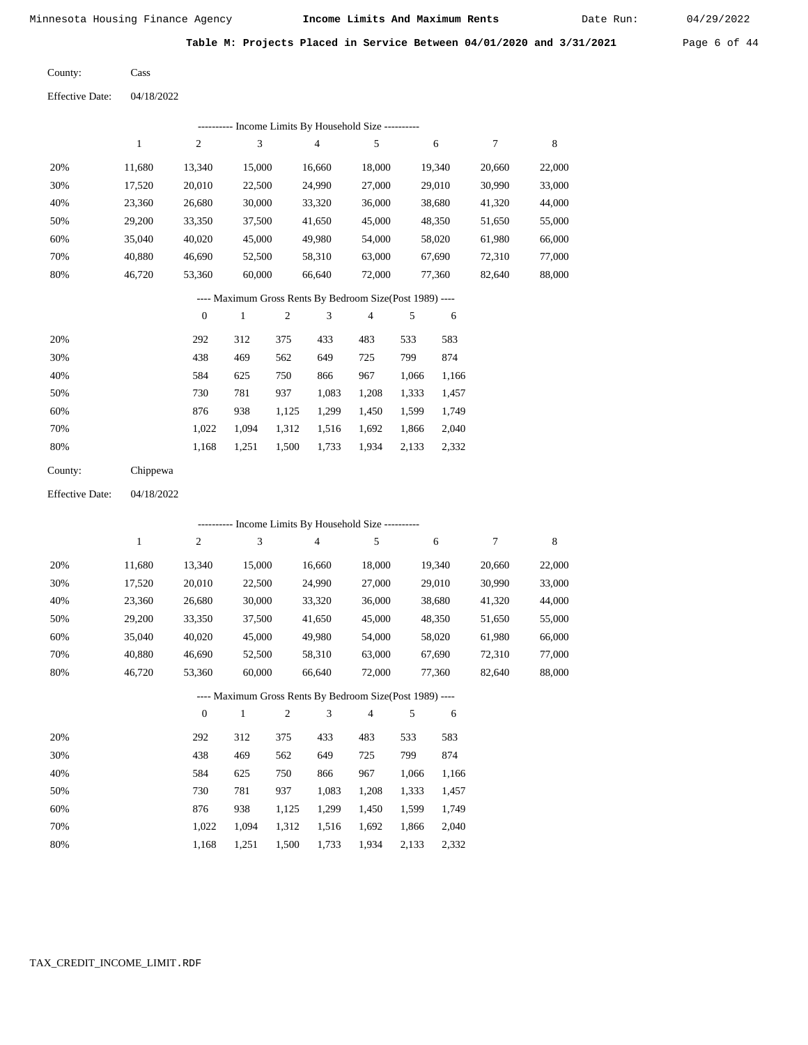Cass

Minnesota Housing Finance Agency **Income Limits And Maximum Rents** 04/29/2022

Date Run:

**Table M: Projects Placed in Service Between 04/01/2020 and 3/31/2021** Page 6 of 44

County:

Effective Date: 04/18/2022

|                                                          | ---------- Income Limits By Household Size ---------- |                |        |        |        |        |        |        |  |  |  |  |  |
|----------------------------------------------------------|-------------------------------------------------------|----------------|--------|--------|--------|--------|--------|--------|--|--|--|--|--|
|                                                          |                                                       | $\overline{2}$ | 3      | 4      | 5      | 6      | 7      | 8      |  |  |  |  |  |
| 20%                                                      | 11.680                                                | 13,340         | 15,000 | 16.660 | 18,000 | 19.340 | 20,660 | 22,000 |  |  |  |  |  |
| 30%                                                      | 17,520                                                | 20,010         | 22,500 | 24,990 | 27,000 | 29,010 | 30,990 | 33,000 |  |  |  |  |  |
| 40%                                                      | 23,360                                                | 26,680         | 30,000 | 33,320 | 36,000 | 38,680 | 41,320 | 44,000 |  |  |  |  |  |
| 50%                                                      | 29,200                                                | 33,350         | 37,500 | 41,650 | 45,000 | 48.350 | 51,650 | 55,000 |  |  |  |  |  |
| 60%                                                      | 35,040                                                | 40,020         | 45,000 | 49,980 | 54,000 | 58,020 | 61,980 | 66,000 |  |  |  |  |  |
| 70%                                                      | 40.880                                                | 46,690         | 52,500 | 58,310 | 63,000 | 67,690 | 72,310 | 77,000 |  |  |  |  |  |
| 80%                                                      | 46,720                                                | 53,360         | 60,000 | 66.640 | 72,000 | 77.360 | 82,640 | 88,000 |  |  |  |  |  |
| ---- Maximum Gross Rents By Bedroom Size(Post 1989) ---- |                                                       |                |        |        |        |        |        |        |  |  |  |  |  |

|     | $\mathbf{0}$ |       | $\overline{c}$ | 3     | 4     | 5     | 6     |
|-----|--------------|-------|----------------|-------|-------|-------|-------|
| 20% | 292          | 312   | 375            | 433   | 483   | 533   | 583   |
| 30% | 438          | 469   | 562            | 649   | 725   | 799   | 874   |
| 40% | 584          | 625   | 750            | 866   | 967   | 1,066 | 1,166 |
| 50% | 730          | 781   | 937            | 1,083 | 1,208 | 1,333 | 1,457 |
| 60% | 876          | 938   | 1,125          | 1,299 | 1,450 | 1,599 | 1,749 |
| 70% | 1.022        | 1.094 | 1,312          | 1,516 | 1,692 | 1,866 | 2,040 |
| 80% | 1,168        | 1,251 | 1,500          | 1,733 | 1,934 | 2,133 | 2,332 |
|     |              |       |                |       |       |       |       |

| County: | Chippewa |
|---------|----------|
|         |          |

Effective Date: 04/18/2022

|     | ---------- Income Limits By Household Size ---------- |                |              |                |                                                          |                |       |        |        |        |  |  |
|-----|-------------------------------------------------------|----------------|--------------|----------------|----------------------------------------------------------|----------------|-------|--------|--------|--------|--|--|
|     | $\mathbf{1}$                                          | $\overline{c}$ | 3            |                | $\overline{4}$                                           | 5              |       | 6      | 7      | 8      |  |  |
| 20% | 11,680                                                | 13,340         | 15,000       |                | 16,660                                                   | 18,000         |       | 19,340 | 20,660 | 22,000 |  |  |
| 30% | 17,520                                                | 20,010         | 22,500       |                | 24,990                                                   | 27,000         |       | 29,010 | 30,990 | 33,000 |  |  |
| 40% | 23,360                                                | 26,680         | 30,000       |                | 33,320                                                   | 36,000         |       | 38,680 | 41,320 | 44,000 |  |  |
| 50% | 29,200                                                | 33,350         | 37,500       |                | 41,650                                                   | 45,000         |       | 48,350 | 51,650 | 55,000 |  |  |
| 60% | 35,040                                                | 40,020         | 45,000       |                | 49,980                                                   | 54,000         |       | 58,020 | 61,980 | 66,000 |  |  |
| 70% | 40,880                                                | 46,690         | 52,500       |                | 58,310                                                   | 63,000         |       | 67,690 | 72,310 | 77,000 |  |  |
| 80% | 46,720                                                | 53,360         | 60,000       |                | 66,640                                                   | 72,000         |       | 77,360 | 82,640 | 88,000 |  |  |
|     |                                                       |                |              |                | ---- Maximum Gross Rents By Bedroom Size(Post 1989) ---- |                |       |        |        |        |  |  |
|     |                                                       | $\overline{0}$ | $\mathbf{1}$ | $\mathfrak{2}$ | 3                                                        | $\overline{4}$ | 5     | 6      |        |        |  |  |
| 20% |                                                       | 292            | 312          | 375            | 433                                                      | 483            | 533   | 583    |        |        |  |  |
| 30% |                                                       | 438            | 469          | 562            | 649                                                      | 725            | 799   | 874    |        |        |  |  |
| 40% |                                                       | 584            | 625          | 750            | 866                                                      | 967            | 1,066 | 1,166  |        |        |  |  |
| 50% |                                                       | 730            | 781          | 937            | 1,083                                                    | 1,208          | 1,333 | 1,457  |        |        |  |  |
| 60% |                                                       | 876            | 938          | 1,125          | 1,299                                                    | 1,450          | 1,599 | 1,749  |        |        |  |  |

1,500 1,733

1,312 1,516 1,692 1,866 2,040

1,934 2,133 2,332

 1,022 1,094 1,168 1,251

 70% 80%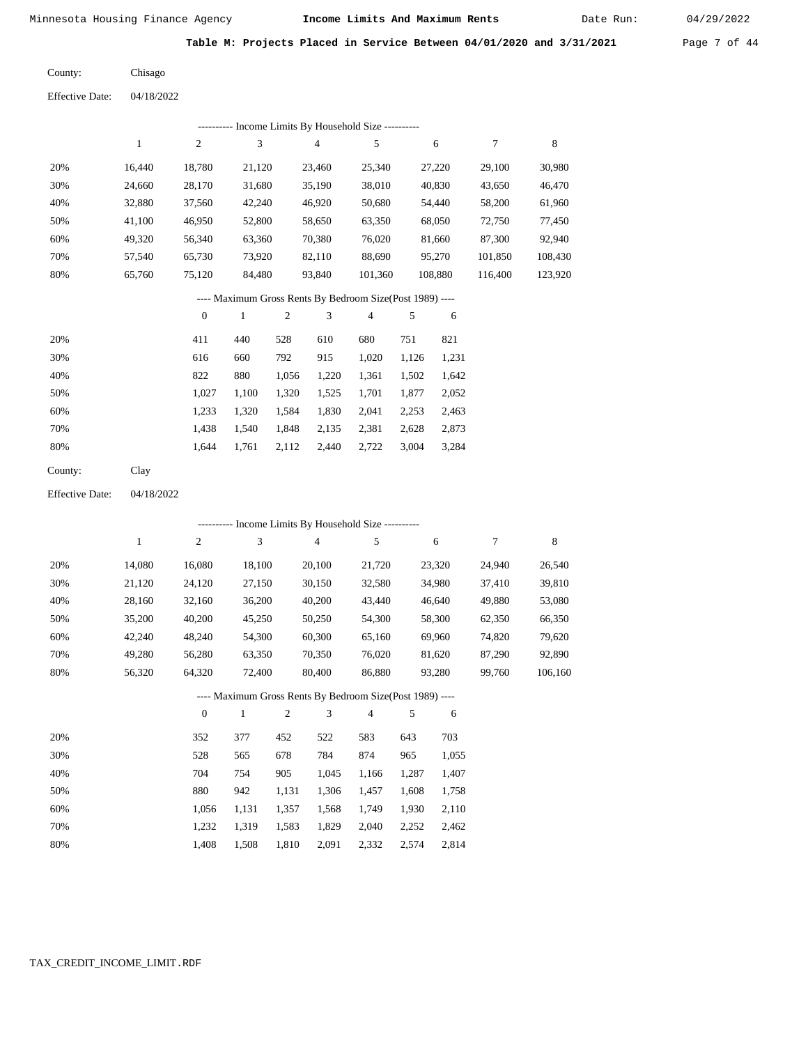Date Run:

**Table M: Projects Placed in Service Between 04/01/2020 and 3/31/2021** Page 7 of 44

Chisago County:

04/18/2022 Effective Date:

|     | Income Limits By Household Size --- |                |        |        |         |         |         |         |  |  |  |  |  |
|-----|-------------------------------------|----------------|--------|--------|---------|---------|---------|---------|--|--|--|--|--|
|     |                                     | $\overline{c}$ | 3      | 4      | 5       | 6       |         | 8       |  |  |  |  |  |
| 20% | 16.440                              | 18,780         | 21,120 | 23,460 | 25,340  | 27,220  | 29,100  | 30,980  |  |  |  |  |  |
| 30% | 24,660                              | 28,170         | 31,680 | 35,190 | 38,010  | 40,830  | 43,650  | 46,470  |  |  |  |  |  |
| 40% | 32,880                              | 37,560         | 42,240 | 46,920 | 50,680  | 54,440  | 58,200  | 61,960  |  |  |  |  |  |
| 50% | 41,100                              | 46,950         | 52,800 | 58,650 | 63,350  | 68,050  | 72,750  | 77,450  |  |  |  |  |  |
| 60% | 49,320                              | 56,340         | 63,360 | 70,380 | 76,020  | 81,660  | 87,300  | 92,940  |  |  |  |  |  |
| 70% | 57.540                              | 65,730         | 73.920 | 82,110 | 88,690  | 95,270  | 101,850 | 108,430 |  |  |  |  |  |
| 80% | 65,760                              | 75,120         | 84,480 | 93,840 | 101,360 | 108,880 | 116,400 | 123,920 |  |  |  |  |  |
|     |                                     |                |        |        |         |         |         |         |  |  |  |  |  |

### ---- Maximum Gross Rents By Bedroom Size(Post 1989) ----

|     | $\mathbf{0}$ |       | $\overline{c}$ | 3     | 4     | 5     | 6     |
|-----|--------------|-------|----------------|-------|-------|-------|-------|
| 20% | 411          | 440   | 528            | 610   | 680   | 751   | 821   |
| 30% | 616          | 660   | 792            | 915   | 1,020 | 1,126 | 1,231 |
| 40% | 822          | 880   | 1,056          | 1,220 | 1,361 | 1,502 | 1,642 |
| 50% | 1,027        | 1,100 | 1,320          | 1,525 | 1,701 | 1,877 | 2,052 |
| 60% | 1,233        | 1,320 | 1,584          | 1,830 | 2,041 | 2,253 | 2,463 |
| 70% | 1,438        | 1,540 | 1,848          | 2,135 | 2,381 | 2,628 | 2,873 |
| 80% | 1,644        | 1,761 | 2,112          | 2,440 | 2,722 | 3,004 | 3,284 |
|     |              |       |                |       |       |       |       |

04/18/2022 Effective Date:

|     |        |                | --------- Income Limits By Household Size ----------     |                |                |        |       |        |        |         |
|-----|--------|----------------|----------------------------------------------------------|----------------|----------------|--------|-------|--------|--------|---------|
|     | 1      | $\overline{c}$ | 3                                                        |                | $\overline{4}$ | 5      |       | 6      | 7      | 8       |
| 20% | 14,080 | 16,080         | 18,100                                                   |                | 20,100         | 21,720 |       | 23,320 | 24,940 | 26,540  |
| 30% | 21,120 | 24,120         | 27,150                                                   |                | 30,150         | 32,580 |       | 34,980 | 37,410 | 39,810  |
| 40% | 28,160 | 32,160         | 36,200                                                   |                | 40,200         | 43,440 |       | 46,640 | 49,880 | 53,080  |
| 50% | 35,200 | 40,200         | 45,250                                                   |                | 50,250         | 54,300 |       | 58,300 | 62,350 | 66,350  |
| 60% | 42,240 | 48,240         | 54,300                                                   |                | 60,300         | 65,160 |       | 69,960 | 74,820 | 79,620  |
| 70% | 49,280 | 56,280         | 63,350                                                   |                | 70,350         | 76,020 |       | 81,620 | 87,290 | 92,890  |
| 80% | 56,320 | 64,320         | 72,400                                                   |                | 80,400         | 86,880 |       | 93,280 | 99,760 | 106,160 |
|     |        |                | ---- Maximum Gross Rents By Bedroom Size(Post 1989) ---- |                |                |        |       |        |        |         |
|     |        | $\theta$       | 1                                                        | $\overline{2}$ | 3              | 4      | 5     | 6      |        |         |
| 20% |        | 352            | 377                                                      | 452            | 522            | 583    | 643   | 703    |        |         |
| 30% |        | 528            | 565                                                      | 678            | 784            | 874    | 965   | 1,055  |        |         |
| 40% |        | 704            | 754                                                      | 905            | 1,045          | 1,166  | 1,287 | 1,407  |        |         |
| 50% |        | 880            | 942                                                      | 1,131          | 1,306          | 1,457  | 1,608 | 1,758  |        |         |

| 60% |  |  | 1,056 1,131 1,357 1,568 1,749 1,930 2,110 |  |
|-----|--|--|-------------------------------------------|--|
| 70% |  |  | 1.232 1.319 1.583 1.829 2.040 2.252 2.462 |  |
| 80% |  |  | 1.408 1.508 1.810 2.091 2.332 2.574 2.814 |  |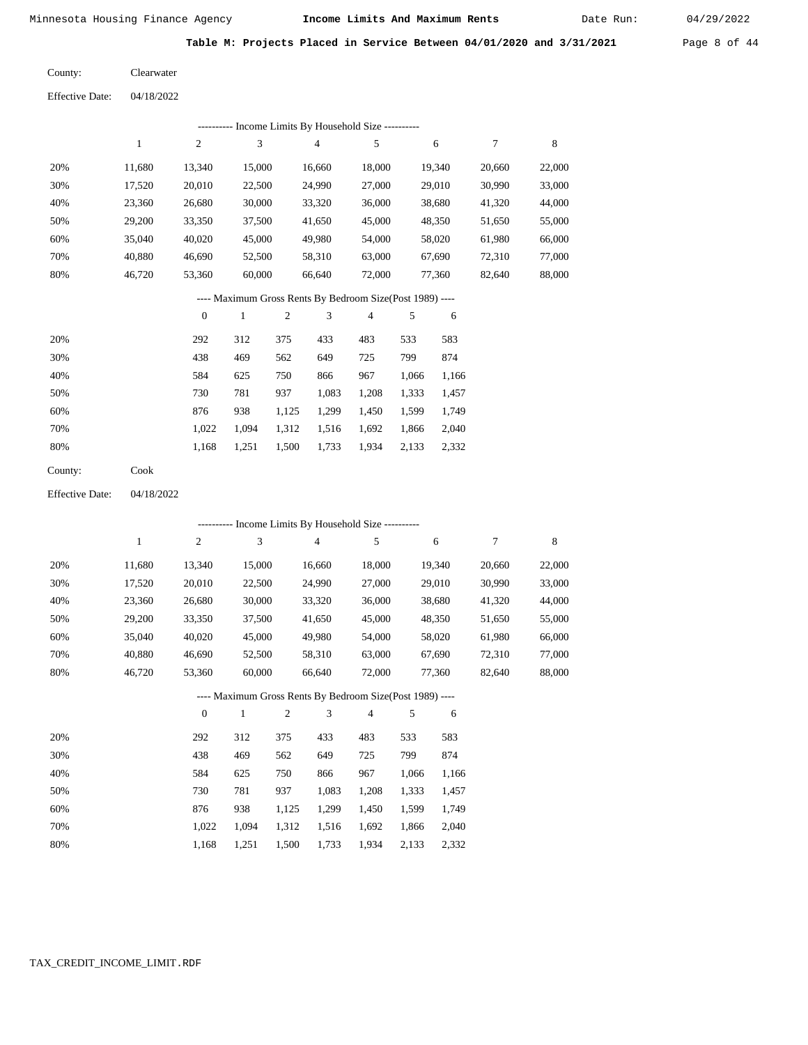Date Run:

**Table M: Projects Placed in Service Between 04/01/2020 and 3/31/2021** Page 8 of 44

| County: | Clearwater |
|---------|------------|
|         |            |

| <b>Effective Date:</b> | 04/18/2022 |
|------------------------|------------|
|------------------------|------------|

|     | ---------- Income Limits By Household Size ---------- |        |        |        |        |        |        |        |  |  |
|-----|-------------------------------------------------------|--------|--------|--------|--------|--------|--------|--------|--|--|
|     |                                                       | 2      | 3      | 4      | 5      | 6      |        | 8      |  |  |
| 20% | 11,680                                                | 13.340 | 15,000 | 16,660 | 18,000 | 19,340 | 20,660 | 22,000 |  |  |
| 30% | 17,520                                                | 20,010 | 22,500 | 24,990 | 27,000 | 29,010 | 30,990 | 33,000 |  |  |
| 40% | 23,360                                                | 26,680 | 30,000 | 33,320 | 36,000 | 38,680 | 41,320 | 44,000 |  |  |
| 50% | 29,200                                                | 33,350 | 37,500 | 41,650 | 45,000 | 48,350 | 51,650 | 55,000 |  |  |
| 60% | 35,040                                                | 40,020 | 45,000 | 49,980 | 54,000 | 58,020 | 61,980 | 66,000 |  |  |
| 70% | 40.880                                                | 46,690 | 52,500 | 58,310 | 63,000 | 67,690 | 72,310 | 77,000 |  |  |
| 80% | 46,720                                                | 53,360 | 60,000 | 66,640 | 72,000 | 77,360 | 82,640 | 88,000 |  |  |
|     |                                                       |        |        |        |        |        |        |        |  |  |

### ---- Maximum Gross Rents By Bedroom Size(Post 1989) ----

|     | $\mathbf{0}$ |       | 2     | 3     | 4     | 5     | 6     |
|-----|--------------|-------|-------|-------|-------|-------|-------|
| 20% | 292          | 312   | 375   | 433   | 483   | 533   | 583   |
| 30% | 438          | 469   | 562   | 649   | 725   | 799   | 874   |
| 40% | 584          | 625   | 750   | 866   | 967   | 1,066 | 1,166 |
| 50% | 730          | 781   | 937   | 1,083 | 1,208 | 1,333 | 1,457 |
| 60% | 876          | 938   | 1,125 | 1,299 | 1,450 | 1,599 | 1,749 |
| 70% | 1.022        | 1.094 | 1,312 | 1,516 | 1,692 | 1,866 | 2,040 |
| 80% | 1,168        | 1,251 | 1,500 | 1,733 | 1,934 | 2,133 | 2,332 |
|     |              |       |       |       |       |       |       |

Cook County:

04/18/2022 Effective Date:

|     | ---------- Income Limits By Household Size ---------- |                |              |                |                |                                                          |       |        |        |        |
|-----|-------------------------------------------------------|----------------|--------------|----------------|----------------|----------------------------------------------------------|-------|--------|--------|--------|
|     | $\mathbf{1}$                                          | $\overline{c}$ | 3            |                | $\overline{4}$ | 5                                                        |       | 6      | 7      | 8      |
| 20% | 11,680                                                | 13,340         | 15,000       |                | 16,660         | 18,000                                                   |       | 19,340 | 20,660 | 22,000 |
| 30% | 17,520                                                | 20,010         | 22,500       |                | 24,990         | 27,000                                                   |       | 29,010 | 30,990 | 33,000 |
| 40% | 23,360                                                | 26,680         | 30,000       |                | 33,320         | 36,000                                                   |       | 38,680 | 41,320 | 44,000 |
| 50% | 29,200                                                | 33,350         | 37,500       |                | 41,650         | 45,000                                                   |       | 48,350 | 51,650 | 55,000 |
| 60% | 35,040                                                | 40,020         | 45,000       |                | 49,980         | 54,000                                                   |       | 58,020 | 61,980 | 66,000 |
| 70% | 40,880                                                | 46,690         | 52,500       |                | 58,310         | 63,000                                                   |       | 67,690 | 72,310 | 77,000 |
| 80% | 46,720                                                | 53,360         | 60,000       |                | 66,640         | 72,000                                                   |       | 77,360 | 82,640 | 88,000 |
|     |                                                       |                |              |                |                | ---- Maximum Gross Rents By Bedroom Size(Post 1989) ---- |       |        |        |        |
|     |                                                       | $\theta$       | $\mathbf{1}$ | $\overline{2}$ | 3              | $\overline{4}$                                           | 5     | 6      |        |        |
| 20% |                                                       | 292            | 312          | 375            | 433            | 483                                                      | 533   | 583    |        |        |
| 30% |                                                       | 438            | 469          | 562            | 649            | 725                                                      | 799   | 874    |        |        |
| 40% |                                                       | 584            | 625          | 750            | 866            | 967                                                      | 1,066 | 1,166  |        |        |
| 50% |                                                       | 730            | 781          | 937            | 1,083          | 1,208                                                    | 1,333 | 1,457  |        |        |
| 60% |                                                       | 876            | 938          | 1,125          | 1,299          | 1,450                                                    | 1,599 | 1,749  |        |        |
| 70% |                                                       | 1,022          | 1,094        | 1,312          | 1,516          | 1,692                                                    | 1,866 | 2,040  |        |        |

1,168

1,251

1,500

1,733

1,934

2,133

2,332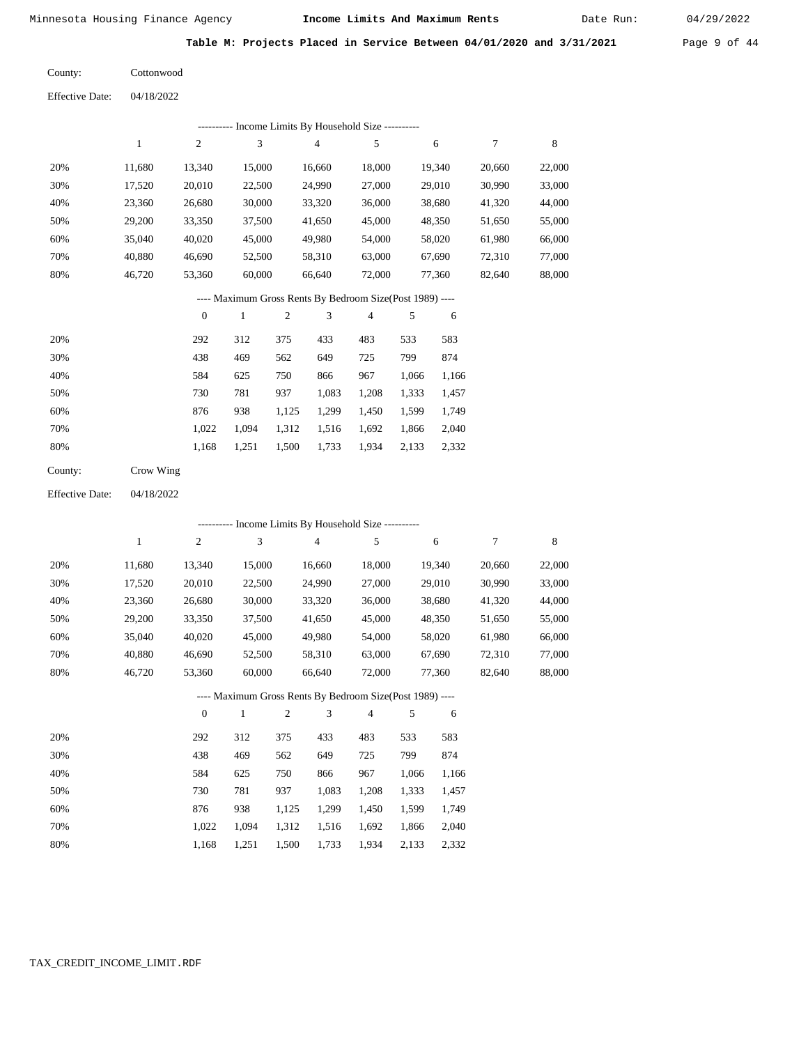Date Run:

**Table M: Projects Placed in Service Between 04/01/2020 and 3/31/2021** Page 9 of 44

Cottonwood County:

04/18/2022 Effective Date:

|     | Income Limits By Household Size ---------- |        |        |        |        |        |        |        |  |  |  |
|-----|--------------------------------------------|--------|--------|--------|--------|--------|--------|--------|--|--|--|
|     |                                            | 2      | 3      | 4      | 5      | 6      |        | 8      |  |  |  |
| 20% | 11.680                                     | 13.340 | 15,000 | 16.660 | 18,000 | 19.340 | 20,660 | 22,000 |  |  |  |
| 30% | 17,520                                     | 20,010 | 22,500 | 24,990 | 27,000 | 29,010 | 30,990 | 33,000 |  |  |  |
| 40% | 23,360                                     | 26,680 | 30,000 | 33,320 | 36,000 | 38,680 | 41,320 | 44,000 |  |  |  |
| 50% | 29,200                                     | 33,350 | 37,500 | 41,650 | 45,000 | 48,350 | 51,650 | 55,000 |  |  |  |
| 60% | 35,040                                     | 40,020 | 45,000 | 49,980 | 54,000 | 58,020 | 61,980 | 66,000 |  |  |  |
| 70% | 40.880                                     | 46.690 | 52,500 | 58,310 | 63,000 | 67,690 | 72,310 | 77,000 |  |  |  |
| 80% | 46.720                                     | 53,360 | 60,000 | 66,640 | 72,000 | 77.360 | 82,640 | 88,000 |  |  |  |

### ---- Maximum Gross Rents By Bedroom Size(Post 1989) ----

|     | $\mathbf{0}$ |       | $\overline{2}$ | 3     | 4     | 5     | 6     |
|-----|--------------|-------|----------------|-------|-------|-------|-------|
| 20% | 292          | 312   | 375            | 433   | 483   | 533   | 583   |
| 30% | 438          | 469   | 562            | 649   | 725   | 799   | 874   |
| 40% | 584          | 625   | 750            | 866   | 967   | 1,066 | 1,166 |
| 50% | 730          | 781   | 937            | 1,083 | 1,208 | 1,333 | 1,457 |
| 60% | 876          | 938   | 1,125          | 1,299 | 1,450 | 1,599 | 1,749 |
| 70% | 1.022        | 1,094 | 1,312          | 1,516 | 1,692 | 1,866 | 2,040 |
| 80% | 1,168        | 1,251 | 1,500          | 1,733 | 1,934 | 2,133 | 2,332 |
|     |              |       |                |       |       |       |       |

| County: | Crow Wing |
|---------|-----------|
|---------|-----------|

04/18/2022 Effective Date:

|     |        |                |              |                |                | --------- Income Limits By Household Size ----------     |       |        |        |        |
|-----|--------|----------------|--------------|----------------|----------------|----------------------------------------------------------|-------|--------|--------|--------|
|     | 1      | 2              | 3            |                | $\overline{4}$ | 5                                                        |       | 6      | 7      | 8      |
| 20% | 11,680 | 13,340         | 15,000       |                | 16,660         | 18,000                                                   |       | 19,340 | 20,660 | 22,000 |
| 30% | 17,520 | 20,010         | 22,500       |                | 24,990         | 27,000                                                   |       | 29,010 | 30,990 | 33,000 |
| 40% | 23,360 | 26,680         | 30,000       |                | 33,320         | 36,000                                                   |       | 38,680 | 41,320 | 44,000 |
| 50% | 29,200 | 33,350         | 37,500       |                | 41,650         | 45,000                                                   |       | 48,350 | 51,650 | 55,000 |
| 60% | 35,040 | 40,020         | 45,000       |                | 49,980         | 54,000                                                   |       | 58,020 | 61,980 | 66,000 |
| 70% | 40,880 | 46,690         | 52,500       |                | 58,310         | 63,000                                                   |       | 67,690 | 72,310 | 77,000 |
| 80% | 46,720 | 53,360         | 60,000       |                | 66,640         | 72,000                                                   |       | 77,360 | 82,640 | 88,000 |
|     |        |                |              |                |                | ---- Maximum Gross Rents By Bedroom Size(Post 1989) ---- |       |        |        |        |
|     |        | $\overline{0}$ | $\mathbf{1}$ | $\overline{2}$ | 3              | 4                                                        | 5     | 6      |        |        |
| 20% |        | 292            | 312          | 375            | 433            | 483                                                      | 533   | 583    |        |        |
| 30% |        | 438            | 469          | 562            | 649            | 725                                                      | 799   | 874    |        |        |
| 40% |        | 584            | 625          | 750            | 866            | 967                                                      | 1,066 | 1,166  |        |        |
| 50% |        | 730            | 781          | 937            | 1,083          | 1,208                                                    | 1,333 | 1,457  |        |        |
| 60% |        | 876            | 938          | 1,125          | 1,299          | 1,450                                                    | 1,599 | 1,749  |        |        |
| 70% |        | 1,022          | 1,094        | 1,312          | 1,516          | 1,692                                                    | 1,866 | 2,040  |        |        |

 1,312 1,516 1,500

1,733

 1,692 1,934

 1,866 2,133

 2,040 2,332

 1,022 1,168

 1,094 1,251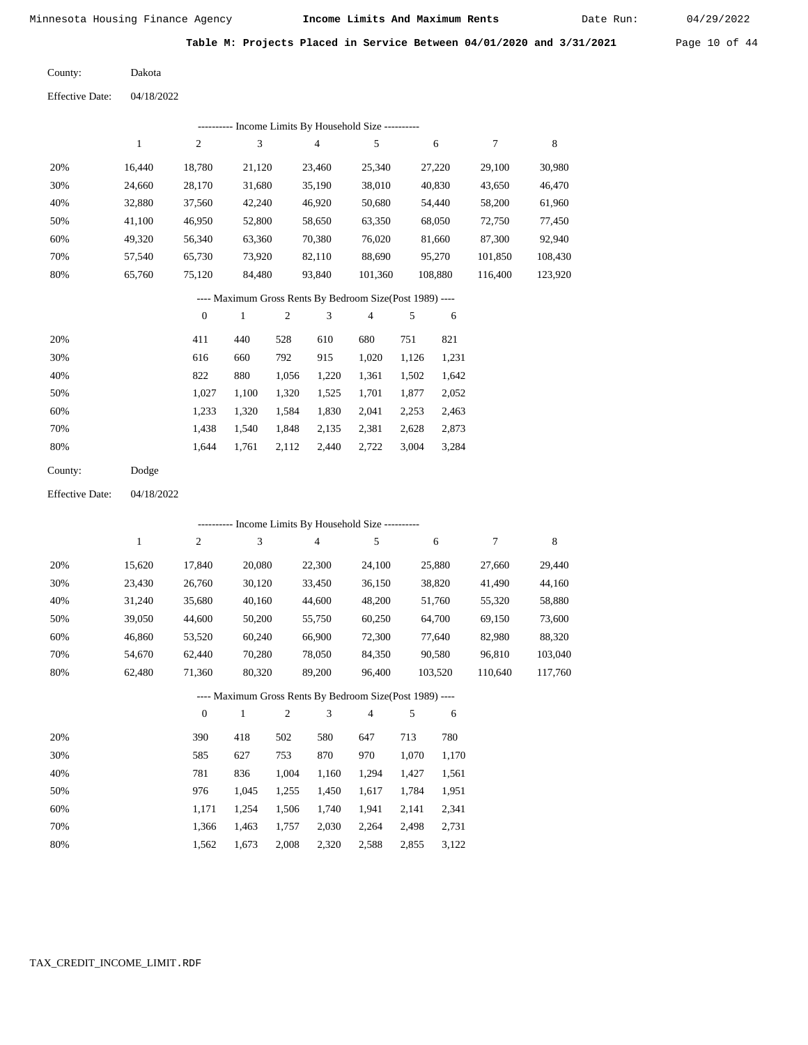Date Run:

**Table M: Projects Placed in Service Between 04/01/2020 and 3/31/2021** Page 10 of 44

| County: | Dakota |
|---------|--------|
|---------|--------|

Effective Date: 04/18/2022

|     | Income Limits By Household Size ---------- |        |        |        |         |         |         |         |  |  |  |
|-----|--------------------------------------------|--------|--------|--------|---------|---------|---------|---------|--|--|--|
|     |                                            | 2      | 3      | 4      | 5       | 6       | 7       | 8       |  |  |  |
| 20% | 16.440                                     | 18.780 | 21,120 | 23,460 | 25.340  | 27.220  | 29,100  | 30,980  |  |  |  |
| 30% | 24.660                                     | 28,170 | 31,680 | 35,190 | 38,010  | 40,830  | 43,650  | 46,470  |  |  |  |
| 40% | 32,880                                     | 37,560 | 42,240 | 46,920 | 50,680  | 54,440  | 58,200  | 61,960  |  |  |  |
| 50% | 41.100                                     | 46,950 | 52,800 | 58,650 | 63,350  | 68,050  | 72,750  | 77,450  |  |  |  |
| 60% | 49,320                                     | 56,340 | 63,360 | 70,380 | 76,020  | 81,660  | 87,300  | 92,940  |  |  |  |
| 70% | 57,540                                     | 65,730 | 73,920 | 82,110 | 88,690  | 95,270  | 101,850 | 108,430 |  |  |  |
| 80% | 65,760                                     | 75,120 | 84,480 | 93,840 | 101,360 | 108,880 | 116,400 | 123,920 |  |  |  |
|     |                                            |        |        |        |         |         |         |         |  |  |  |

---- Maximum Gross Rents By Bedroom Size(Post 1989) ----

|     | $\mathbf{0}$ |       | 2     | 3     | 4     | 5     | 6     |
|-----|--------------|-------|-------|-------|-------|-------|-------|
| 20% | 411          | 440   | 528   | 610   | 680   | 751   | 821   |
| 30% | 616          | 660   | 792   | 915   | 1,020 | 1,126 | 1,231 |
| 40% | 822          | 880   | 1.056 | 1,220 | 1,361 | 1,502 | 1,642 |
| 50% | 1,027        | 1,100 | 1,320 | 1,525 | 1,701 | 1,877 | 2,052 |
| 60% | 1,233        | 1,320 | 1,584 | 1,830 | 2,041 | 2,253 | 2,463 |
| 70% | 1.438        | 1.540 | 1,848 | 2,135 | 2,381 | 2,628 | 2,873 |
| 80% | 1,644        | 1,761 | 2,112 | 2,440 | 2,722 | 3,004 | 3,284 |
|     |              |       |       |       |       |       |       |

04/18/2022 Effective Date:

|     |        |                | --------- Income Limits By Household Size ----------     |                |                |        |       |         |         |         |
|-----|--------|----------------|----------------------------------------------------------|----------------|----------------|--------|-------|---------|---------|---------|
|     | 1      | $\overline{c}$ | 3                                                        |                | $\overline{4}$ | 5      |       | 6       | 7       | 8       |
| 20% | 15,620 | 17,840         | 20,080                                                   |                | 22,300         | 24,100 |       | 25,880  | 27,660  | 29,440  |
| 30% | 23,430 | 26,760         | 30,120                                                   |                | 33,450         | 36,150 |       | 38,820  | 41,490  | 44,160  |
| 40% | 31,240 | 35,680         | 40,160                                                   |                | 44,600         | 48,200 |       | 51,760  | 55,320  | 58,880  |
| 50% | 39,050 | 44,600         | 50,200                                                   |                | 55,750         | 60,250 |       | 64,700  | 69,150  | 73,600  |
| 60% | 46,860 | 53,520         | 60,240                                                   |                | 66,900         | 72,300 |       | 77,640  | 82,980  | 88,320  |
| 70% | 54,670 | 62,440         | 70,280                                                   |                | 78,050         | 84,350 |       | 90,580  | 96,810  | 103,040 |
| 80% | 62,480 | 71,360         | 80,320                                                   |                | 89,200         | 96,400 |       | 103,520 | 110,640 | 117,760 |
|     |        |                | ---- Maximum Gross Rents By Bedroom Size(Post 1989) ---- |                |                |        |       |         |         |         |
|     |        | $\mathbf{0}$   | 1                                                        | $\overline{2}$ | 3              | 4      | 5     | 6       |         |         |
| 20% |        | 390            | 418                                                      | 502            | 580            | 647    | 713   | 780     |         |         |
| 30% |        | 585            | 627                                                      | 753            | 870            | 970    | 1,070 | 1,170   |         |         |
| 40% |        | 781            | 836                                                      | 1,004          | 1,160          | 1,294  | 1,427 | 1,561   |         |         |
| 50% |        | 976            | 1,045                                                    | 1,255          | 1,450          | 1,617  | 1,784 | 1,951   |         |         |

|  |  | 1,366 1,463 1,757 2,030 2,264 2,498 2,731 |  |
|--|--|-------------------------------------------|--|
|  |  | 1,562 1,673 2,008 2,320 2,588 2,855 3,122 |  |

1,506

1,740

1,941

2,141

2,341

1,254

1,171

 60% 70% 80%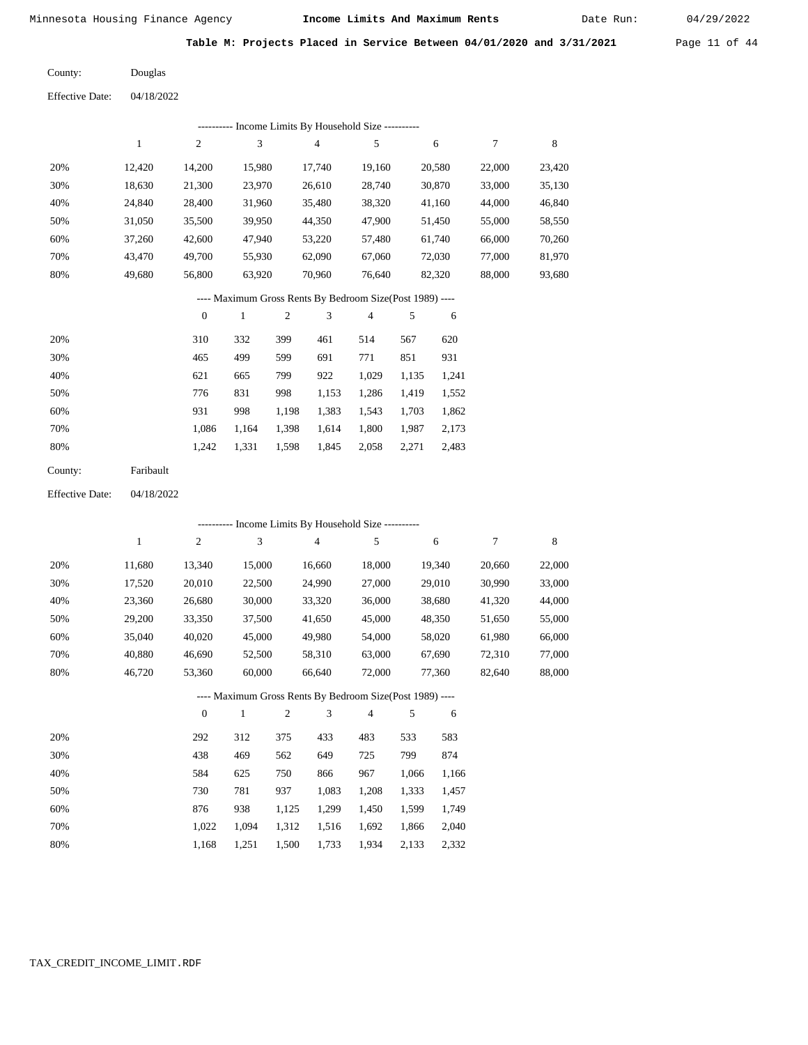Date Run:

**Table M: Projects Placed in Service Between 04/01/2020 and 3/31/2021** Page 11 of 44

Effective Date: 04/18/2022 Douglas County:

|                        |              |                  |                  |            | --------- Income Limits By Household Size ----------     |                |            |        |                  |             |
|------------------------|--------------|------------------|------------------|------------|----------------------------------------------------------|----------------|------------|--------|------------------|-------------|
|                        | $\,1$        | $\mathfrak{2}$   | $\mathfrak 3$    |            | $\overline{4}$                                           | 5              |            | 6      | $\boldsymbol{7}$ | $\,$ 8 $\,$ |
| 20%                    | 12,420       | 14,200           | 15,980           |            | 17,740                                                   | 19,160         |            | 20,580 | 22,000           | 23,420      |
| 30%                    | 18,630       | 21,300           | 23,970           |            | 26,610                                                   | 28,740         |            | 30,870 | 33,000           | 35,130      |
| 40%                    | 24,840       | 28,400           | 31,960           |            | 35,480                                                   | 38,320         | 41,160     |        | 44,000           | 46,840      |
| 50%                    | 31,050       | 35,500           | 39,950           |            | 44,350                                                   | 47,900         |            | 51,450 | 55,000           | 58,550      |
| 60%                    | 37,260       | 42,600           | 47,940           |            | 53,220                                                   | 57,480         |            | 61,740 | 66,000           | 70,260      |
| 70%                    | 43,470       | 49,700           | 55,930           |            | 62,090                                                   | 67,060         |            | 72,030 | 77,000           | 81,970      |
| 80%                    | 49,680       | 56,800           | 70,960<br>63,920 |            | 76,640                                                   |                | 82,320     | 88,000 | 93,680           |             |
|                        |              |                  |                  |            | ---- Maximum Gross Rents By Bedroom Size(Post 1989) ---- |                |            |        |                  |             |
|                        |              | $\boldsymbol{0}$ | $\mathbf{1}$     | $\sqrt{2}$ | 3                                                        | $\overline{4}$ | 5          | 6      |                  |             |
| 20%                    |              | 310              | 332              | 399        | 461                                                      | 514            | 567        | 620    |                  |             |
| 30%                    |              | 465              | 499              | 599        | 691                                                      | 771            | 851        | 931    |                  |             |
| 40%                    |              | 621              | 665              | 799        | 922                                                      | 1,029          | 1,135      | 1,241  |                  |             |
| 50%                    |              | 776              | 831              | 998        | 1,153                                                    | 1,286          | 1,419      | 1,552  |                  |             |
| 60%                    |              | 931              | 998              | 1,198      | 1,383                                                    | 1,543          | 1,703      | 1,862  |                  |             |
| 70%                    |              | 1,086            | 1,164            | 1,398      | 1,614                                                    | 1,800          | 1,987      | 2,173  |                  |             |
| 80%                    |              | 1,242            | 1,331            | 1,598      | 1,845                                                    | 2,058          | 2,271      | 2,483  |                  |             |
| County:                | Faribault    |                  |                  |            |                                                          |                |            |        |                  |             |
| <b>Effective Date:</b> | 04/18/2022   |                  |                  |            |                                                          |                |            |        |                  |             |
|                        |              |                  |                  |            | ---------- Income Limits By Household Size ----------    |                |            |        |                  |             |
|                        | $\mathbf{1}$ | $\mathfrak{2}$   | $\mathfrak 3$    |            | $\overline{4}$                                           | 5              |            | 6      | 7                | $\,$ 8 $\,$ |
| 20%                    | 11,680       | 13,340           | 15,000           |            | 16,660                                                   | 18,000         |            | 19,340 | 20,660           | 22,000      |
| 30%                    | 17,520       | 20,010           | 22,500           |            | 24,990                                                   | 27,000         |            | 29,010 | 30,990           | 33,000      |
| 40%                    | 23,360       | 26,680           | 30,000           |            | 33,320                                                   | 36,000         |            | 38,680 | 41,320           | 44,000      |
| 50%                    | 29,200       | 33,350           | 37,500           |            | 41,650                                                   | 45,000         |            | 48,350 | 51,650           | 55,000      |
| 60%                    | 35,040       | 40,020           | 45,000           |            | 49,980                                                   | 54,000         |            | 58,020 | 61,980           | 66,000      |
| 70%                    | 40,880       | 46,690           | 52,500           |            | 58,310                                                   | 63,000         |            | 67,690 | 72,310           | 77,000      |
| 80%                    | 46,720       | 53,360           | 60,000           |            | 66,640                                                   | 72,000         |            | 77,360 | 82,640           | 88,000      |
|                        |              |                  |                  |            | ---- Maximum Gross Rents By Bedroom Size(Post 1989) ---- |                |            |        |                  |             |
|                        |              | $\boldsymbol{0}$ | $\mathbf{1}$     | $\sqrt{2}$ | 3                                                        | 4              | $\sqrt{5}$ | 6      |                  |             |
| 20%                    |              | 292              | 312              | 375        | 433                                                      | 483            | 533        | 583    |                  |             |
| 30%                    |              | 438              | 469              | 562        | 649                                                      | 725            | 799        | 874    |                  |             |
| 40%                    |              | 584              | 625              | 750        | 866                                                      | 967            | 1,066      | 1,166  |                  |             |
| 50%                    |              | 730              | 781              | 937        | 1,083                                                    | 1,208          | 1,333      | 1,457  |                  |             |
| 60%                    |              | 876              | 938              | 1,125      | 1,299                                                    | 1,450          | 1,599      | 1,749  |                  |             |
| 70%                    |              | 1,022            | 1,094            | 1,312      | 1,516                                                    | 1,692          | 1,866      | 2,040  |                  |             |
| 80%                    |              | 1,168            | 1,251            | 1,500      | 1,733                                                    | 1,934          | 2,133      | 2,332  |                  |             |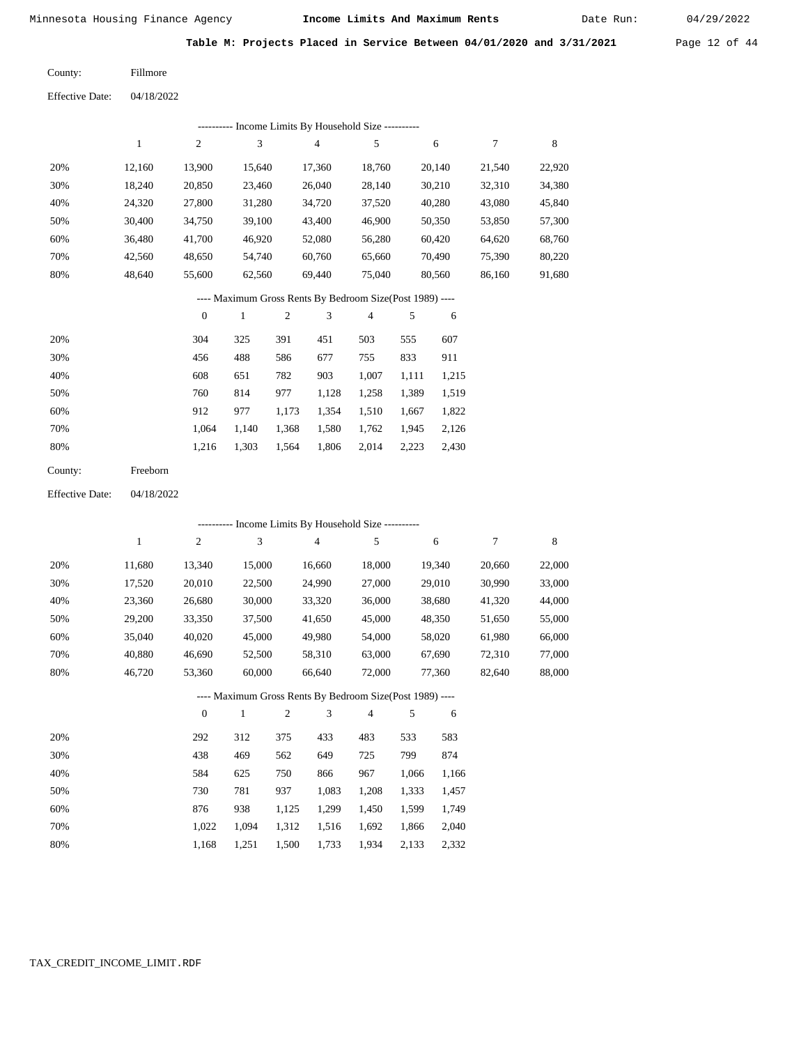Date Run:

**Table M: Projects Placed in Service Between 04/01/2020 and 3/31/2021** Page 12 of 44

Fillmore County:

04/18/2022 Effective Date:

|     | ---------- Income Limits By Household Size ---------- |        |        |        |        |        |        |        |  |  |  |  |  |
|-----|-------------------------------------------------------|--------|--------|--------|--------|--------|--------|--------|--|--|--|--|--|
|     |                                                       | 2      | 3      | 4      | 5      | 6      |        | 8      |  |  |  |  |  |
| 20% | 12.160                                                | 13.900 | 15.640 | 17.360 | 18.760 | 20.140 | 21.540 | 22,920 |  |  |  |  |  |
| 30% | 18.240                                                | 20,850 | 23,460 | 26,040 | 28,140 | 30,210 | 32,310 | 34,380 |  |  |  |  |  |
| 40% | 24,320                                                | 27,800 | 31,280 | 34,720 | 37,520 | 40,280 | 43,080 | 45,840 |  |  |  |  |  |
| 50% | 30,400                                                | 34,750 | 39,100 | 43,400 | 46,900 | 50,350 | 53,850 | 57,300 |  |  |  |  |  |
| 60% | 36.480                                                | 41,700 | 46,920 | 52,080 | 56,280 | 60,420 | 64,620 | 68,760 |  |  |  |  |  |
| 70% | 42.560                                                | 48,650 | 54.740 | 60,760 | 65,660 | 70.490 | 75,390 | 80,220 |  |  |  |  |  |
| 80% | 48,640                                                | 55,600 | 62,560 | 69,440 | 75,040 | 80,560 | 86,160 | 91,680 |  |  |  |  |  |
|     |                                                       |        |        |        |        |        |        |        |  |  |  |  |  |

### ---- Maximum Gross Rents By Bedroom Size(Post 1989) ----

|     | $\mathbf{0}$ |       | 2     | 3     | 4     | 5     | 6     |
|-----|--------------|-------|-------|-------|-------|-------|-------|
| 20% | 304          | 325   | 391   | 451   | 503   | 555   | 607   |
| 30% | 456          | 488   | 586   | 677   | 755   | 833   | 911   |
| 40% | 608          | 651   | 782   | 903   | 1,007 | 1,111 | 1,215 |
| 50% | 760          | 814   | 977   | 1,128 | 1,258 | 1,389 | 1,519 |
| 60% | 912          | 977   | 1,173 | 1,354 | 1,510 | 1,667 | 1,822 |
| 70% | 1.064        | 1.140 | 1,368 | 1,580 | 1,762 | 1,945 | 2,126 |
| 80% | 1,216        | 1,303 | 1,564 | 1,806 | 2,014 | 2,223 | 2,430 |
|     |              |       |       |       |       |       |       |

| County: | Freeborn |
|---------|----------|
|---------|----------|

04/18/2022 Effective Date:

|     |        |                  |              |                |        | ---------- Income Limits By Household Size ----------    |       |        |        |             |
|-----|--------|------------------|--------------|----------------|--------|----------------------------------------------------------|-------|--------|--------|-------------|
|     | 1      | $\boldsymbol{2}$ | 3            |                | 4      | 5                                                        |       | 6      | $\tau$ | $\,$ 8 $\,$ |
| 20% | 11,680 | 13,340           | 15,000       |                | 16,660 | 18,000                                                   |       | 19,340 | 20,660 | 22,000      |
| 30% | 17,520 | 20,010           | 22,500       |                | 24,990 | 27,000                                                   |       | 29,010 | 30,990 | 33,000      |
| 40% | 23,360 | 26,680           | 30,000       |                | 33,320 | 36,000                                                   |       | 38,680 | 41,320 | 44,000      |
| 50% | 29,200 | 33,350           | 37,500       |                | 41,650 | 45,000                                                   |       | 48,350 | 51,650 | 55,000      |
| 60% | 35,040 | 40,020           | 45,000       |                | 49,980 | 54,000                                                   |       | 58,020 | 61,980 | 66,000      |
| 70% | 40,880 | 46,690           | 52,500       |                | 58,310 | 63,000                                                   |       | 67,690 | 72,310 | 77,000      |
| 80% | 46,720 | 53,360           | 60,000       |                | 66,640 | 72,000                                                   |       | 77,360 | 82,640 | 88,000      |
|     |        |                  |              |                |        | ---- Maximum Gross Rents By Bedroom Size(Post 1989) ---- |       |        |        |             |
|     |        | $\theta$         | $\mathbf{1}$ | $\overline{2}$ | 3      | 4                                                        | 5     | 6      |        |             |
| 20% |        | 292              | 312          | 375            | 433    | 483                                                      | 533   | 583    |        |             |
| 30% |        | 438              | 469          | 562            | 649    | 725                                                      | 799   | 874    |        |             |
| 40% |        | 584              | 625          | 750            | 866    | 967                                                      | 1,066 | 1,166  |        |             |
| 50% |        | 730              | 781          | 937            | 1,083  | 1,208                                                    | 1,333 | 1,457  |        |             |
| 60% |        | 876              | 938          | 1,125          | 1,299  | 1,450                                                    | 1,599 | 1,749  |        |             |
| 70% |        | 1,022            | 1,094        | 1,312          | 1,516  | 1,692                                                    | 1,866 | 2,040  |        |             |

1,168 1,251 1,500 1,733 1,934 2,133 2,332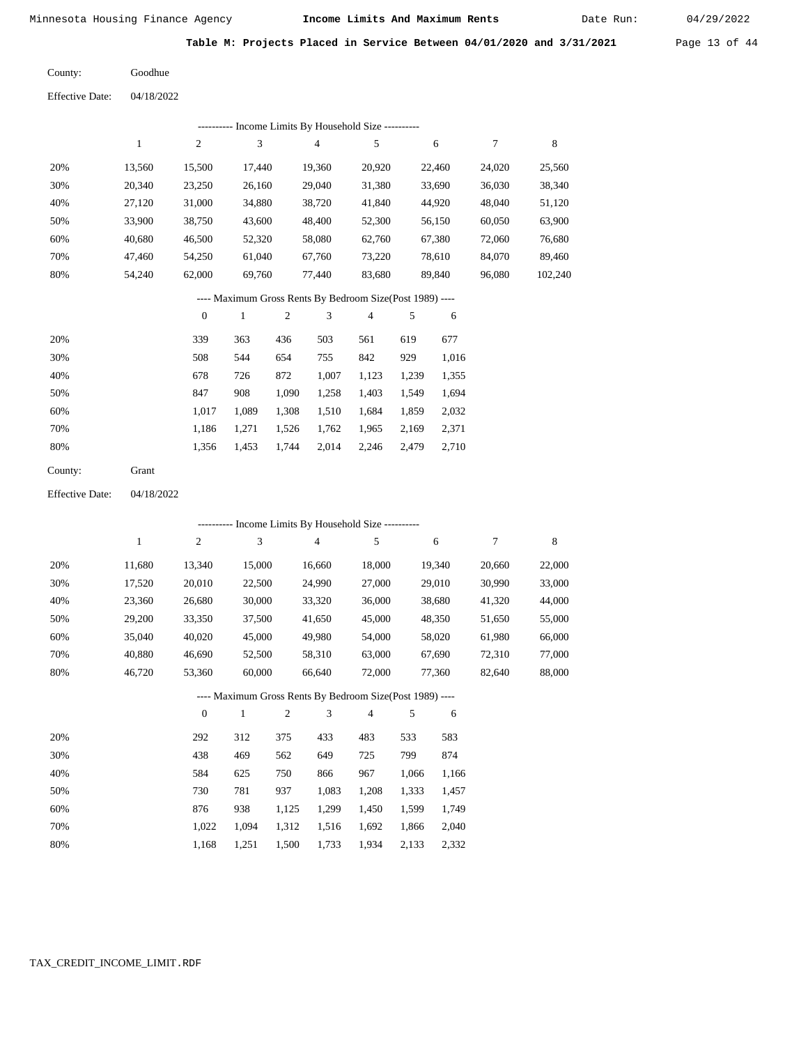Date Run:

**Table M: Projects Placed in Service Between 04/01/2020 and 3/31/2021** Page 13 of 44

04/18/2022 Goodhue County: Effective Date:

|     |        |                  |              |                |        | ---------- Income Limits By Household Size ----------    |       |        |        |         |
|-----|--------|------------------|--------------|----------------|--------|----------------------------------------------------------|-------|--------|--------|---------|
|     | 1      | 2                | 3            |                | 4      | 5                                                        |       | 6      | 7      | 8       |
| 20% | 13,560 | 15,500           | 17,440       |                | 19,360 | 20,920                                                   |       | 22,460 | 24,020 | 25,560  |
| 30% | 20,340 | 23,250           | 26,160       |                | 29,040 | 31,380                                                   |       | 33,690 | 36,030 | 38,340  |
| 40% | 27,120 | 31,000           | 34,880       |                | 38,720 | 41,840                                                   |       | 44,920 | 48,040 | 51,120  |
| 50% | 33,900 | 38,750           | 43,600       |                | 48,400 | 52,300                                                   |       | 56,150 | 60,050 | 63,900  |
| 60% | 40,680 | 46,500           | 52,320       |                | 58,080 | 62,760                                                   |       | 67,380 | 72,060 | 76,680  |
| 70% | 47,460 | 54,250           | 61,040       |                | 67,760 | 73,220                                                   |       | 78,610 | 84,070 | 89,460  |
| 80% | 54,240 | 62,000           | 69,760       |                | 77,440 | 83,680                                                   |       | 89,840 | 96,080 | 102,240 |
|     |        |                  |              |                |        | ---- Maximum Gross Rents By Bedroom Size(Post 1989) ---- |       |        |        |         |
|     |        | $\boldsymbol{0}$ | $\mathbf{1}$ | $\overline{2}$ | 3      | 4                                                        | 5     | 6      |        |         |
| 20% |        | 339              | 363          | 436            | 503    | 561                                                      | 619   | 677    |        |         |
| 30% |        | 508              | 544          | 654            | 755    | 842                                                      | 929   | 1,016  |        |         |
| 40% |        | 678              | 726          | 872            | 1,007  | 1,123                                                    | 1,239 | 1,355  |        |         |
| 50% |        | 847              | 908          | 1,090          | 1,258  | 1,403                                                    | 1,549 | 1,694  |        |         |
| 60% |        | 1,017            | 1,089        | 1,308          | 1,510  | 1,684                                                    | 1,859 | 2,032  |        |         |

| County: | Grant |
|---------|-------|

 70% 80%

 70% 80%

04/18/2022 Effective Date:

 1,186 1,356

 1,271 1,453  1,526 1,744  1,762 2,014

 1,965 2,246

 2,169 2,479  2,371 2,710

 1,022 1,168

 1,094 1,251

|     | ---------- Income Limits By Household Size ---------- |                |        |                |                |                                                          |       |        |        |        |  |  |  |
|-----|-------------------------------------------------------|----------------|--------|----------------|----------------|----------------------------------------------------------|-------|--------|--------|--------|--|--|--|
|     | 1                                                     | $\overline{c}$ | 3      |                | $\overline{4}$ | 5                                                        |       | 6      | $\tau$ | 8      |  |  |  |
| 20% | 11,680                                                | 13,340         | 15,000 |                | 16,660         | 18,000                                                   |       | 19,340 | 20,660 | 22,000 |  |  |  |
| 30% | 17,520                                                | 20,010         | 22,500 |                | 24,990         | 27,000                                                   |       | 29,010 | 30,990 | 33,000 |  |  |  |
| 40% | 23,360                                                | 26,680         | 30,000 |                | 33,320         | 36,000                                                   |       | 38,680 | 41,320 | 44,000 |  |  |  |
| 50% | 29,200                                                | 33,350         | 37,500 |                | 41,650         | 45,000                                                   |       | 48,350 | 51,650 | 55,000 |  |  |  |
| 60% | 35,040                                                | 40,020         | 45,000 |                | 49,980         | 54,000                                                   |       | 58,020 | 61,980 | 66,000 |  |  |  |
| 70% | 40,880                                                | 46,690         | 52,500 |                | 58,310         | 63,000                                                   |       | 67,690 | 72,310 | 77,000 |  |  |  |
| 80% | 46,720                                                | 53,360         | 60,000 |                | 66,640         | 72,000                                                   |       | 77,360 | 82,640 | 88,000 |  |  |  |
|     |                                                       |                |        |                |                | ---- Maximum Gross Rents By Bedroom Size(Post 1989) ---- |       |        |        |        |  |  |  |
|     |                                                       | $\overline{0}$ | 1      | $\mathfrak{2}$ | 3              | 4                                                        | 5     | 6      |        |        |  |  |  |
| 20% |                                                       | 292            | 312    | 375            | 433            | 483                                                      | 533   | 583    |        |        |  |  |  |
| 30% |                                                       | 438            | 469    | 562            | 649            | 725                                                      | 799   | 874    |        |        |  |  |  |
| 40% |                                                       | 584            | 625    | 750            | 866            | 967                                                      | 1,066 | 1,166  |        |        |  |  |  |
| 50% |                                                       | 730            | 781    | 937            | 1,083          | 1,208                                                    | 1,333 | 1,457  |        |        |  |  |  |
| 60% |                                                       | 876            | 938    | 1,125          | 1,299          | 1,450                                                    | 1,599 | 1,749  |        |        |  |  |  |

 1,312 1,516 1,500

1,733

 1,692 1,934

 1,866 2,133  2,040 2,332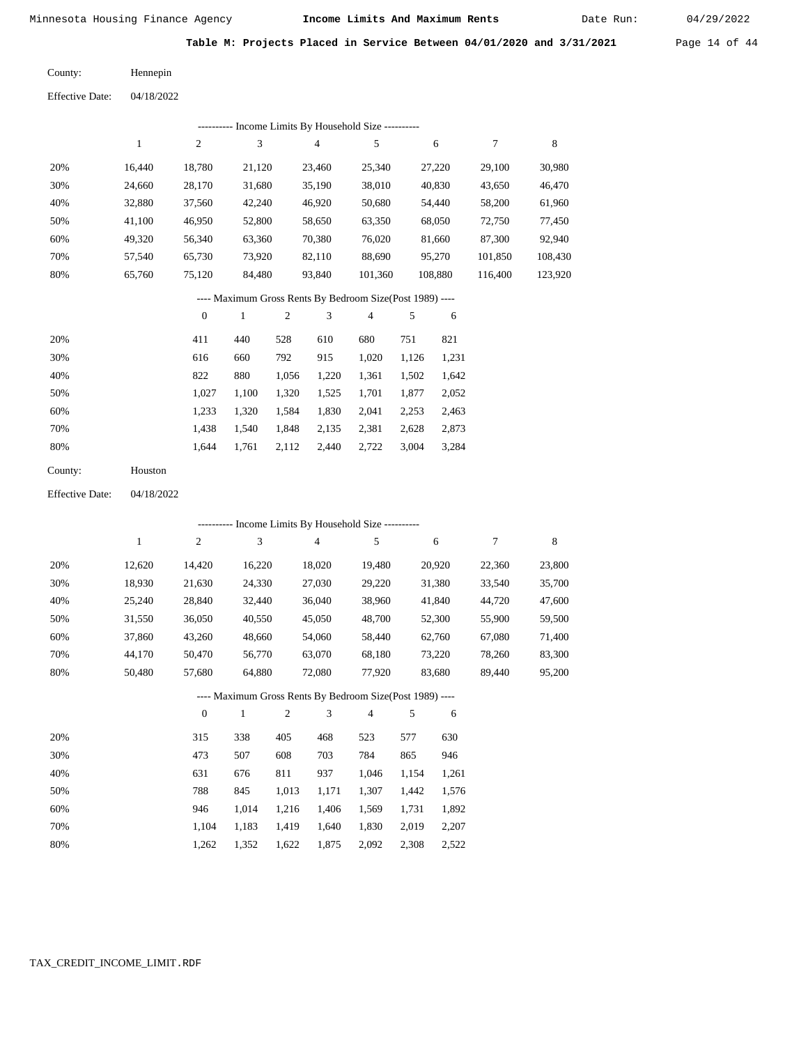Date Run:

**Table M: Projects Placed in Service Between 04/01/2020 and 3/31/2021** Page 14 of 44

Hennepin County:

04/18/2022 Effective Date:

| ---------- Income Limits By Household Size ---------- |        |        |        |        |         |         |         |         |  |  |  |  |
|-------------------------------------------------------|--------|--------|--------|--------|---------|---------|---------|---------|--|--|--|--|
|                                                       |        | 2      | 3      | 4      | 5       | 6       |         | 8       |  |  |  |  |
| 20%                                                   | 16.440 | 18,780 | 21,120 | 23,460 | 25,340  | 27,220  | 29,100  | 30,980  |  |  |  |  |
| 30%                                                   | 24,660 | 28,170 | 31,680 | 35,190 | 38,010  | 40,830  | 43,650  | 46,470  |  |  |  |  |
| 40%                                                   | 32,880 | 37,560 | 42,240 | 46,920 | 50,680  | 54,440  | 58,200  | 61,960  |  |  |  |  |
| 50%                                                   | 41.100 | 46,950 | 52,800 | 58,650 | 63,350  | 68,050  | 72,750  | 77,450  |  |  |  |  |
| 60%                                                   | 49.320 | 56,340 | 63,360 | 70,380 | 76,020  | 81,660  | 87,300  | 92,940  |  |  |  |  |
| 70%                                                   | 57.540 | 65,730 | 73.920 | 82,110 | 88.690  | 95,270  | 101,850 | 108,430 |  |  |  |  |
| 80%                                                   | 65,760 | 75,120 | 84,480 | 93,840 | 101.360 | 108,880 | 116.400 | 123,920 |  |  |  |  |

### ---- Maximum Gross Rents By Bedroom Size(Post 1989) ----

|     | $\mathbf{0}$ |       | $\overline{c}$ | 3     | 4     | 5     | 6     |
|-----|--------------|-------|----------------|-------|-------|-------|-------|
| 20% | 411          | 440   | 528            | 610   | 680   | 751   | 821   |
| 30% | 616          | 660   | 792            | 915   | 1,020 | 1,126 | 1,231 |
| 40% | 822          | 880   | 1,056          | 1,220 | 1,361 | 1,502 | 1,642 |
| 50% | 1.027        | 1,100 | 1,320          | 1,525 | 1,701 | 1,877 | 2,052 |
| 60% | 1,233        | 1,320 | 1,584          | 1,830 | 2,041 | 2,253 | 2,463 |
| 70% | 1,438        | 1,540 | 1,848          | 2,135 | 2,381 | 2,628 | 2,873 |
| 80% | 1,644        | 1,761 | 2,112          | 2,440 | 2,722 | 3,004 | 3,284 |
|     |              |       |                |       |       |       |       |

| Houston |
|---------|
|         |

04/18/2022 Effective Date:

|     |        |                |        |                |                | ---------- Income Limits By Household Size ----------    |       |        |        |        |
|-----|--------|----------------|--------|----------------|----------------|----------------------------------------------------------|-------|--------|--------|--------|
|     | 1      | $\overline{c}$ | 3      |                | $\overline{4}$ | 5                                                        |       | 6      | 7      | 8      |
| 20% | 12,620 | 14,420         | 16,220 |                | 18,020         | 19,480                                                   |       | 20,920 | 22,360 | 23,800 |
| 30% | 18,930 | 21,630         | 24,330 |                | 27,030         | 29,220                                                   |       | 31,380 | 33,540 | 35,700 |
| 40% | 25,240 | 28,840         | 32,440 |                | 36,040         | 38,960                                                   |       | 41,840 | 44,720 | 47,600 |
| 50% | 31,550 | 36,050         | 40,550 |                | 45,050         | 48,700                                                   |       | 52,300 | 55,900 | 59,500 |
| 60% | 37,860 | 43,260         | 48,660 |                | 54,060         | 58,440                                                   |       | 62,760 | 67,080 | 71,400 |
| 70% | 44,170 | 50,470         | 56,770 |                | 63,070         | 68,180                                                   |       | 73,220 | 78,260 | 83,300 |
| 80% | 50,480 | 57,680         | 64,880 |                | 72,080         | 77,920                                                   |       | 83,680 | 89,440 | 95,200 |
|     |        |                |        |                |                | ---- Maximum Gross Rents By Bedroom Size(Post 1989) ---- |       |        |        |        |
|     |        | $\theta$       | 1      | $\overline{c}$ | 3              | $\overline{4}$                                           | 5     | 6      |        |        |
| 20% |        | 315            | 338    | 405            | 468            | 523                                                      | 577   | 630    |        |        |
| 30% |        | 473            | 507    | 608            | 703            | 784                                                      | 865   | 946    |        |        |
| 40% |        | 631            | 676    | 811            | 937            | 1,046                                                    | 1,154 | 1,261  |        |        |
| 50% |        | 788            | 845    | 1,013          | 1,171          | 1,307                                                    | 1,442 | 1,576  |        |        |
| 60% |        | 946            | 1,014  | 1,216          | 1,406          | 1,569                                                    | 1,731 | 1,892  |        |        |
| 70% |        | 1,104          | 1,183  | 1,419          | 1,640          | 1,830                                                    | 2,019 | 2,207  |        |        |

1,262

1,352

1,622

1,875

2,092

2,308

2,522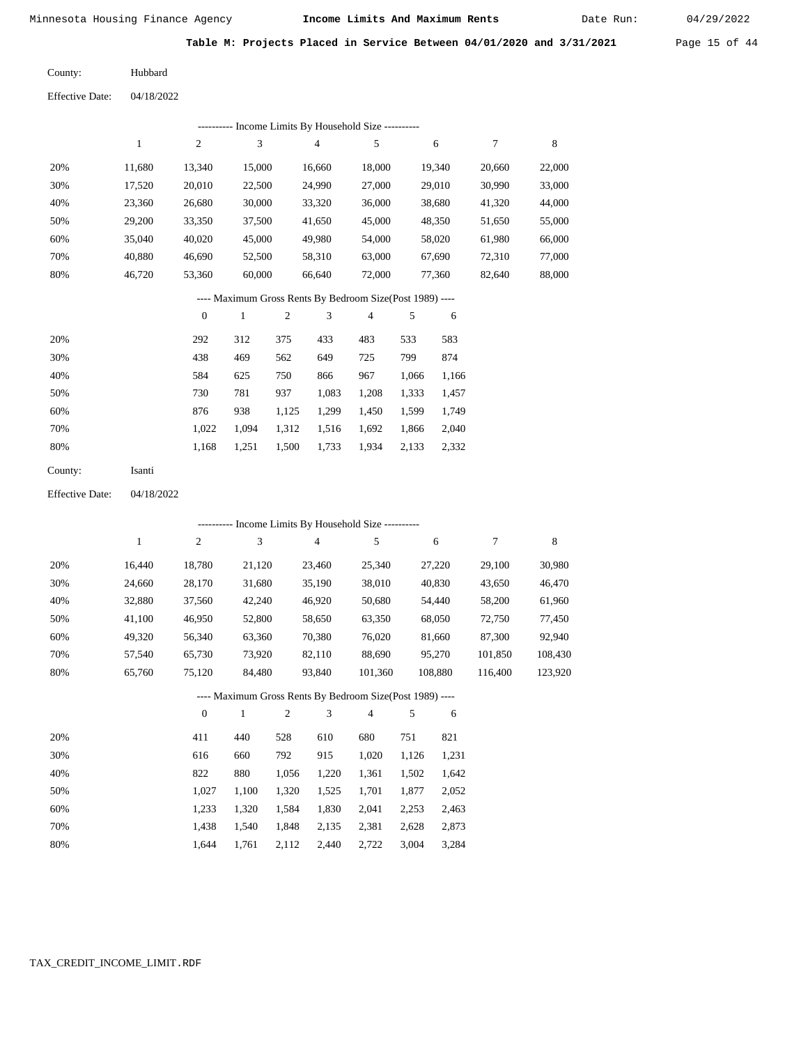Date Run:

**Table M: Projects Placed in Service Between 04/01/2020 and 3/31/2021** Page 15 of 44

 $04/18/2022$ Hubbard County:  $Eff$ ective Da

| Effective Date: | 04/18/2022 |  |
|-----------------|------------|--|
|                 |            |  |
|                 |            |  |

| Income Limits By Household Size ---------- |        |        |        |        |        |        |        |        |  |  |  |  |
|--------------------------------------------|--------|--------|--------|--------|--------|--------|--------|--------|--|--|--|--|
|                                            |        | 2      | 3      | 4      | 5      | 6      |        | 8      |  |  |  |  |
| 20%                                        | 11.680 | 13.340 | 15,000 | 16.660 | 18,000 | 19.340 | 20,660 | 22,000 |  |  |  |  |
| 30%                                        | 17,520 | 20,010 | 22,500 | 24,990 | 27,000 | 29,010 | 30,990 | 33,000 |  |  |  |  |
| 40%                                        | 23,360 | 26,680 | 30,000 | 33,320 | 36,000 | 38,680 | 41,320 | 44,000 |  |  |  |  |
| 50%                                        | 29,200 | 33,350 | 37,500 | 41,650 | 45,000 | 48,350 | 51,650 | 55,000 |  |  |  |  |
| 60%                                        | 35,040 | 40,020 | 45,000 | 49,980 | 54,000 | 58,020 | 61,980 | 66,000 |  |  |  |  |
| 70%                                        | 40.880 | 46.690 | 52,500 | 58,310 | 63,000 | 67.690 | 72,310 | 77,000 |  |  |  |  |
| 80%                                        | 46.720 | 53,360 | 60,000 | 66,640 | 72,000 | 77,360 | 82,640 | 88,000 |  |  |  |  |

### ---- Maximum Gross Rents By Bedroom Size(Post 1989) ----

|     | $\mathbf{0}$ |       | 2     | 3     | 4     | 5     | 6     |
|-----|--------------|-------|-------|-------|-------|-------|-------|
| 20% | 292          | 312   | 375   | 433   | 483   | 533   | 583   |
| 30% | 438          | 469   | 562   | 649   | 725   | 799   | 874   |
| 40% | 584          | 625   | 750   | 866   | 967   | 1,066 | 1,166 |
| 50% | 730          | 781   | 937   | 1,083 | 1,208 | 1,333 | 1,457 |
| 60% | 876          | 938   | 1,125 | 1.299 | 1,450 | 1,599 | 1,749 |
| 70% | 1.022        | 1.094 | 1,312 | 1,516 | 1,692 | 1,866 | 2,040 |
| 80% | 1,168        | 1,251 | 1,500 | 1,733 | 1,934 | 2,133 | 2,332 |
|     |              |       |       |       |       |       |       |

| County: | Isanti |
|---------|--------|
|---------|--------|

Effective Date: 04/18/2022

|       |        |               |        |                |                 | ---------- Income Limits By Household Size ----------    |                   |         |         |         |
|-------|--------|---------------|--------|----------------|-----------------|----------------------------------------------------------|-------------------|---------|---------|---------|
|       | 1      | 2             | 3      |                | $\overline{4}$  | 5                                                        |                   | 6       | 7       | 8       |
| 20%   | 16,440 | 18,780        | 21,120 |                | 23,460          | 25,340                                                   |                   | 27,220  | 29,100  | 30,980  |
| 30%   | 24,660 | 28,170        | 31,680 |                | 35,190          | 38,010                                                   |                   | 40,830  | 43,650  | 46,470  |
| 40%   | 32,880 | 37,560        | 42,240 |                | 46,920          | 50,680                                                   |                   | 54,440  | 58,200  | 61,960  |
| 50%   | 41,100 | 46,950        | 52,800 |                | 58,650          | 63,350                                                   |                   | 68,050  | 72,750  | 77,450  |
| 60%   | 49,320 | 56,340        | 63,360 |                | 70,380          | 76,020                                                   |                   | 81,660  | 87,300  | 92,940  |
| 70%   | 57,540 | 65,730        | 73,920 |                | 82,110          | 88,690                                                   |                   | 95,270  | 101,850 | 108,430 |
| 80%   | 65,760 | 75,120        | 84,480 |                | 93.840          | 101,360                                                  |                   | 108,880 | 116,400 | 123,920 |
|       |        |               |        |                |                 | ---- Maximum Gross Rents By Bedroom Size(Post 1989) ---- |                   |         |         |         |
|       |        | $\theta$      | 1      | $\overline{c}$ | 3               | $\overline{4}$                                           | 5                 | 6       |         |         |
| 20%   |        | 411           | 440    | 528            | 610             | 680                                                      | 751               | 821     |         |         |
| 0.001 |        | $\sim$ $\sim$ | $\sim$ | $\sim$         | 01 <sup>2</sup> | 1.020                                                    | 1.10 <sub>2</sub> | 1.221   |         |         |

| 30% | 616   | 660   | 792   | 915   | 1.020 | 1.126 | 1,231 |
|-----|-------|-------|-------|-------|-------|-------|-------|
| 40% | 822   | 880   | 1.056 | 1.220 | 1.361 | 1.502 | 1,642 |
| 50% | 1.027 | 1.100 | 1.320 | 1.525 | 1.701 | 1.877 | 2,052 |
| 60% | 1.233 | 1.320 | 1.584 | 1.830 | 2.041 | 2.253 | 2.463 |
| 70% | 1.438 | 1.540 | 1.848 | 2.135 | 2,381 | 2.628 | 2,873 |
| 80% | 1.644 | 1.761 | 2,112 | 2,440 | 2.722 | 3,004 | 3,284 |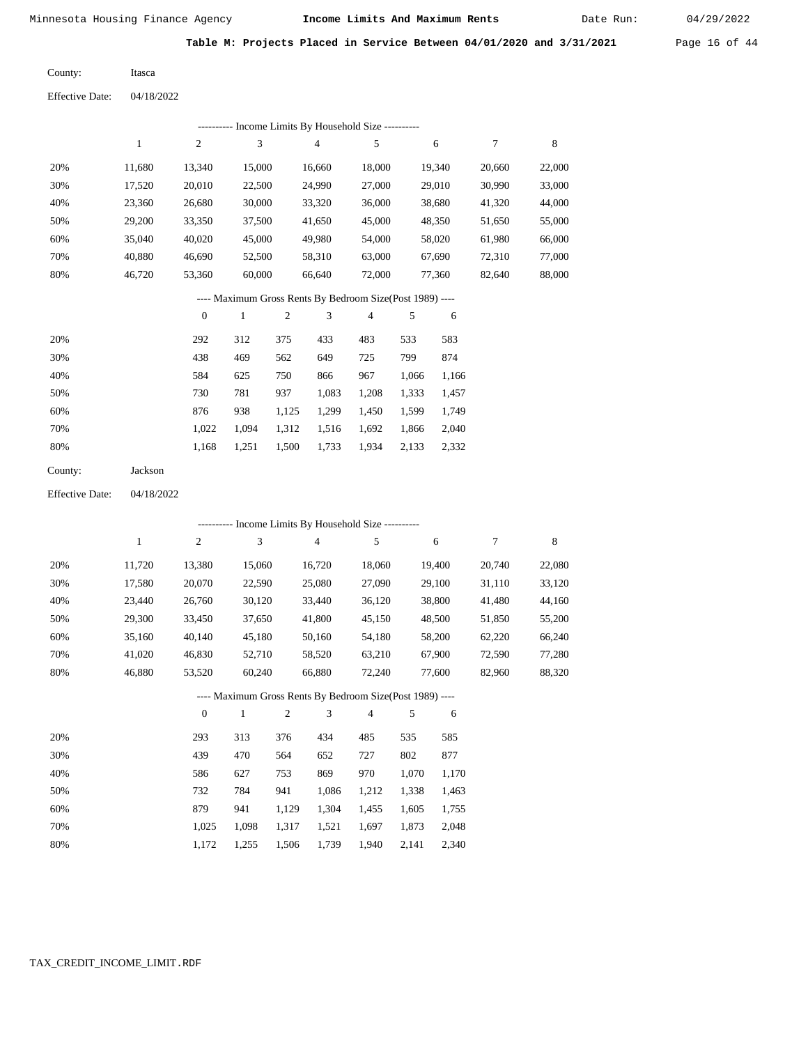Itasca

Minnesota Housing Finance Agency **Income Limits And Maximum Rents** 04/29/2022

Date Run:

**Table M: Projects Placed in Service Between 04/01/2020 and 3/31/2021** Page 16 of 44

County:

04/18/2022 Effective Date:

|     |              |                | ---------- Income Limits By Household Size ----------    |     |        |                |       |        |        |        |
|-----|--------------|----------------|----------------------------------------------------------|-----|--------|----------------|-------|--------|--------|--------|
|     | $\mathbf{1}$ | $\overline{c}$ | 3                                                        |     | 4      | 5              |       | 6      | $\tau$ | 8      |
| 20% | 11,680       | 13,340         | 15,000                                                   |     | 16,660 | 18,000         |       | 19,340 | 20,660 | 22,000 |
| 30% | 17,520       | 20,010         | 22,500                                                   |     | 24,990 | 27,000         |       | 29,010 | 30,990 | 33,000 |
| 40% | 23,360       | 26,680         | 30,000                                                   |     | 33,320 | 36,000         |       | 38,680 | 41,320 | 44,000 |
| 50% | 29,200       | 33,350         | 37,500                                                   |     | 41,650 | 45,000         |       | 48,350 | 51,650 | 55,000 |
| 60% | 35,040       | 40,020         | 45,000                                                   |     | 49,980 | 54,000         |       | 58,020 | 61,980 | 66,000 |
| 70% | 40,880       | 46,690         | 52,500                                                   |     | 58,310 | 63,000         |       | 67,690 | 72,310 | 77,000 |
| 80% | 46,720       | 53,360         | 60,000                                                   |     | 66,640 | 72,000         |       | 77,360 | 82,640 | 88,000 |
|     |              |                | ---- Maximum Gross Rents By Bedroom Size(Post 1989) ---- |     |        |                |       |        |        |        |
|     |              | $\mathbf{0}$   | 1                                                        | 2   | 3      | $\overline{4}$ | 5     | 6      |        |        |
| 20% |              | 292            | 312                                                      | 375 | 433    | 483            | 533   | 583    |        |        |
| 30% |              | 438            | 469                                                      | 562 | 649    | 725            | 799   | 874    |        |        |
| 40% |              | 584            | 625                                                      | 750 | 866    | 967            | 1,066 | 1,166  |        |        |
| 50% |              | 730            | 781                                                      | 937 | 1,083  | 1,208          | 1,333 | 1,457  |        |        |

| 60% | 876 | 938 1.125 1.299 1.450 1.599 1.749         |  |  |  |
|-----|-----|-------------------------------------------|--|--|--|
| 70% |     | 1,022 1,094 1,312 1,516 1,692 1,866 2,040 |  |  |  |
| 80% |     | 1,168 1,251 1,500 1,733 1,934 2,133 2,332 |  |  |  |

| County: | Jackson |
|---------|---------|
|---------|---------|

04/18/2022 Effective Date:

|     |              |                |        |                | ---------- Income Limits By Household Size ----------    |                |       |        |        |        |
|-----|--------------|----------------|--------|----------------|----------------------------------------------------------|----------------|-------|--------|--------|--------|
|     | $\mathbf{1}$ | $\overline{c}$ | 3      |                | $\overline{4}$                                           | 5              |       | 6      | 7      | 8      |
| 20% | 11,720       | 13,380         | 15,060 |                | 16,720                                                   | 18,060         |       | 19,400 | 20,740 | 22,080 |
| 30% | 17,580       | 20,070         | 22,590 |                | 25,080                                                   | 27,090         |       | 29,100 | 31,110 | 33,120 |
| 40% | 23,440       | 26,760         | 30,120 |                | 33,440                                                   | 36,120         |       | 38,800 | 41,480 | 44,160 |
| 50% | 29,300       | 33,450         | 37,650 |                | 41,800                                                   | 45,150         |       | 48,500 | 51,850 | 55,200 |
| 60% | 35,160       | 40,140         | 45,180 |                | 50,160                                                   | 54,180         |       | 58,200 | 62,220 | 66,240 |
| 70% | 41,020       | 46,830         | 52,710 |                | 58,520                                                   | 63,210         |       | 67,900 | 72,590 | 77,280 |
| 80% | 46,880       | 53,520         | 60,240 |                | 66,880                                                   | 72,240         |       | 77,600 | 82,960 | 88,320 |
|     |              |                |        |                | ---- Maximum Gross Rents By Bedroom Size(Post 1989) ---- |                |       |        |        |        |
|     |              | $\mathbf{0}$   | 1      | $\overline{2}$ | 3                                                        | $\overline{4}$ | 5     | 6      |        |        |
| 20% |              | 293            | 313    | 376            | 434                                                      | 485            | 535   | 585    |        |        |
| 30% |              | 439            | 470    | 564            | 652                                                      | 727            | 802   | 877    |        |        |
| 40% |              | 586            | 627    | 753            | 869                                                      | 970            | 1,070 | 1,170  |        |        |
| 50% |              | 732            | 784    | 941            | 1,086                                                    | 1,212          | 1,338 | 1,463  |        |        |
| 60% |              | 879            | 941    | 1,129          | 1,304                                                    | 1,455          | 1,605 | 1,755  |        |        |

1,317 1,521 1,697 1,873

1,940 2,141

 2,048 2,340

1,739

### TAX\_CREDIT\_INCOME\_LIMIT.RDF

 1,025 1,172

 1,098 1,255

1,506

 70% 80%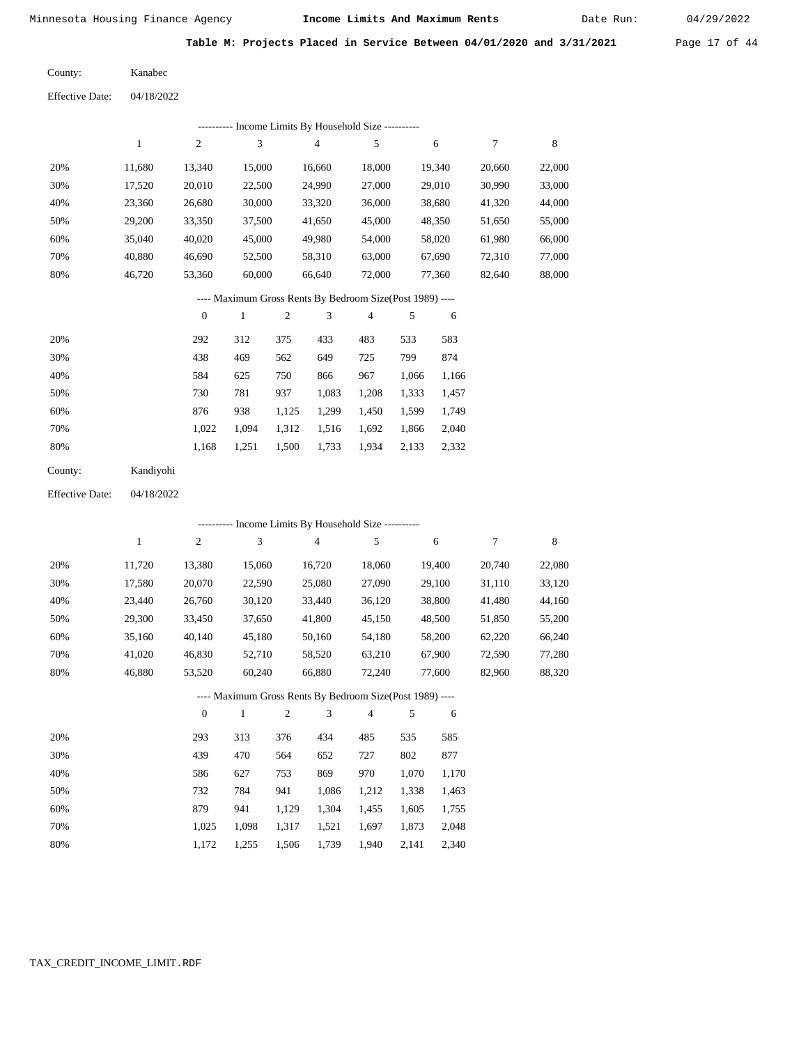Date Run:

**Table M: Projects Placed in Service Between 04/01/2020 and 3/31/2021** Page 17 of 44

| County: | Kanabec |
|---------|---------|
|         |         |

| 04/18/2022<br><b>Effective Date:</b> |
|--------------------------------------|
|--------------------------------------|

|     |        |        |        | - Income Limits By Household Size ---------- |        |        |        |        |
|-----|--------|--------|--------|----------------------------------------------|--------|--------|--------|--------|
|     |        | 2      | 3      | 4                                            | 5      | 6      | 7      | 8      |
| 20% | 11.680 | 13.340 | 15,000 | 16,660                                       | 18,000 | 19.340 | 20,660 | 22,000 |
| 30% | 17,520 | 20,010 | 22,500 | 24,990                                       | 27,000 | 29,010 | 30,990 | 33,000 |
| 40% | 23,360 | 26,680 | 30,000 | 33,320                                       | 36,000 | 38.680 | 41,320 | 44,000 |
| 50% | 29,200 | 33,350 | 37,500 | 41,650                                       | 45,000 | 48,350 | 51,650 | 55,000 |
| 60% | 35,040 | 40,020 | 45,000 | 49,980                                       | 54,000 | 58,020 | 61,980 | 66,000 |
| 70% | 40.880 | 46.690 | 52,500 | 58,310                                       | 63,000 | 67.690 | 72,310 | 77,000 |
| 80% | 46,720 | 53,360 | 60,000 | 66,640                                       | 72,000 | 77,360 | 82,640 | 88,000 |
|     |        |        |        |                                              |        |        |        |        |

### ---- Maximum Gross Rents By Bedroom Size(Post 1989) ----

|     | $\mathbf{0}$ |       | $\overline{c}$ | 3     | 4     | 5     | 6     |
|-----|--------------|-------|----------------|-------|-------|-------|-------|
| 20% | 292          | 312   | 375            | 433   | 483   | 533   | 583   |
| 30% | 438          | 469   | 562            | 649   | 725   | 799   | 874   |
| 40% | 584          | 625   | 750            | 866   | 967   | 1,066 | 1,166 |
| 50% | 730          | 781   | 937            | 1,083 | 1,208 | 1,333 | 1,457 |
| 60% | 876          | 938   | 1,125          | 1,299 | 1,450 | 1,599 | 1,749 |
| 70% | 1.022        | 1.094 | 1,312          | 1,516 | 1,692 | 1,866 | 2,040 |
| 80% | 1,168        | 1,251 | 1,500          | 1,733 | 1,934 | 2,133 | 2,332 |
|     |              |       |                |       |       |       |       |

| County: | Kandiyohi |
|---------|-----------|
|         |           |

04/18/2022 Effective Date:

|     |        |                |              |              | ---------- Income Limits By Household Size ----------    |                |       |        |        |        |
|-----|--------|----------------|--------------|--------------|----------------------------------------------------------|----------------|-------|--------|--------|--------|
|     | 1      | $\overline{c}$ | 3            |              | $\overline{4}$                                           | 5              |       | 6      | 7      | 8      |
| 20% | 11,720 | 13,380         | 15,060       |              | 16,720                                                   | 18,060         |       | 19,400 | 20,740 | 22,080 |
| 30% | 17,580 | 20,070         | 22,590       |              | 25,080                                                   | 27,090         |       | 29,100 | 31,110 | 33,120 |
| 40% | 23,440 | 26,760         | 30,120       |              | 33,440                                                   | 36,120         |       | 38,800 | 41,480 | 44,160 |
| 50% | 29,300 | 33,450         | 37,650       |              | 41,800                                                   | 45,150         |       | 48,500 | 51,850 | 55,200 |
| 60% | 35,160 | 40,140         | 45,180       |              | 50,160                                                   | 54,180         |       | 58,200 | 62,220 | 66,240 |
| 70% | 41,020 | 46,830         | 52,710       |              | 58,520                                                   | 63,210         |       | 67,900 | 72,590 | 77,280 |
| 80% | 46,880 | 53,520         | 60,240       |              | 66,880                                                   | 72,240         |       | 77,600 | 82,960 | 88,320 |
|     |        |                |              |              | ---- Maximum Gross Rents By Bedroom Size(Post 1989) ---- |                |       |        |        |        |
|     |        | $\theta$       | $\mathbf{1}$ | $\mathbf{2}$ | 3                                                        | $\overline{4}$ | 5     | 6      |        |        |
| 20% |        | 293            | 313          | 376          | 434                                                      | 485            | 535   | 585    |        |        |
| 30% |        | 439            | 470          | 564          | 652                                                      | 727            | 802   | 877    |        |        |
| 40% |        | 586            | 627          | 753          | 869                                                      | 970            | 1,070 | 1,170  |        |        |
| 50% |        | 732            | 784          | 941          | 1,086                                                    | 1,212          | 1,338 | 1,463  |        |        |
| 60% |        | 879            | 941          | 1,129        | 1,304                                                    | 1,455          | 1,605 | 1,755  |        |        |

 1,025 1,172

 1,098 1,255  1,317 1,506  1,521 1,739

 1,697 1,940  1,873 2,141

 2,048 2,340

 70% 80%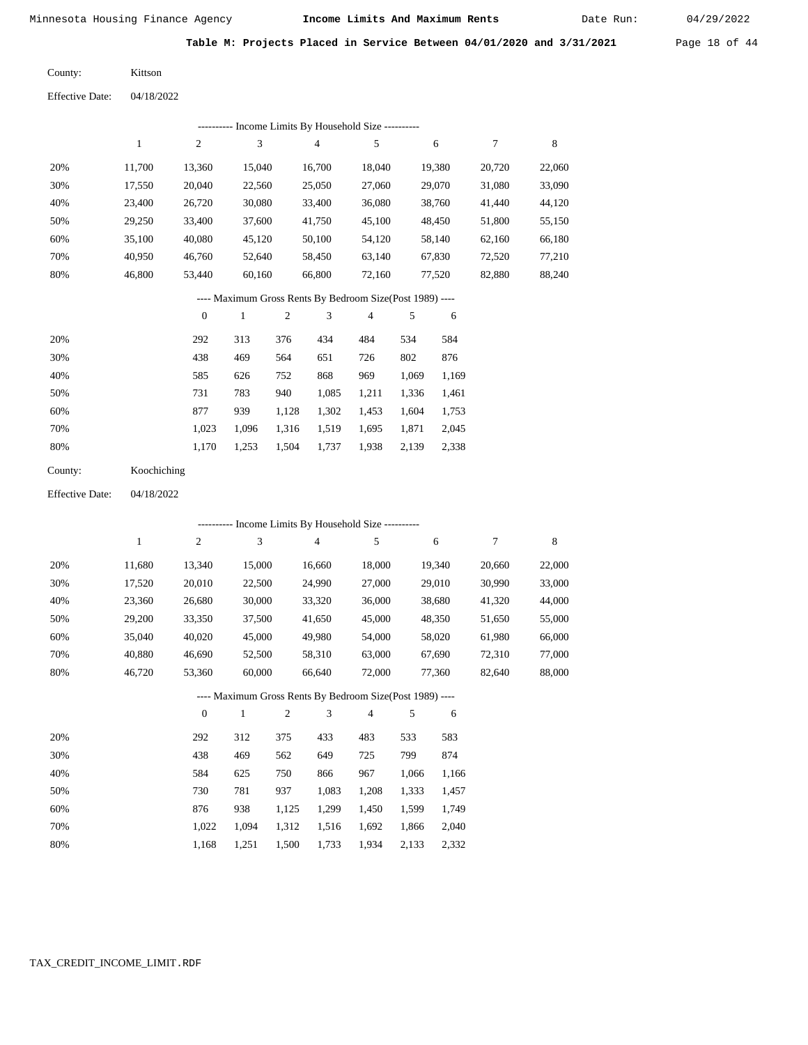Date Run:

**Table M: Projects Placed in Service Between 04/01/2020 and 3/31/2021** Page 18 of 44

Kittson County:

| Effective Date: | 04/18/2022 |
|-----------------|------------|
|                 |            |

| Income Limits By Household Size ---------- |        |        |        |        |        |        |        |        |
|--------------------------------------------|--------|--------|--------|--------|--------|--------|--------|--------|
|                                            |        | 2      | 3      | 4      | 5      | 6      | 7      | 8      |
| 20%                                        | 11.700 | 13,360 | 15,040 | 16,700 | 18,040 | 19,380 | 20,720 | 22,060 |
| 30%                                        | 17,550 | 20,040 | 22,560 | 25,050 | 27,060 | 29,070 | 31,080 | 33,090 |
| 40%                                        | 23,400 | 26,720 | 30,080 | 33,400 | 36,080 | 38,760 | 41,440 | 44,120 |
| 50%                                        | 29,250 | 33,400 | 37,600 | 41,750 | 45,100 | 48,450 | 51,800 | 55,150 |
| 60%                                        | 35,100 | 40,080 | 45,120 | 50,100 | 54,120 | 58,140 | 62,160 | 66,180 |
| 70%                                        | 40,950 | 46,760 | 52,640 | 58,450 | 63,140 | 67,830 | 72,520 | 77,210 |
| 80%                                        | 46,800 | 53,440 | 60,160 | 66,800 | 72,160 | 77,520 | 82,880 | 88,240 |

### ---- Maximum Gross Rents By Bedroom Size(Post 1989) ----

|     | $\mathbf{0}$ |       | $\overline{c}$ | 3     | 4     | 5     | 6     |
|-----|--------------|-------|----------------|-------|-------|-------|-------|
| 20% | 292          | 313   | 376            | 434   | 484   | 534   | 584   |
| 30% | 438          | 469   | 564            | 651   | 726   | 802   | 876   |
| 40% | 585          | 626   | 752            | 868   | 969   | 1,069 | 1,169 |
| 50% | 731          | 783   | 940            | 1,085 | 1,211 | 1,336 | 1,461 |
| 60% | 877          | 939   | 1,128          | 1,302 | 1,453 | 1,604 | 1,753 |
| 70% | 1,023        | 1,096 | 1,316          | 1,519 | 1,695 | 1,871 | 2,045 |
| 80% | 1,170        | 1,253 | 1,504          | 1,737 | 1,938 | 2,139 | 2,338 |

| County: | Koochiching |
|---------|-------------|
|---------|-------------|

04/18/2022 Effective Date:

|     |              |                  |        |                | ---------- Income Limits By Household Size ----------    |                |       |        |        |             |
|-----|--------------|------------------|--------|----------------|----------------------------------------------------------|----------------|-------|--------|--------|-------------|
|     | $\mathbf{1}$ | $\boldsymbol{2}$ | 3      |                | $\overline{4}$                                           | 5              |       | 6      | 7      | $\,$ 8 $\,$ |
| 20% | 11,680       | 13,340           | 15,000 |                | 16,660                                                   | 18,000         |       | 19,340 | 20,660 | 22,000      |
| 30% | 17,520       | 20,010           | 22,500 |                | 24,990                                                   | 27,000         |       | 29,010 | 30,990 | 33,000      |
| 40% | 23,360       | 26,680           | 30,000 |                | 33,320                                                   | 36,000         |       | 38,680 | 41,320 | 44,000      |
| 50% | 29,200       | 33,350           | 37,500 |                | 41,650                                                   | 45,000         |       | 48,350 | 51,650 | 55,000      |
| 60% | 35,040       | 40,020           | 45,000 |                | 49,980                                                   | 54,000         |       | 58,020 | 61,980 | 66,000      |
| 70% | 40,880       | 46,690           | 52,500 |                | 58,310                                                   | 63,000         |       | 67,690 | 72,310 | 77,000      |
| 80% | 46,720       | 53,360           | 60,000 |                | 66,640                                                   | 72,000         |       | 77,360 | 82,640 | 88,000      |
|     |              |                  |        |                | ---- Maximum Gross Rents By Bedroom Size(Post 1989) ---- |                |       |        |        |             |
|     |              | $\theta$         | 1      | $\overline{2}$ | 3                                                        | $\overline{4}$ | 5     | 6      |        |             |
| 20% |              | 292              | 312    | 375            | 433                                                      | 483            | 533   | 583    |        |             |
| 30% |              | 438              | 469    | 562            | 649                                                      | 725            | 799   | 874    |        |             |
| 40% |              | 584              | 625    | 750            | 866                                                      | 967            | 1,066 | 1,166  |        |             |
| 50% |              | 730              | 781    | 937            | 1,083                                                    | 1,208          | 1,333 | 1,457  |        |             |
| 60% |              | 876              | 938    | 1,125          | 1,299                                                    | 1,450          | 1,599 | 1,749  |        |             |
| 70% |              | 1,022            | 1,094  | 1,312          | 1,516                                                    | 1,692          | 1,866 | 2,040  |        |             |

1,168 1,251 1,500 1,733 1,934 2,133 2,332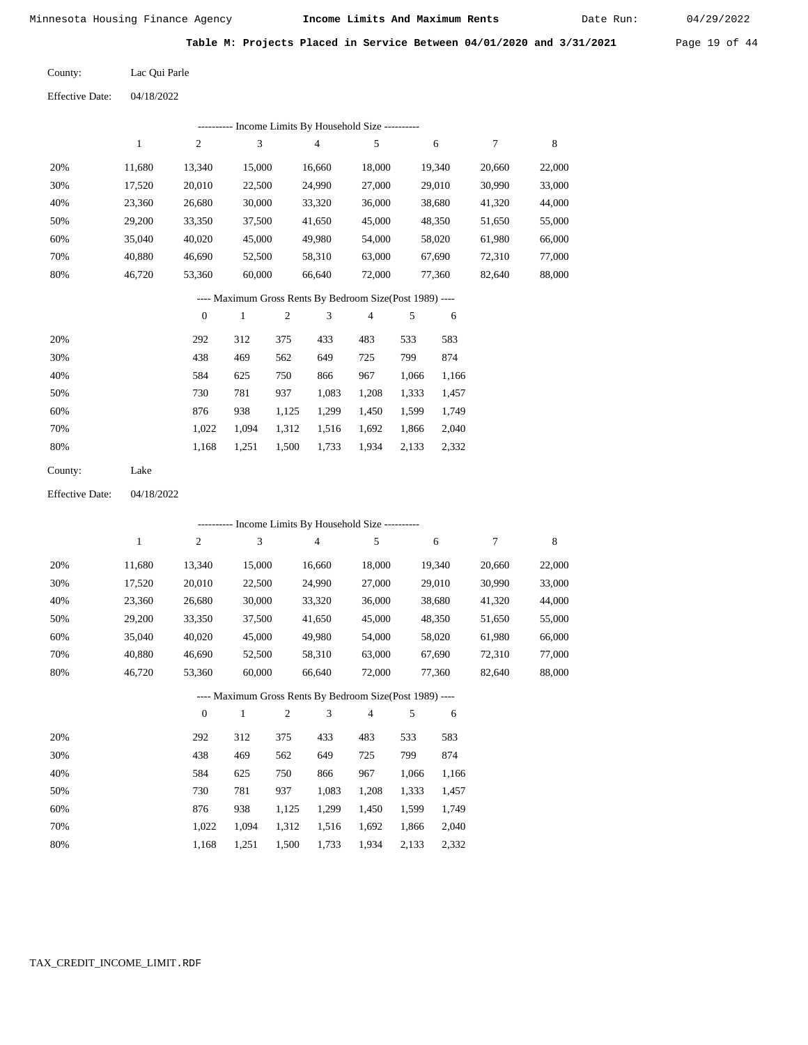Date Run:

**Table M: Projects Placed in Service Between 04/01/2020 and 3/31/2021** Page 19 of 44

Lac Qui Parle County:

04/18/2022 Effective Date:

|     |        |        |        | ---------- Income Limits By Household Size ---------- |        |        |        |        |
|-----|--------|--------|--------|-------------------------------------------------------|--------|--------|--------|--------|
|     | 1      | 2      | 3      | 4                                                     | 5      | 6      | 7      | 8      |
| 20% | 11,680 | 13,340 | 15,000 | 16,660                                                | 18,000 | 19,340 | 20,660 | 22,000 |
| 30% | 17,520 | 20,010 | 22,500 | 24,990                                                | 27,000 | 29,010 | 30,990 | 33,000 |
| 40% | 23,360 | 26,680 | 30,000 | 33,320                                                | 36,000 | 38,680 | 41,320 | 44,000 |
| 50% | 29,200 | 33,350 | 37,500 | 41,650                                                | 45,000 | 48,350 | 51,650 | 55,000 |
| 60% | 35,040 | 40,020 | 45,000 | 49,980                                                | 54,000 | 58,020 | 61,980 | 66,000 |
| 70% | 40,880 | 46,690 | 52,500 | 58,310                                                | 63,000 | 67,690 | 72,310 | 77,000 |
| 80% | 46,720 | 53,360 | 60,000 | 66.640                                                | 72,000 | 77,360 | 82,640 | 88,000 |
|     |        |        |        |                                                       |        |        |        |        |

---- Maximum Gross Rents By Bedroom Size(Post 1989) ----

|     | $\mathbf{0}$ |       |       | 3     | 4     |       | 6     |
|-----|--------------|-------|-------|-------|-------|-------|-------|
| 20% | 292          | 312   | 375   | 433   | 483   | 533   | 583   |
| 30% | 438          | 469   | 562   | 649   | 725   | 799   | 874   |
| 40% | 584          | 625   | 750   | 866   | 967   | 1,066 | 1,166 |
| 50% | 730          | 781   | 937   | 1,083 | 1,208 | 1,333 | 1,457 |
| 60% | 876          | 938   | 1,125 | 1,299 | 1,450 | 1,599 | 1,749 |
| 70% | 1.022        | 1.094 | 1,312 | 1,516 | 1,692 | 1,866 | 2,040 |
| 80% | 1,168        | 1,251 | 1,500 | 1,733 | 1,934 | 2,133 | 2,332 |
|     |              |       |       |       |       |       |       |

Lake County:

04/18/2022 Effective Date:

|     | ---------- Income Limits By Household Size ---------- |                |              |                |                                                          |                |       |        |        |        |  |
|-----|-------------------------------------------------------|----------------|--------------|----------------|----------------------------------------------------------|----------------|-------|--------|--------|--------|--|
|     | $\mathbf{1}$                                          | $\overline{c}$ | 3            |                | $\overline{4}$                                           | 5              |       | 6      | 7      | 8      |  |
| 20% | 11,680                                                | 13,340         | 15,000       |                | 16,660                                                   | 18,000         |       | 19,340 | 20,660 | 22,000 |  |
| 30% | 17,520                                                | 20,010         | 22,500       |                | 24,990                                                   | 27,000         |       | 29,010 | 30,990 | 33,000 |  |
| 40% | 23,360                                                | 26,680         | 30,000       |                | 33,320                                                   | 36,000         |       | 38,680 | 41,320 | 44,000 |  |
| 50% | 29,200                                                | 33,350         | 37,500       |                | 41,650                                                   | 45,000         |       | 48,350 | 51,650 | 55,000 |  |
| 60% | 35,040                                                | 40,020         | 45,000       |                | 49,980                                                   | 54,000         |       | 58,020 | 61,980 | 66,000 |  |
| 70% | 40,880                                                | 46,690         | 52,500       |                | 58,310                                                   | 63,000         |       | 67,690 | 72,310 | 77,000 |  |
| 80% | 46,720                                                | 53,360         | 60,000       |                | 66,640                                                   | 72,000         |       | 77,360 | 82,640 | 88,000 |  |
|     |                                                       |                |              |                | ---- Maximum Gross Rents By Bedroom Size(Post 1989) ---- |                |       |        |        |        |  |
|     |                                                       | $\theta$       | $\mathbf{1}$ | $\mathfrak{2}$ | 3                                                        | $\overline{4}$ | 5     | 6      |        |        |  |
| 20% |                                                       | 292            | 312          | 375            | 433                                                      | 483            | 533   | 583    |        |        |  |
| 30% |                                                       | 438            | 469          | 562            | 649                                                      | 725            | 799   | 874    |        |        |  |
| 40% |                                                       | 584            | 625          | 750            | 866                                                      | 967            | 1,066 | 1,166  |        |        |  |
| 50% |                                                       | 730            | 781          | 937            | 1,083                                                    | 1,208          | 1,333 | 1,457  |        |        |  |
| 60% |                                                       | 876            | 938          | 1,125          | 1,299                                                    | 1,450          | 1,599 | 1,749  |        |        |  |
| 70% |                                                       | 1,022          | 1,094        | 1,312          | 1,516                                                    | 1,692          | 1,866 | 2,040  |        |        |  |

1,168 1,251 1,500 1,733 1,934 2,133 2,332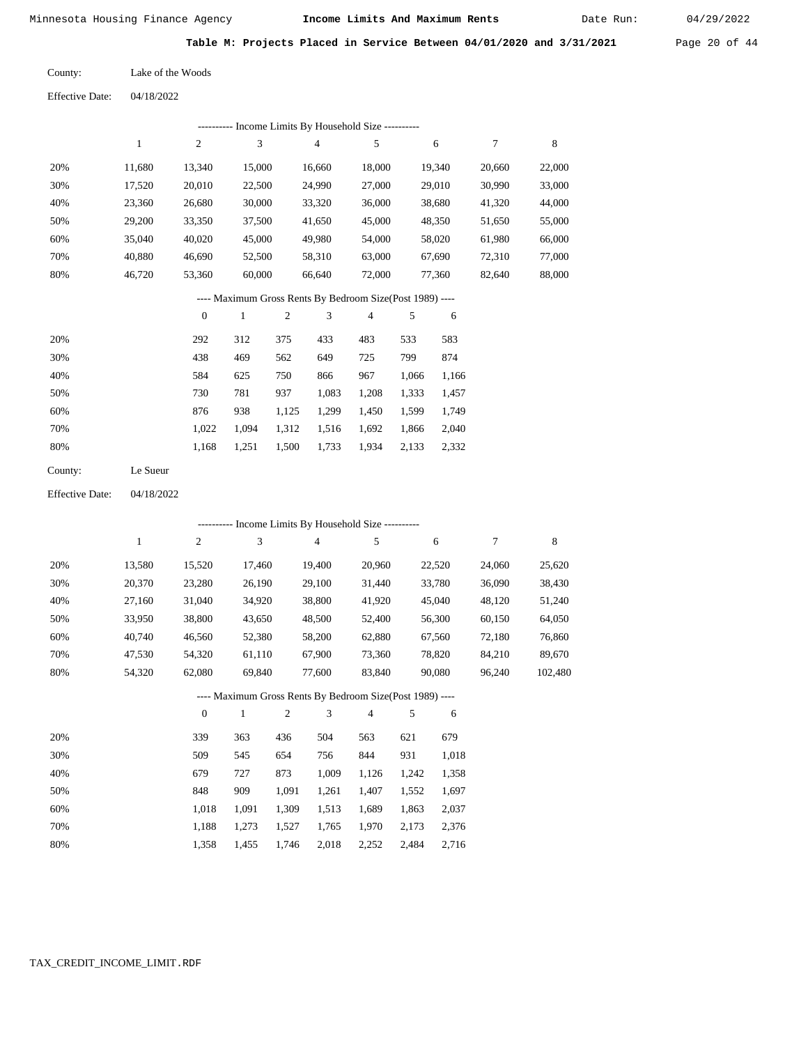Date Run:

**Table M: Projects Placed in Service Between 04/01/2020 and 3/31/2021** Page 20 of 44

| County: | Lake of the Woods |
|---------|-------------------|
|         |                   |

Effective Date: 04/18/2022

|         |              |                  |              |                | --------- Income Limits By Household Size ----------     |                |       |        |        |        |
|---------|--------------|------------------|--------------|----------------|----------------------------------------------------------|----------------|-------|--------|--------|--------|
|         | $\mathbf{1}$ | $\mathfrak{2}$   | 3            |                | 4                                                        | 5              |       | 6      | 7      | 8      |
| 20%     | 11,680       | 13,340           | 15,000       |                | 16,660                                                   | 18,000         |       | 19,340 | 20,660 | 22,000 |
| 30%     | 17,520       | 20,010           | 22,500       |                | 24,990                                                   | 27,000         |       | 29,010 | 30,990 | 33,000 |
| 40%     | 23,360       | 26,680           | 30,000       |                | 33,320                                                   | 36,000         |       | 38,680 | 41,320 | 44,000 |
| 50%     | 29,200       | 33,350           | 37,500       |                | 41,650                                                   | 45,000         |       | 48,350 | 51,650 | 55,000 |
| 60%     | 35,040       | 40,020           | 45,000       |                | 49,980                                                   | 54,000         |       | 58,020 | 61,980 | 66,000 |
| 70%     | 40,880       | 46,690           | 52,500       |                | 58,310                                                   | 63,000         |       | 67,690 | 72,310 | 77,000 |
| 80%     | 46,720       | 53,360           | 60,000       |                | 66,640                                                   | 72,000         |       | 77,360 | 82,640 | 88,000 |
|         |              |                  |              |                | ---- Maximum Gross Rents By Bedroom Size(Post 1989) ---- |                |       |        |        |        |
|         |              | $\boldsymbol{0}$ | $\mathbf{1}$ | $\mathfrak{2}$ | 3                                                        | $\overline{4}$ | 5     | 6      |        |        |
| 20%     |              | 292              | 312          | 375            | 433                                                      | 483            | 533   | 583    |        |        |
| 30%     |              | 438              | 469          | 562            | 649                                                      | 725            | 799   | 874    |        |        |
| 40%     |              | 584              | 625          | 750            | 866                                                      | 967            | 1,066 | 1,166  |        |        |
| 50%     |              | 730              | 781          | 937            | 1,083                                                    | 1,208          | 1,333 | 1,457  |        |        |
| 60%     |              | 876              | 938          | 1,125          | 1,299                                                    | 1,450          | 1,599 | 1,749  |        |        |
| 70%     |              | 1,022            | 1,094        | 1,312          | 1,516                                                    | 1,692          | 1,866 | 2,040  |        |        |
| 80%     |              | 1,168            | 1,251        | 1,500          | 1,733                                                    | 1,934          | 2,133 | 2,332  |        |        |
| County: | Le Sueur     |                  |              |                |                                                          |                |       |        |        |        |

Effective Date: 04/18/2022

|     |        |                |              |                |                | ---------- Income Limits By Household Size ----------    |     |        |        |         |
|-----|--------|----------------|--------------|----------------|----------------|----------------------------------------------------------|-----|--------|--------|---------|
|     | 1      | $\overline{c}$ | 3            |                | $\overline{4}$ | 5                                                        |     | 6      | 7      | 8       |
| 20% | 13,580 | 15,520         | 17,460       |                | 19,400         | 20,960                                                   |     | 22,520 | 24,060 | 25,620  |
| 30% | 20,370 | 23,280         | 26,190       |                | 29,100         | 31,440                                                   |     | 33,780 | 36,090 | 38,430  |
| 40% | 27,160 | 31,040         | 34,920       |                | 38,800         | 41,920                                                   |     | 45,040 | 48,120 | 51,240  |
| 50% | 33,950 | 38,800         | 43,650       |                | 48,500         | 52,400                                                   |     | 56,300 | 60,150 | 64,050  |
| 60% | 40,740 | 46,560         | 52,380       |                | 58,200         | 62,880                                                   |     | 67,560 | 72,180 | 76,860  |
| 70% | 47,530 | 54,320         | 61,110       |                | 67,900         | 73,360                                                   |     | 78,820 | 84,210 | 89,670  |
| 80% | 54,320 | 62,080         | 69,840       |                | 77,600         | 83,840                                                   |     | 90,080 | 96,240 | 102,480 |
|     |        |                |              |                |                | ---- Maximum Gross Rents By Bedroom Size(Post 1989) ---- |     |        |        |         |
|     |        | $\theta$       | $\mathbf{1}$ | $\overline{c}$ | 3              | $\overline{4}$                                           | 5   | 6      |        |         |
| 20% |        | 339            | 363          | 436            | 504            | 563                                                      | 621 | 679    |        |         |

| 2070 | JJ 7  | JUJ.  | 7JU.  | しいせ   | JUJ.  | $U \sim 1$ | 012   |
|------|-------|-------|-------|-------|-------|------------|-------|
| 30%  | 509   | 545   | 654   | 756   | 844   | 931        | 1.018 |
| 40%  | 679   | 727   | 873   | 1.009 | 1.126 | 1.242      | 1,358 |
| 50%  | 848   | 909   | 1.091 | 1.261 | 1.407 | 1.552      | 1,697 |
| 60%  | 1.018 | 1.091 | 1.309 | 1.513 | 1.689 | 1.863      | 2,037 |
| 70%  | 1.188 | 1.273 | 1.527 | 1.765 | 1.970 | 2.173      | 2,376 |
| 80%  | 1.358 | 1,455 | 1,746 | 2,018 | 2,252 | 2,484      | 2,716 |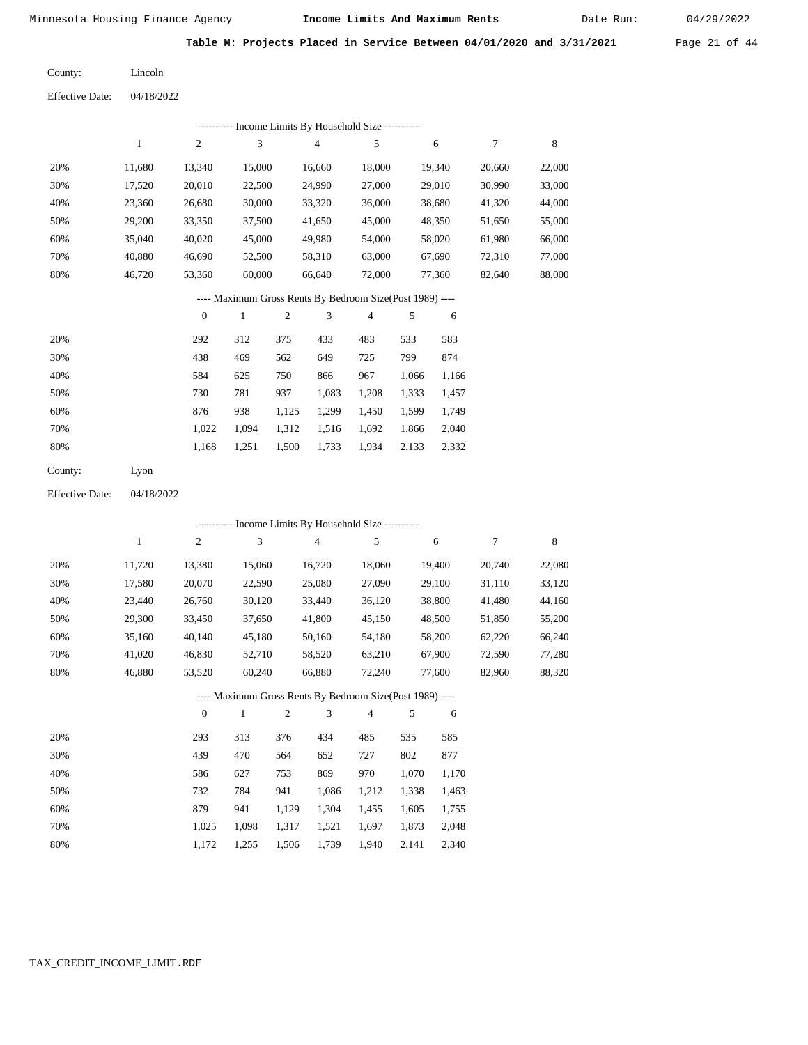Date Run:

**Table M: Projects Placed in Service Between 04/01/2020 and 3/31/2021** Page 21 of 44

Lincoln County:

04/18/2022 Effective Date:

|     |        |        | ---------- Income Limits By Household Size ----------    |                |        |        |        |        |
|-----|--------|--------|----------------------------------------------------------|----------------|--------|--------|--------|--------|
|     | 1      | 2      | 3                                                        | $\overline{4}$ | 5      | 6      | 7      | 8      |
| 20% | 11.680 | 13.340 | 15,000                                                   | 16.660         | 18,000 | 19.340 | 20,660 | 22,000 |
| 30% | 17,520 | 20,010 | 22,500                                                   | 24,990         | 27,000 | 29,010 | 30,990 | 33,000 |
| 40% | 23,360 | 26,680 | 30,000                                                   | 33,320         | 36,000 | 38,680 | 41,320 | 44,000 |
| 50% | 29,200 | 33,350 | 37,500                                                   | 41,650         | 45,000 | 48,350 | 51,650 | 55,000 |
| 60% | 35,040 | 40,020 | 45,000                                                   | 49,980         | 54,000 | 58,020 | 61,980 | 66,000 |
| 70% | 40,880 | 46,690 | 52,500                                                   | 58,310         | 63,000 | 67,690 | 72,310 | 77,000 |
| 80% | 46,720 | 53,360 | 60,000                                                   | 66.640         | 72,000 | 77.360 | 82,640 | 88,000 |
|     |        |        | ---- Maximum Gross Rents By Bedroom Size(Post 1989) ---- |                |        |        |        |        |

|     | $\overline{0}$ |       | $\overline{c}$ | 3     | 4     |       | 6     |
|-----|----------------|-------|----------------|-------|-------|-------|-------|
| 20% | 292            | 312   | 375            | 433   | 483   | 533   | 583   |
| 30% | 438            | 469   | 562            | 649   | 725   | 799   | 874   |
| 40% | 584            | 625   | 750            | 866   | 967   | 1,066 | 1,166 |
| 50% | 730            | 781   | 937            | 1,083 | 1,208 | 1,333 | 1,457 |
| 60% | 876            | 938   | 1,125          | 1,299 | 1,450 | 1,599 | 1,749 |
| 70% | 1.022          | 1.094 | 1,312          | 1,516 | 1,692 | 1,866 | 2,040 |
| 80% | 1,168          | 1,251 | 1,500          | 1,733 | 1,934 | 2,133 | 2,332 |
|     |                |       |                |       |       |       |       |

| County: | Lyon |
|---------|------|
|---------|------|

04/18/2022 Effective Date:

|     |        |                  |              |                |                | ---------- Income Limits By Household Size ----------    |       |        |        |        |
|-----|--------|------------------|--------------|----------------|----------------|----------------------------------------------------------|-------|--------|--------|--------|
|     | 1      | $\overline{c}$   | 3            |                | $\overline{4}$ | 5                                                        |       | 6      | 7      | 8      |
| 20% | 11,720 | 13,380           | 15,060       |                | 16,720         | 18,060                                                   |       | 19,400 | 20,740 | 22,080 |
| 30% | 17,580 | 20,070           | 22,590       |                | 25,080         | 27,090                                                   |       | 29,100 | 31,110 | 33,120 |
| 40% | 23,440 | 26,760           | 30,120       |                | 33,440         | 36,120                                                   |       | 38,800 | 41,480 | 44,160 |
| 50% | 29,300 | 33,450           | 37,650       |                | 41,800         | 45,150                                                   |       | 48,500 | 51,850 | 55,200 |
| 60% | 35,160 | 40,140           | 45,180       |                | 50,160         | 54,180                                                   |       | 58,200 | 62,220 | 66,240 |
| 70% | 41,020 | 46,830           | 52,710       |                | 58,520         | 63,210                                                   |       | 67,900 | 72,590 | 77,280 |
| 80% | 46,880 | 53,520           | 60,240       |                | 66,880         | 72,240                                                   |       | 77,600 | 82,960 | 88,320 |
|     |        |                  |              |                |                | ---- Maximum Gross Rents By Bedroom Size(Post 1989) ---- |       |        |        |        |
|     |        | $\boldsymbol{0}$ | $\mathbf{1}$ | $\mathfrak{2}$ | 3              | $\overline{4}$                                           | 5     | 6      |        |        |
| 20% |        | 293              | 313          | 376            | 434            | 485                                                      | 535   | 585    |        |        |
| 30% |        | 439              | 470          | 564            | 652            | 727                                                      | 802   | 877    |        |        |
| 40% |        | 586              | 627          | 753            | 869            | 970                                                      | 1,070 | 1,170  |        |        |
| 50% |        | 732              | 784          | 941            | 1,086          | 1,212                                                    | 1,338 | 1,463  |        |        |
| 60% |        | 879              | 941          | 1,129          | 1,304          | 1,455                                                    | 1,605 | 1,755  |        |        |

 1,025 1,172  1,098 1,255  1,317 1,506

 1,521 1,739

 1,697 1,940

 1,873 2,141  2,048 2,340

 70% 80%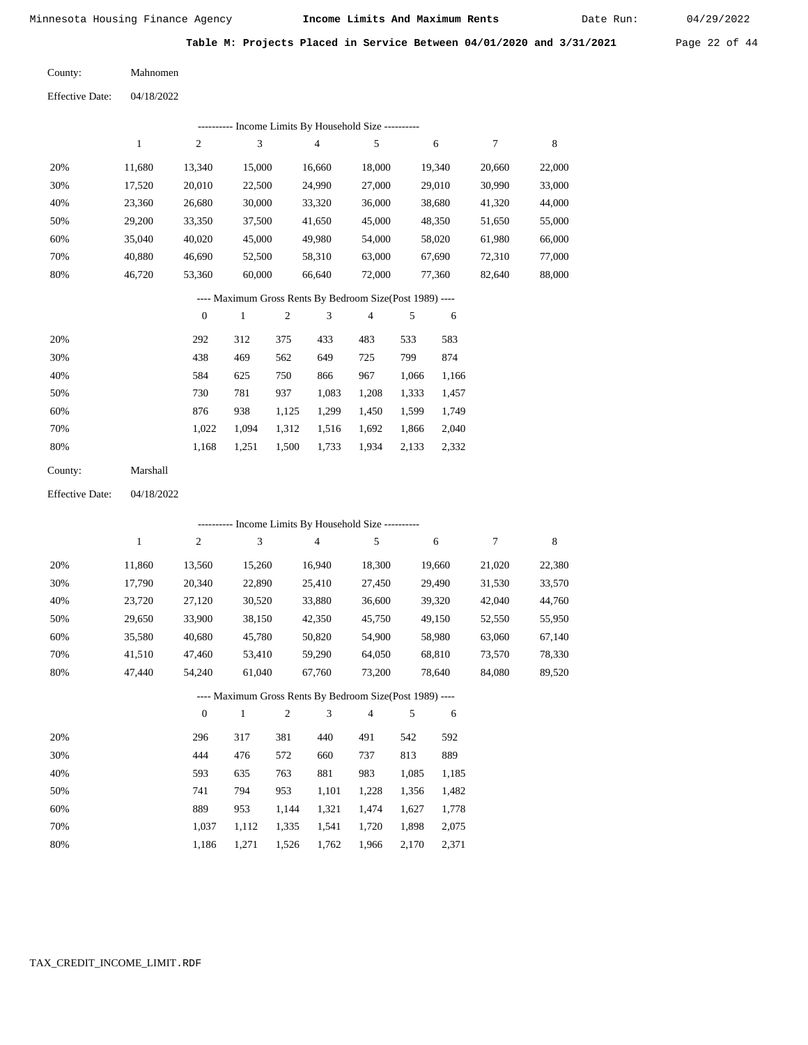Date Run:

**Table M: Projects Placed in Service Between 04/01/2020 and 3/31/2021** Page 22 of 44

| County: | Mahnomen |
|---------|----------|
|         |          |

Effective Date: 04/18/2022

|                        |              |                  |                |            | --------- Income Limits By Household Size ----------     |                |       |        |                  |             |
|------------------------|--------------|------------------|----------------|------------|----------------------------------------------------------|----------------|-------|--------|------------------|-------------|
|                        | $\mathbf{1}$ | 2                | $\mathfrak{Z}$ |            | $\overline{\mathbf{4}}$                                  | 5              |       | 6      | $\boldsymbol{7}$ | $\,$ 8 $\,$ |
| 20%                    | 11,680       | 13,340           | 15,000         |            | 16,660                                                   | 18,000         |       | 19,340 | 20,660           | 22,000      |
| 30%                    | 17,520       | 20,010           | 22,500         |            | 24,990                                                   | 27,000         |       | 29,010 | 30,990           | 33,000      |
| 40%                    | 23,360       | 26,680           | 30,000         |            | 33,320                                                   | 36,000         |       | 38,680 | 41,320           | 44,000      |
| 50%                    | 29,200       | 33,350           | 37,500         |            | 41,650                                                   | 45,000         |       | 48,350 | 51,650           | 55,000      |
| 60%                    | 35,040       | 40,020           | 45,000         |            | 49,980                                                   | 54,000         |       | 58,020 | 61,980           | 66,000      |
| 70%                    | 40,880       | 46,690           | 52,500         |            | 58,310                                                   | 63,000         |       | 67,690 | 72,310           | 77,000      |
| 80%                    | 46,720       | 53,360           | 60,000         |            | 66,640                                                   | 72,000         |       | 77,360 | 82,640           | 88,000      |
|                        |              |                  |                |            | ---- Maximum Gross Rents By Bedroom Size(Post 1989) ---- |                |       |        |                  |             |
|                        |              | $\boldsymbol{0}$ | $\mathbf{1}$   | $\sqrt{2}$ | 3                                                        | $\overline{4}$ | 5     | 6      |                  |             |
| 20%                    |              | 292              | 312            | 375        | 433                                                      | 483            | 533   | 583    |                  |             |
| 30%                    |              | 438              | 469            | 562        | 649                                                      | 725            | 799   | 874    |                  |             |
| 40%                    |              | 584              | 625            | 750        | 866                                                      | 967            | 1,066 | 1,166  |                  |             |
| 50%                    |              | 730              | 781            | 937        | 1,083                                                    | 1,208          | 1,333 | 1,457  |                  |             |
| 60%                    |              | 876              | 938            | 1,125      | 1,299                                                    | 1,450          | 1,599 | 1,749  |                  |             |
| 70%                    |              | 1,022            | 1,094          | 1,312      | 1,516                                                    | 1,692          | 1,866 | 2,040  |                  |             |
| 80%                    |              | 1,168            | 1,251          | 1,500      | 1,733                                                    | 1,934          | 2,133 | 2,332  |                  |             |
| County:                | Marshall     |                  |                |            |                                                          |                |       |        |                  |             |
| <b>Effective Date:</b> | 04/18/2022   |                  |                |            |                                                          |                |       |        |                  |             |
|                        |              |                  |                |            | ---------- Income Limits By Household Size ----------    |                |       |        |                  |             |
|                        | $\,1$        | $\overline{c}$   | 3              |            | 4                                                        | 5              |       | 6      | $\boldsymbol{7}$ | 8           |
| 20%                    | 11,860       | 13,560           | 15,260         |            | 16,940                                                   | 18,300         |       | 19,660 | 21,020           | 22,380      |
| 30%                    | 17,790       | 20,340           | 22,890         |            | 25,410                                                   | 27,450         |       | 29,490 | 31,530           | 33,570      |
| 40%                    | 23,720       | 27,120           | 30,520         |            | 33,880                                                   | 36,600         |       | 39,320 | 42,040           | 44,760      |
| 50%                    | 29,650       | 33,900           | 38,150         |            | 42,350                                                   | 45,750         |       | 49,150 | 52,550           | 55,950      |
| 60%                    | 35,580       | 40,680           | 45,780         |            | 50,820                                                   | 54,900         |       | 58,980 | 63,060           | 67,140      |
| 70%                    | 41,510       | 47,460           | 53,410         |            | 59,290                                                   | 64,050         |       | 68,810 | 73,570           | 78,330      |
| 80%                    | 47,440       | 54,240           | 61,040         |            | 67,760                                                   | 73,200         |       | 78,640 | 84,080           | 89,520      |
|                        |              |                  |                |            | ---- Maximum Gross Rents By Bedroom Size(Post 1989) ---- |                |       |        |                  |             |
|                        |              | $\boldsymbol{0}$ | $\,1\,$        | $\sqrt{2}$ | 3                                                        | 4              | 5     | 6      |                  |             |
| 20%                    |              | 296              | 317            | 381        | 440                                                      | 491            | 542   | 592    |                  |             |
| 30%                    |              | 444              | 476            | 572        | 660                                                      | 737            | 813   | 889    |                  |             |
| 40%                    |              | 593              | 635            | 763        | 881                                                      | 983            | 1,085 | 1,185  |                  |             |
| 50%                    |              | 741              | 794            | 953        | 1,101                                                    | 1,228          | 1,356 | 1,482  |                  |             |
| 60%                    |              | 889              | 953            | 1,144      | 1,321                                                    | 1,474          | 1,627 | 1,778  |                  |             |
| 70%                    |              | 1,037            | 1,112          | 1,335      | 1,541                                                    | 1,720          | 1,898 | 2,075  |                  |             |

1,186 1,271 1,526 1,762 1,966 2,170 2,371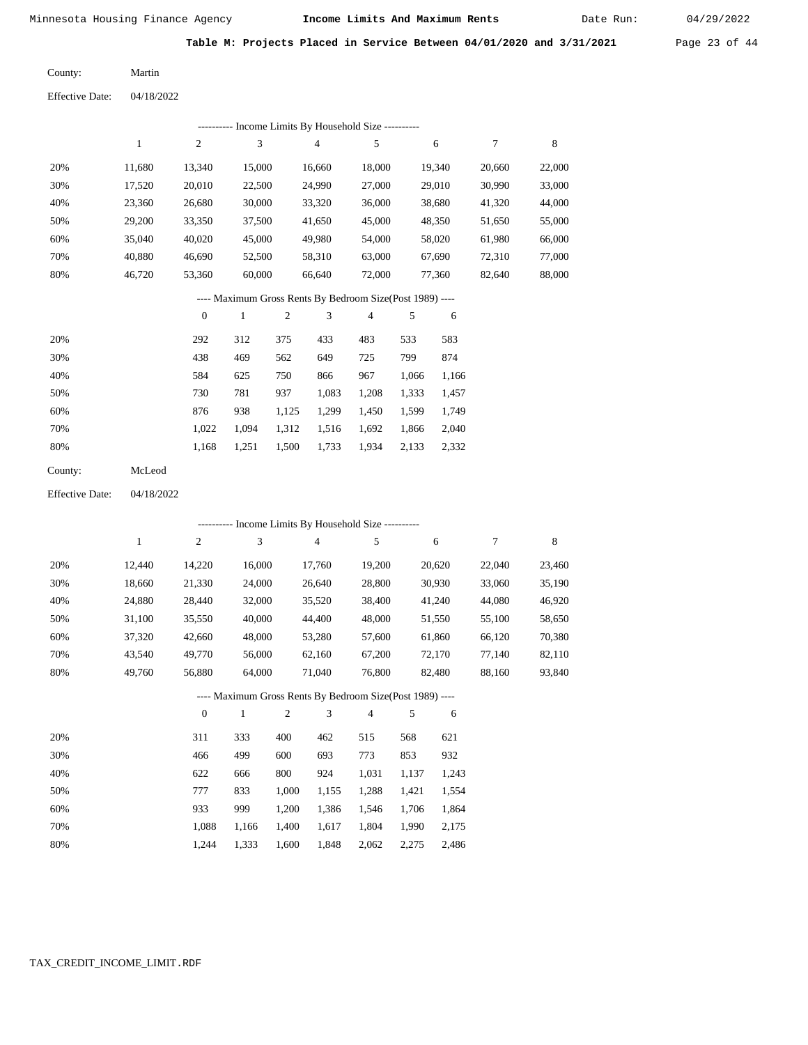Date Run:

**Table M: Projects Placed in Service Between 04/01/2020 and 3/31/2021** Page 23 of 44

| County: | Martin |
|---------|--------|
|         |        |

Effective Date: 04/18/2022

|     |        |                  |        |     |                | --------- Income Limits By Household Size ----------     |     |        |        |        |
|-----|--------|------------------|--------|-----|----------------|----------------------------------------------------------|-----|--------|--------|--------|
|     | 1      | 2                | 3      |     | $\overline{4}$ | 5                                                        |     | 6      | 7      | 8      |
| 20% | 11,680 | 13,340           | 15,000 |     | 16,660         | 18,000                                                   |     | 19,340 | 20,660 | 22,000 |
| 30% | 17,520 | 20,010           | 22,500 |     | 24,990         | 27,000                                                   |     | 29,010 | 30,990 | 33,000 |
| 40% | 23,360 | 26,680           | 30,000 |     | 33,320         | 36,000                                                   |     | 38,680 | 41,320 | 44,000 |
| 50% | 29,200 | 33,350           | 37,500 |     | 41,650         | 45,000                                                   |     | 48,350 | 51,650 | 55,000 |
| 60% | 35,040 | 40,020           | 45,000 |     | 49,980         | 54,000                                                   |     | 58,020 | 61,980 | 66,000 |
| 70% | 40,880 | 46,690           | 52,500 |     | 58,310         | 63,000                                                   |     | 67,690 | 72,310 | 77,000 |
| 80% | 46,720 | 53,360           | 60,000 |     | 66,640         | 72,000                                                   |     | 77,360 | 82,640 | 88,000 |
|     |        |                  |        |     |                | ---- Maximum Gross Rents By Bedroom Size(Post 1989) ---- |     |        |        |        |
|     |        | $\boldsymbol{0}$ | 1      | 2   | 3              | $\overline{4}$                                           | 5   | 6      |        |        |
| 20% |        | 292              | 312    | 375 | 433            | 483                                                      | 533 | 583    |        |        |
| 30% |        | 438              | 469    | 562 | 649            | 725                                                      | 799 | 874    |        |        |

| $\cup$ $\cup$ | $\mathbf{r}$ . | $\tau \rightarrow$ | <u>JUZ</u>  | $\cdots$    | رے ر | $\overline{1}$                      |  |
|---------------|----------------|--------------------|-------------|-------------|------|-------------------------------------|--|
| 40%           | 584            | 625                | 750         | 866         | 967  | 1,066 1,166                         |  |
| 50%           | 730            | 781                | 937         | 1.083 1.208 |      | 1,333 1,457                         |  |
| 60%           | 876            | 938                | 1.125       |             |      | 1,299 1,450 1,599 1,749             |  |
| 70%           | 1.022          |                    |             |             |      | 1,094 1,312 1,516 1,692 1,866 2,040 |  |
| 80%           | 1.168          | 1.251              | 1,500 1,733 |             |      | 1,934 2,133 2,332                   |  |

| County: | McLeod |
|---------|--------|
|---------|--------|

Effective Date: 04/18/2022

|     |              |                  |              |                |                | --------- Income Limits By Household Size ----------     |       |        |        |        |
|-----|--------------|------------------|--------------|----------------|----------------|----------------------------------------------------------|-------|--------|--------|--------|
|     | $\mathbf{1}$ | $\boldsymbol{2}$ | 3            |                | $\overline{4}$ | 5                                                        |       | 6      | 7      | 8      |
| 20% | 12,440       | 14,220           | 16,000       |                | 17,760         | 19,200                                                   |       | 20,620 | 22,040 | 23,460 |
| 30% | 18,660       | 21,330           | 24,000       |                | 26,640         | 28,800                                                   |       | 30,930 | 33,060 | 35,190 |
| 40% | 24,880       | 28,440           | 32,000       |                | 35,520         | 38,400                                                   |       | 41,240 | 44,080 | 46,920 |
| 50% | 31,100       | 35,550           | 40,000       |                | 44,400         | 48,000                                                   |       | 51,550 | 55,100 | 58,650 |
| 60% | 37,320       | 42,660           | 48,000       |                | 53,280         | 57,600                                                   |       | 61,860 | 66,120 | 70,380 |
| 70% | 43,540       | 49,770           | 56,000       |                | 62,160         | 67,200                                                   |       | 72,170 | 77,140 | 82,110 |
| 80% | 49,760       | 56,880           | 64,000       |                | 71,040         | 76,800                                                   |       | 82,480 | 88,160 | 93,840 |
|     |              |                  |              |                |                | ---- Maximum Gross Rents By Bedroom Size(Post 1989) ---- |       |        |        |        |
|     |              | $\mathbf{0}$     | $\mathbf{1}$ | $\mathfrak{2}$ | 3              | $\overline{4}$                                           | 5     | 6      |        |        |
| 20% |              | 311              | 333          | 400            | 462            | 515                                                      | 568   | 621    |        |        |
| 30% |              | 466              | 499          | 600            | 693            | 773                                                      | 853   | 932    |        |        |
| 40% |              | 622              | 666          | 800            | 924            | 1,031                                                    | 1,137 | 1,243  |        |        |
| 50% |              | 777              | 833          | 1,000          | 1,155          | 1,288                                                    | 1,421 | 1,554  |        |        |
| 60% |              | 933              | 999          | 1,200          | 1,386          | 1,546                                                    | 1,706 | 1,864  |        |        |

 1,088 1,244

 1,166 1,333

 1,400 1,600 1,617

1,848 2,062 2,275 2,486

1,804 1,990

2,175

 70% 80%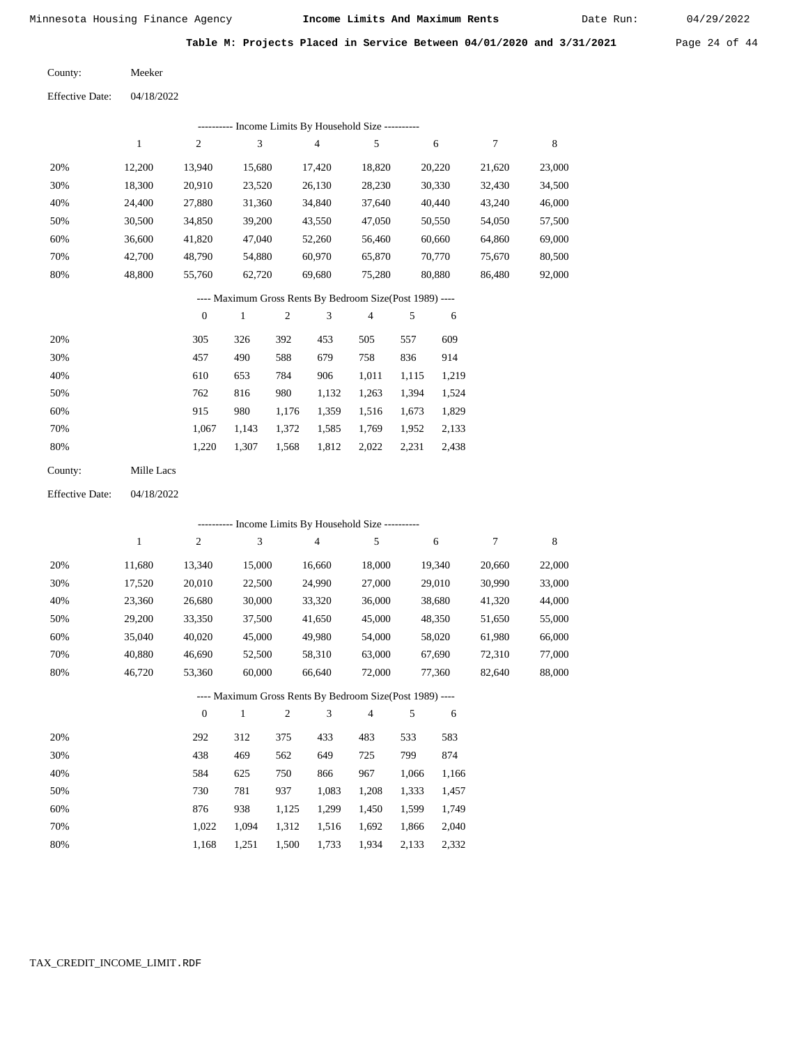Date Run:

**Table M: Projects Placed in Service Between 04/01/2020 and 3/31/2021** Page 24 of 44

04/18/2022 Meeker County: Effective Date:

|     |        |        |        | Income Limits By Household Size ---------- |        |        |        |        |
|-----|--------|--------|--------|--------------------------------------------|--------|--------|--------|--------|
|     |        | 2      | 3      | $\overline{4}$                             | 5      | 6      |        | 8      |
| 20% | 12.200 | 13.940 | 15,680 | 17.420                                     | 18,820 | 20,220 | 21.620 | 23,000 |
| 30% | 18,300 | 20,910 | 23,520 | 26,130                                     | 28,230 | 30,330 | 32,430 | 34,500 |
| 40% | 24.400 | 27,880 | 31,360 | 34,840                                     | 37,640 | 40,440 | 43,240 | 46,000 |
| 50% | 30,500 | 34,850 | 39,200 | 43,550                                     | 47,050 | 50,550 | 54,050 | 57,500 |
| 60% | 36.600 | 41,820 | 47,040 | 52,260                                     | 56,460 | 60,660 | 64,860 | 69,000 |
| 70% | 42,700 | 48.790 | 54.880 | 60,970                                     | 65,870 | 70,770 | 75.670 | 80,500 |
| 80% | 48,800 | 55,760 | 62,720 | 69,680                                     | 75,280 | 80,880 | 86,480 | 92,000 |

#### ---- Maximum Gross Rents By Bedroom Size(Post 1989) ----

|     | $\mathbf{0}$ |       | 2     | 3     | 4     | 5     | 6     |
|-----|--------------|-------|-------|-------|-------|-------|-------|
| 20% | 305          | 326   | 392   | 453   | 505   | 557   | 609   |
| 30% | 457          | 490   | 588   | 679   | 758   | 836   | 914   |
| 40% | 610          | 653   | 784   | 906   | 1,011 | 1,115 | 1,219 |
| 50% | 762          | 816   | 980   | 1,132 | 1,263 | 1,394 | 1,524 |
| 60% | 915          | 980   | 1,176 | 1,359 | 1,516 | 1,673 | 1,829 |
| 70% | 1,067        | 1,143 | 1,372 | 1,585 | 1,769 | 1,952 | 2,133 |
| 80% | 1,220        | 1,307 | 1,568 | 1,812 | 2,022 | 2,231 | 2,438 |
|     |              |       |       |       |       |       |       |

04/18/2022 Effective Date:

|     |        |          |              |                | - Income Limits By Household Size ----------             |                |       |        |        |        |
|-----|--------|----------|--------------|----------------|----------------------------------------------------------|----------------|-------|--------|--------|--------|
|     | 1      | 2        | 3            |                | 4                                                        | 5              |       | 6      | 7      | 8      |
| 20% | 11,680 | 13,340   | 15,000       |                | 16,660                                                   | 18,000         |       | 19,340 | 20,660 | 22,000 |
| 30% | 17,520 | 20,010   | 22,500       |                | 24,990                                                   | 27,000         |       | 29,010 | 30,990 | 33,000 |
| 40% | 23,360 | 26,680   | 30,000       |                | 33,320                                                   | 36,000         |       | 38,680 | 41,320 | 44,000 |
| 50% | 29,200 | 33,350   | 37,500       |                | 41,650                                                   | 45,000         |       | 48,350 | 51,650 | 55,000 |
| 60% | 35,040 | 40,020   | 45,000       |                | 49,980                                                   | 54,000         |       | 58,020 | 61,980 | 66,000 |
| 70% | 40,880 | 46,690   | 52,500       |                | 58,310                                                   | 63,000         |       | 67,690 | 72,310 | 77,000 |
| 80% | 46,720 | 53,360   | 60,000       |                | 66,640                                                   | 72,000         |       | 77,360 | 82,640 | 88,000 |
|     |        |          |              |                | ---- Maximum Gross Rents By Bedroom Size(Post 1989) ---- |                |       |        |        |        |
|     |        | $\theta$ | $\mathbf{1}$ | $\mathfrak{2}$ | 3                                                        | $\overline{4}$ | 5     | 6      |        |        |
| 20% |        | 292      | 312          | 375            | 433                                                      | 483            | 533   | 583    |        |        |
| 30% |        | 438      | 469          | 562            | 649                                                      | 725            | 799   | 874    |        |        |
| 40% |        | 584      | 625          | 750            | 866                                                      | 967            | 1,066 | 1,166  |        |        |
| 50% |        | 730      | 781          | 937            | 1,083                                                    | 1,208          | 1,333 | 1,457  |        |        |
| 60% |        | 876      | 938          | 1,125          | 1,299                                                    | 1,450          | 1,599 | 1,749  |        |        |
| 70% |        | 1,022    | 1,094        | 1,312          | 1,516                                                    | 1,692          | 1,866 | 2,040  |        |        |

1,168

1,251

1,500

1,733

1,934

2,133

2,332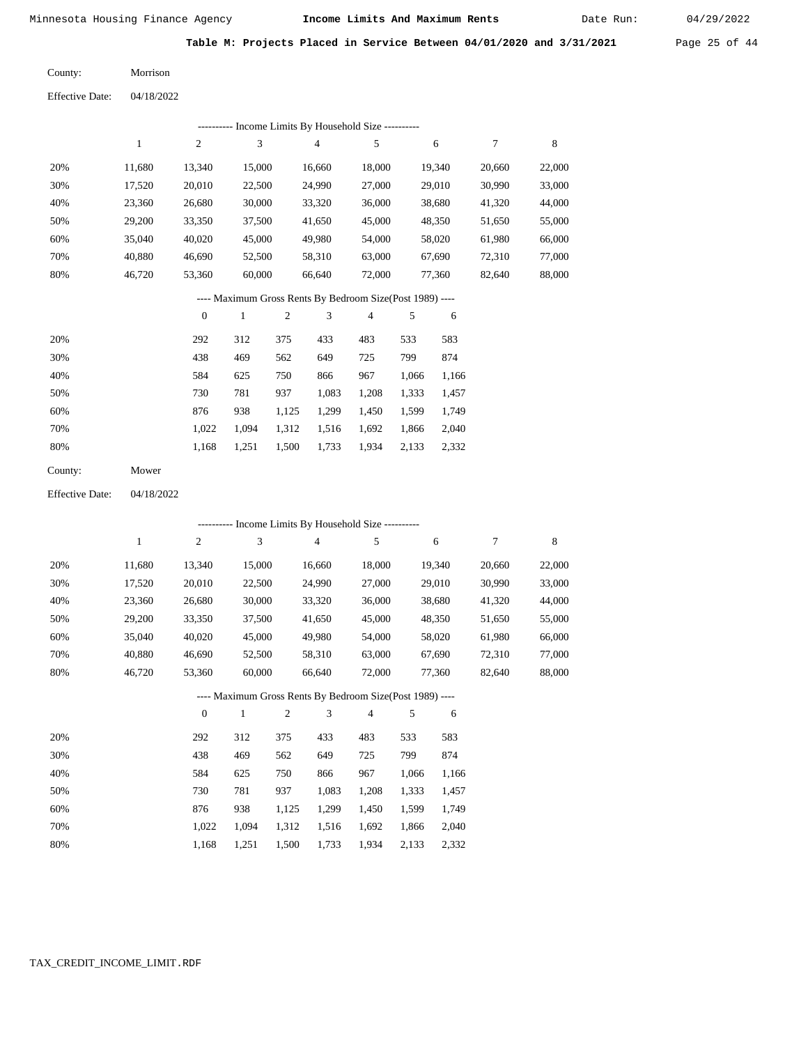Date Run:

**Table M: Projects Placed in Service Between 04/01/2020 and 3/31/2021** Page 25 of 44

| County:                | Morrison   |
|------------------------|------------|
| <b>Effective Date:</b> | 04/18/2022 |

|                        |              |                  |               |                |        | --------- Income Limits By Household Size ----------     |            |        |                  |        |
|------------------------|--------------|------------------|---------------|----------------|--------|----------------------------------------------------------|------------|--------|------------------|--------|
|                        | $\,1$        | $\mathfrak{2}$   | 3             |                | 4      | 5                                                        |            | 6      | $\boldsymbol{7}$ | 8      |
| 20%                    | 11,680       | 13,340           | 15,000        |                | 16,660 | 18,000                                                   |            | 19,340 | 20,660           | 22,000 |
| 30%                    | 17,520       | 20,010           | 22,500        |                | 24,990 | 27,000                                                   |            | 29,010 | 30,990           | 33,000 |
| 40%                    | 23,360       | 26,680           | 30,000        |                | 33,320 | 36,000                                                   |            | 38,680 | 41,320           | 44,000 |
| 50%                    | 29,200       | 33,350           | 37,500        |                | 41,650 | 45,000                                                   |            | 48,350 | 51,650           | 55,000 |
| 60%                    | 35,040       | 40,020           | 45,000        |                | 49,980 | 54,000                                                   |            | 58,020 | 61,980           | 66,000 |
| 70%                    | 40,880       | 46,690           | 52,500        |                | 58,310 | 63,000                                                   |            | 67,690 | 72,310           | 77,000 |
| 80%                    | 46,720       | 53,360           | 60,000        |                | 66,640 | 72,000                                                   |            | 77,360 | 82,640           | 88,000 |
|                        |              |                  |               |                |        | ---- Maximum Gross Rents By Bedroom Size(Post 1989) ---- |            |        |                  |        |
|                        |              | $\boldsymbol{0}$ | $\mathbf{1}$  | $\overline{2}$ | 3      | $\sqrt{4}$                                               | $\sqrt{5}$ | 6      |                  |        |
| 20%                    |              | 292              | 312           | 375            | 433    | 483                                                      | 533        | 583    |                  |        |
| 30%                    |              | 438              | 469           | 562            | 649    | 725                                                      | 799        | 874    |                  |        |
| 40%                    |              | 584              | 625           | 750            | 866    | 967                                                      | 1,066      | 1,166  |                  |        |
| 50%                    |              | 730              | 781           | 937            | 1,083  | 1,208                                                    | 1,333      | 1,457  |                  |        |
| 60%                    |              | 876              | 938           | 1,125          | 1,299  | 1,450                                                    | 1,599      | 1,749  |                  |        |
| 70%                    |              | 1,022            | 1,094         | 1,312          | 1,516  | 1,692                                                    | 1,866      | 2,040  |                  |        |
| 80%                    |              | 1,168            | 1,251         | 1,500          | 1,733  | 1,934                                                    | 2,133      | 2,332  |                  |        |
| County:                | Mower        |                  |               |                |        |                                                          |            |        |                  |        |
| <b>Effective Date:</b> | 04/18/2022   |                  |               |                |        |                                                          |            |        |                  |        |
|                        |              |                  |               |                |        | --------- Income Limits By Household Size ----------     |            |        |                  |        |
|                        | $\mathbf{1}$ | 2                | $\mathfrak 3$ |                | 4      | 5                                                        |            | 6      | $\boldsymbol{7}$ | 8      |
| 20%                    | 11,680       | 13,340           | 15,000        |                | 16,660 | 18,000                                                   |            | 19,340 | 20,660           | 22,000 |
| 30%                    | 17,520       | 20,010           | 22,500        |                | 24,990 | 27,000                                                   |            | 29,010 | 30,990           | 33,000 |
| 40%                    | 23,360       | 26,680           | 30,000        |                | 33,320 | 36,000                                                   |            | 38,680 | 41,320           | 44,000 |
| 50%                    | 29,200       | 33,350           | 37,500        |                | 41,650 | 45,000                                                   |            | 48,350 | 51,650           | 55,000 |
| 60%                    | 35,040       | 40,020           | 45,000        |                | 49,980 | 54,000                                                   |            | 58,020 | 61,980           | 66,000 |
| 70%                    | 40,880       | 46,690           | 52,500        |                | 58,310 | 63,000                                                   |            | 67,690 | 72,310           | 77,000 |
| 80%                    | 46,720       | 53,360           | 60,000        |                | 66,640 | 72,000                                                   |            | 77,360 | 82,640           | 88,000 |
|                        |              |                  |               |                |        | ---- Maximum Gross Rents By Bedroom Size(Post 1989) ---- |            |        |                  |        |
|                        |              | $\boldsymbol{0}$ | $\mathbf{1}$  | 2              | 3      | 4                                                        | 5          | 6      |                  |        |
| 20%                    |              | 292              | 312           | 375            | 433    | 483                                                      | 533        | 583    |                  |        |
| 30%                    |              | 438              | 469           | 562            | 649    | 725                                                      | 799        | 874    |                  |        |
| 40%                    |              | 584              | 625           | 750            | 866    | 967                                                      | 1,066      | 1,166  |                  |        |
| 50%                    |              | 730              | 781           | 937            | 1,083  | 1,208                                                    | 1,333      | 1,457  |                  |        |
| $60\%$                 |              | 876              | 938           | 1,125          | 1,299  | 1,450                                                    | 1,599      | 1,749  |                  |        |
| 70%                    |              | 1,022            | 1,094         | 1,312          | 1,516  | 1,692                                                    | 1,866      | 2,040  |                  |        |
| 80%                    |              | 1,168            | 1,251         | 1,500          | 1,733  | 1,934                                                    | 2,133      | 2,332  |                  |        |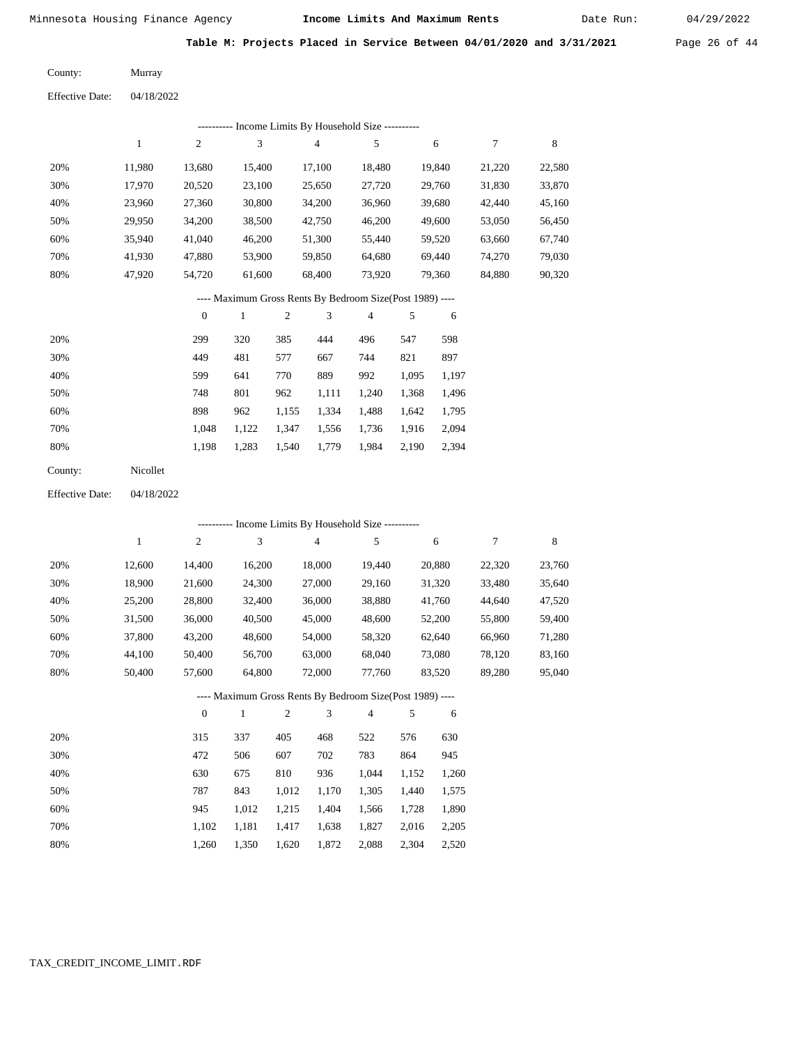Date Run: 04/29/2022

| Table M: Projects Placed in Service Between 04/01/2020 and 3/31/2021 | Page 26 of $44$ |
|----------------------------------------------------------------------|-----------------|
|                                                                      |                 |

| County:                | Murray     |
|------------------------|------------|
| <b>Effective Date:</b> | 04/18/2022 |

|                        |              |                  |                |            |                | --------- Income Limits By Household Size ----------     |       |        |                  |         |
|------------------------|--------------|------------------|----------------|------------|----------------|----------------------------------------------------------|-------|--------|------------------|---------|
|                        | $\mathbf{1}$ | $\sqrt{2}$       | $\mathfrak{Z}$ |            | $\sqrt{4}$     | 5                                                        |       | 6      | 7                | $\,8\,$ |
| 20%                    | 11,980       | 13,680           | 15,400         |            | 17,100         | 18,480                                                   |       | 19,840 | 21,220           | 22,580  |
| 30%                    | 17,970       | 20,520           | 23,100         |            | 25,650         | 27,720                                                   |       | 29,760 | 31,830           | 33,870  |
| 40%                    | 23,960       | 27,360           | 30,800         |            | 34,200         | 36,960                                                   |       | 39,680 | 42,440           | 45,160  |
| 50%                    | 29,950       | 34,200           | 38,500         |            | 42,750         | 46,200                                                   |       | 49,600 | 53,050           | 56,450  |
| 60%                    | 35,940       | 41,040           | 46,200         |            | 51,300         | 55,440                                                   |       | 59,520 | 63,660           | 67,740  |
| 70%                    | 41,930       | 47,880           | 53,900         |            | 59,850         | 64,680                                                   |       | 69,440 | 74,270           | 79,030  |
| 80%                    | 47,920       | 54,720           | 61,600         |            | 68,400         | 73,920                                                   |       | 79,360 | 84,880           | 90,320  |
|                        |              |                  |                |            |                | ---- Maximum Gross Rents By Bedroom Size(Post 1989) ---- |       |        |                  |         |
|                        |              | $\boldsymbol{0}$ | $\mathbf{1}$   | $\sqrt{2}$ | 3              | $\overline{4}$                                           | 5     | 6      |                  |         |
| 20%                    |              | 299              | 320            | 385        | 444            | 496                                                      | 547   | 598    |                  |         |
| 30%                    |              | 449              | 481            | 577        | 667            | 744                                                      | 821   | 897    |                  |         |
| 40%                    |              | 599              | 641            | 770        | 889            | 992                                                      | 1,095 | 1,197  |                  |         |
| 50%                    |              | 748              | 801            | 962        | 1,111          | 1,240                                                    | 1,368 | 1,496  |                  |         |
| 60%                    |              | 898              | 962            | 1,155      | 1,334          | 1,488                                                    | 1,642 | 1,795  |                  |         |
| 70%                    |              | 1,048            | 1,122          | 1,347      | 1,556          | 1,736                                                    | 1,916 | 2,094  |                  |         |
| 80%                    |              | 1,198            | 1,283          | 1,540      | 1,779          | 1,984                                                    | 2,190 | 2,394  |                  |         |
| County:                | Nicollet     |                  |                |            |                |                                                          |       |        |                  |         |
| <b>Effective Date:</b> | 04/18/2022   |                  |                |            |                |                                                          |       |        |                  |         |
|                        |              |                  |                |            |                | --------- Income Limits By Household Size ----------     |       |        |                  |         |
|                        | $\mathbf{1}$ | $\sqrt{2}$       | 3              |            | $\overline{4}$ | $\sqrt{5}$                                               |       | 6      | $\boldsymbol{7}$ | $\,8\,$ |
| 20%                    | 12,600       | 14,400           | 16,200         |            | 18,000         | 19,440                                                   |       | 20,880 | 22,320           | 23,760  |
| 30%                    | 18,900       | 21,600           | 24,300         |            | 27,000         | 29,160                                                   |       | 31,320 | 33,480           | 35,640  |
| 40%                    | 25,200       | 28,800           | 32,400         |            | 36,000         | 38,880                                                   |       | 41,760 | 44,640           | 47,520  |
| 50%                    | 31,500       | 36,000           | 40,500         |            | 45,000         | 48,600                                                   |       | 52,200 | 55,800           | 59,400  |
| 60%                    | 37,800       | 43,200           | 48,600         |            | 54,000         | 58,320                                                   |       | 62,640 | 66,960           | 71,280  |
| 70%                    | 44,100       | 50,400           | 56,700         |            | 63,000         | 68,040                                                   |       | 73,080 | 78,120           | 83,160  |
| 80%                    | 50,400       | 57,600           | 64,800         |            | 72,000         | 77,760                                                   |       | 83,520 | 89,280           | 95,040  |
|                        |              |                  |                |            |                | ---- Maximum Gross Rents By Bedroom Size(Post 1989) ---- |       |        |                  |         |
|                        |              | $\boldsymbol{0}$ | $\mathbf{1}$   | $\sqrt{2}$ | $\mathfrak{Z}$ | 4                                                        | 5     | 6      |                  |         |
| 20%                    |              | 315              | 337            | 405        | 468            | 522                                                      | 576   | 630    |                  |         |
| 30%                    |              | 472              | 506            | 607        | 702            | 783                                                      | 864   | 945    |                  |         |
| 40%                    |              | 630              | 675            | 810        | 936            | 1,044                                                    | 1,152 | 1,260  |                  |         |
| 50%                    |              | 787              | 843            | 1,012      | 1,170          | 1,305                                                    | 1,440 | 1,575  |                  |         |
| $60\%$                 |              | 945              | 1,012          | 1,215      | 1,404          | 1,566                                                    | 1,728 | 1,890  |                  |         |
| 70%                    |              | 1,102            | 1,181          | 1,417      | 1,638          | 1,827                                                    | 2,016 | 2,205  |                  |         |
| $80\%$                 |              | 1,260            | 1,350          | 1,620      | 1,872          | 2,088                                                    | 2,304 | 2,520  |                  |         |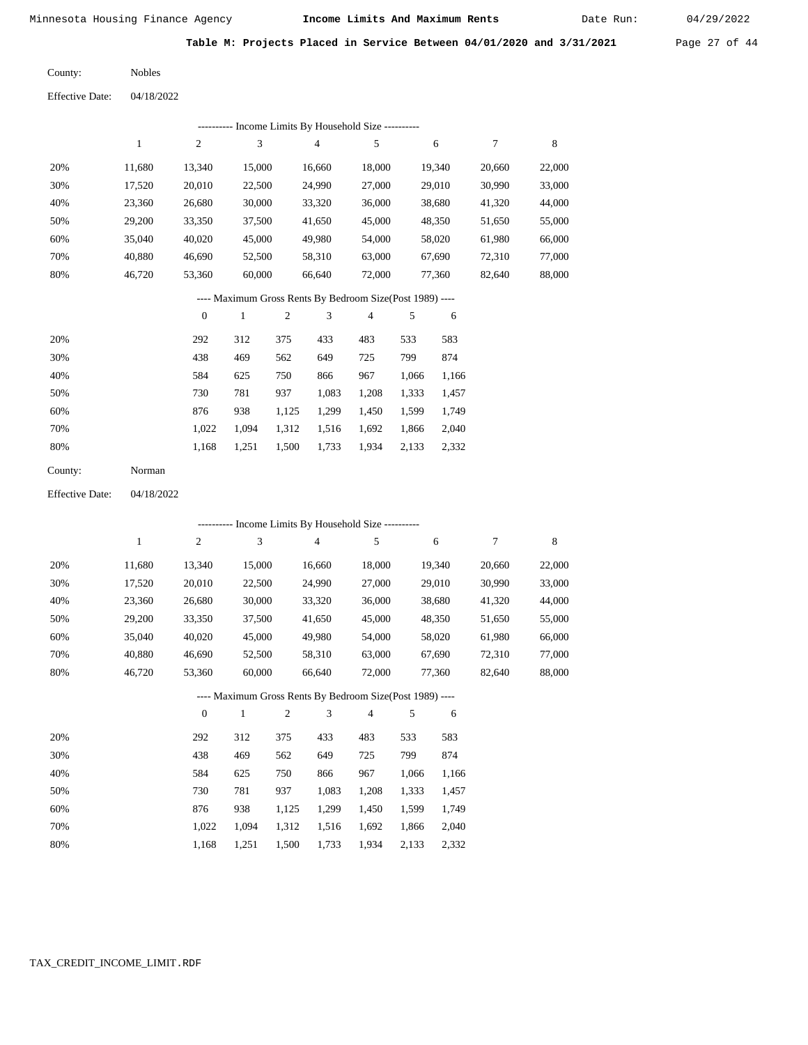Date Run:

**Table M: Projects Placed in Service Between 04/01/2020 and 3/31/2021** Page 27 of 44

| <b>Nobles</b> |
|---------------|
|               |

Effective Date: 04/18/2022

|     |        |          |        | ---------- Income Limits By Household Size ----------    |        |        |        |        |
|-----|--------|----------|--------|----------------------------------------------------------|--------|--------|--------|--------|
|     |        | 2        | 3      | $\overline{4}$                                           | 5      | 6      | 7      | 8      |
| 20% | 11.680 | 13,340   | 15,000 | 16.660                                                   | 18,000 | 19,340 | 20,660 | 22,000 |
| 30% | 17,520 | 20,010   | 22,500 | 24,990                                                   | 27,000 | 29,010 | 30,990 | 33,000 |
| 40% | 23,360 | 26,680   | 30,000 | 33,320                                                   | 36,000 | 38,680 | 41,320 | 44,000 |
| 50% | 29,200 | 33,350   | 37,500 | 41,650                                                   | 45,000 | 48,350 | 51,650 | 55,000 |
| 60% | 35,040 | 40,020   | 45,000 | 49,980                                                   | 54,000 | 58,020 | 61,980 | 66,000 |
| 70% | 40,880 | 46,690   | 52,500 | 58,310                                                   | 63,000 | 67,690 | 72,310 | 77,000 |
| 80% | 46,720 | 53,360   | 60,000 | 66,640                                                   | 72,000 | 77,360 | 82,640 | 88,000 |
|     |        |          |        | ---- Maximum Gross Rents By Bedroom Size(Post 1989) ---- |        |        |        |        |
|     |        | $\theta$ |        | 3<br>2                                                   | 4      | 5<br>6 |        |        |

| 20% | 292   | 312   | 375   | 433   | 483   | 533   | 583   |
|-----|-------|-------|-------|-------|-------|-------|-------|
| 30% | 438   | 469   | 562   | 649   | 725   | 799   | 874   |
| 40% | 584   | 625   | 750   | 866   | 967   | 1.066 | 1,166 |
| 50% | 730   | 781   | 937   | 1,083 | 1,208 | 1,333 | 1,457 |
| 60% | 876   | 938   | 1,125 | 1,299 | 1,450 | 1,599 | 1,749 |
| 70% | 1.022 | 1.094 | 1,312 | 1,516 | 1,692 | 1,866 | 2,040 |
| 80% | 1.168 | 1,251 | 1,500 | 1,733 | 1,934 | 2,133 | 2,332 |
|     |       |       |       |       |       |       |       |

| County: | Norman |
|---------|--------|
|---------|--------|

Effective Date: 04/18/2022

|     |        |                  |              |                |        | ---------- Income Limits By Household Size ----------    |       |        |        |             |
|-----|--------|------------------|--------------|----------------|--------|----------------------------------------------------------|-------|--------|--------|-------------|
|     | 1      | $\boldsymbol{2}$ | 3            |                | 4      | 5                                                        |       | 6      | 7      | $\,$ 8 $\,$ |
| 20% | 11,680 | 13,340           | 15,000       |                | 16,660 | 18,000                                                   |       | 19,340 | 20,660 | 22,000      |
| 30% | 17,520 | 20,010           | 22,500       |                | 24,990 | 27,000                                                   |       | 29,010 | 30,990 | 33,000      |
| 40% | 23,360 | 26,680           | 30,000       |                | 33,320 | 36,000                                                   |       | 38,680 | 41,320 | 44,000      |
| 50% | 29,200 | 33,350           | 37,500       |                | 41,650 | 45,000                                                   |       | 48,350 | 51,650 | 55,000      |
| 60% | 35,040 | 40,020           | 45,000       |                | 49,980 | 54,000                                                   |       | 58,020 | 61,980 | 66,000      |
| 70% | 40,880 | 46,690           | 52,500       |                | 58,310 | 63,000                                                   |       | 67,690 | 72,310 | 77,000      |
| 80% | 46,720 | 53,360           | 60,000       |                | 66,640 | 72,000                                                   |       | 77,360 | 82,640 | 88,000      |
|     |        |                  |              |                |        | ---- Maximum Gross Rents By Bedroom Size(Post 1989) ---- |       |        |        |             |
|     |        | $\theta$         | $\mathbf{1}$ | $\overline{2}$ | 3      | $\overline{4}$                                           | 5     | 6      |        |             |
| 20% |        | 292              | 312          | 375            | 433    | 483                                                      | 533   | 583    |        |             |
| 30% |        | 438              | 469          | 562            | 649    | 725                                                      | 799   | 874    |        |             |
| 40% |        | 584              | 625          | 750            | 866    | 967                                                      | 1,066 | 1,166  |        |             |
| 50% |        | 730              | 781          | 937            | 1,083  | 1,208                                                    | 1,333 | 1,457  |        |             |
| 60% |        | 876              | 938          | 1,125          | 1,299  | 1,450                                                    | 1,599 | 1,749  |        |             |
| 70% |        | 1,022            | 1,094        | 1,312          | 1,516  | 1,692                                                    | 1,866 | 2,040  |        |             |

 1,022 1,094 1,312 1,516 1,692 1,866 2,040 1,168 1,251 1,500 1,733 1,934 2,133 2,332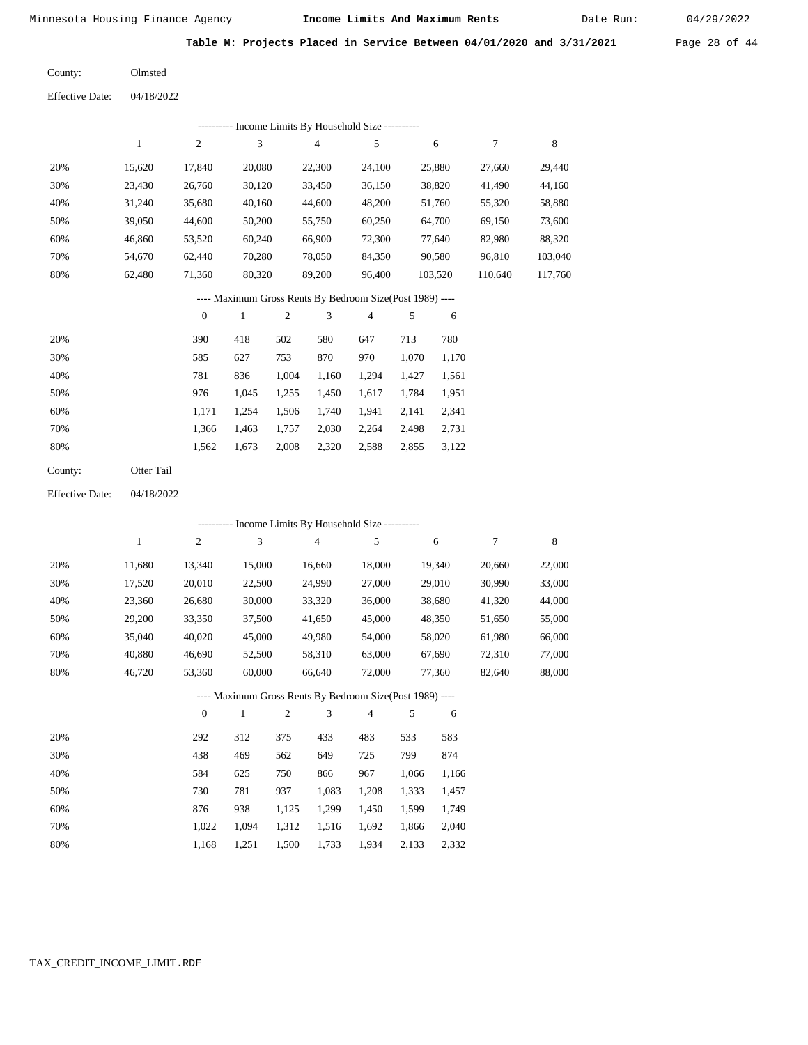Date Run:

**Table M: Projects Placed in Service Between 04/01/2020 and 3/31/2021** Page 28 of 44

Effective Date: 04/18/2022 Olmsted County:

|                        |              |                  |                             |                  | --------- Income Limits By Household Size ----------     |                |            |         |                  |             |
|------------------------|--------------|------------------|-----------------------------|------------------|----------------------------------------------------------|----------------|------------|---------|------------------|-------------|
|                        | $\mathbf{1}$ | $\sqrt{2}$       | $\ensuremath{\mathfrak{Z}}$ |                  | $\overline{4}$                                           | $\sqrt{5}$     |            | 6       | $\boldsymbol{7}$ | $\,$ 8 $\,$ |
| 20%                    | 15,620       | 17,840           | 20,080                      |                  | 22,300                                                   | 24,100         |            | 25,880  | 27,660           | 29,440      |
| 30%                    | 23,430       | 26,760           | 30,120                      |                  | 33,450                                                   | 36,150         |            | 38,820  | 41,490           | 44,160      |
| 40%                    | 31,240       | 35,680           | 40,160                      |                  | 44,600                                                   | 48,200         |            | 51,760  | 55,320           | 58,880      |
| 50%                    | 39,050       | 44,600           | 50,200                      |                  | 55,750                                                   | 60,250         |            | 64,700  | 69,150           | 73,600      |
| 60%                    | 46,860       | 53,520           | 60,240                      |                  | 66,900                                                   | 72,300         |            | 77,640  | 82,980           | 88,320      |
| 70%                    | 54,670       | 62,440           | 70,280                      |                  | 78,050                                                   | 84,350         |            | 90,580  | 96,810           | 103,040     |
| 80%                    | 62,480       | 71,360           | 80,320                      |                  | 89,200                                                   | 96,400         |            | 103,520 | 110,640          | 117,760     |
|                        |              |                  |                             |                  | ---- Maximum Gross Rents By Bedroom Size(Post 1989) ---- |                |            |         |                  |             |
|                        |              | $\boldsymbol{0}$ | $\mathbf{1}$                | $\sqrt{2}$       | 3                                                        | $\overline{4}$ | 5          | 6       |                  |             |
| 20%                    |              | 390              | 418                         | 502              | 580                                                      | 647            | 713        | 780     |                  |             |
| 30%                    |              | 585              | 627                         | 753              | 870                                                      | 970            | 1,070      | 1,170   |                  |             |
| 40%                    |              | 781              | 836                         | 1,004            | 1,160                                                    | 1,294          | 1,427      | 1,561   |                  |             |
| 50%                    |              | 976              | 1,045                       | 1,255            | 1,450                                                    | 1,617          | 1,784      | 1,951   |                  |             |
| 60%                    |              | 1,171            | 1,254                       | 1,506            | 1,740                                                    | 1,941          | 2,141      | 2,341   |                  |             |
| 70%                    |              | 1,366            | 1,463                       | 1,757            | 2,030                                                    | 2,264          | 2,498      | 2,731   |                  |             |
| 80%                    |              | 1,562            | 1,673                       | 2,008            | 2,320                                                    | 2,588          | 2,855      | 3,122   |                  |             |
| County:                | Otter Tail   |                  |                             |                  |                                                          |                |            |         |                  |             |
| <b>Effective Date:</b> | 04/18/2022   |                  |                             |                  |                                                          |                |            |         |                  |             |
|                        |              |                  |                             |                  | --------- Income Limits By Household Size ----------     |                |            |         |                  |             |
|                        | $\mathbf{1}$ | $\sqrt{2}$       | 3                           |                  | $\overline{4}$                                           | 5              |            | 6       | 7                | 8           |
| 20%                    | 11,680       | 13,340           | 15,000                      |                  | 16,660                                                   | 18,000         |            | 19,340  | 20,660           | 22,000      |
| 30%                    | 17,520       | 20,010           | 22,500                      |                  | 24,990                                                   | 27,000         |            | 29,010  | 30,990           | 33,000      |
| 40%                    | 23,360       | 26,680           | 30,000                      |                  | 33,320                                                   | 36,000         |            | 38,680  | 41,320           | 44,000      |
| 50%                    | 29,200       | 33,350           | 37,500                      |                  | 41,650                                                   | 45,000         |            | 48,350  | 51,650           | 55,000      |
| 60%                    | 35,040       | 40,020           | 45,000                      |                  | 49,980                                                   | 54,000         |            | 58,020  | 61,980           | 66,000      |
| 70%                    | 40,880       | 46,690           | 52,500                      |                  | 58,310                                                   | 63,000         |            | 67,690  | 72,310           | 77,000      |
| 80%                    | 46,720       | 53,360           | 60,000                      |                  | 66,640                                                   | 72,000         |            | 77,360  | 82,640           | 88,000      |
|                        |              |                  |                             |                  | ---- Maximum Gross Rents By Bedroom Size(Post 1989) ---- |                |            |         |                  |             |
|                        |              | $\boldsymbol{0}$ | $\mathbf{1}$                | $\boldsymbol{2}$ | 3                                                        | 4              | $\sqrt{5}$ | 6       |                  |             |
| 20%                    |              | 292              | 312                         | 375              | 433                                                      | 483            | 533        | 583     |                  |             |
| 30%                    |              | 438              | 469                         | 562              | 649                                                      | 725            | 799        | 874     |                  |             |
| 40%                    |              | 584              | 625                         | 750              | 866                                                      | 967            | 1,066      | 1,166   |                  |             |
| 50%                    |              | 730              | 781                         | 937              | 1,083                                                    | 1,208          | 1,333      | 1,457   |                  |             |
| 60%                    |              | 876              | 938                         | 1,125            | 1,299                                                    | 1,450          | 1,599      | 1,749   |                  |             |
| 70%                    |              | 1,022            | 1,094                       | 1,312            | 1,516                                                    | 1,692          | 1,866      | 2,040   |                  |             |
| 80%                    |              | 1,168            | 1,251                       | 1,500            | 1,733                                                    | 1,934          | 2,133      | 2,332   |                  |             |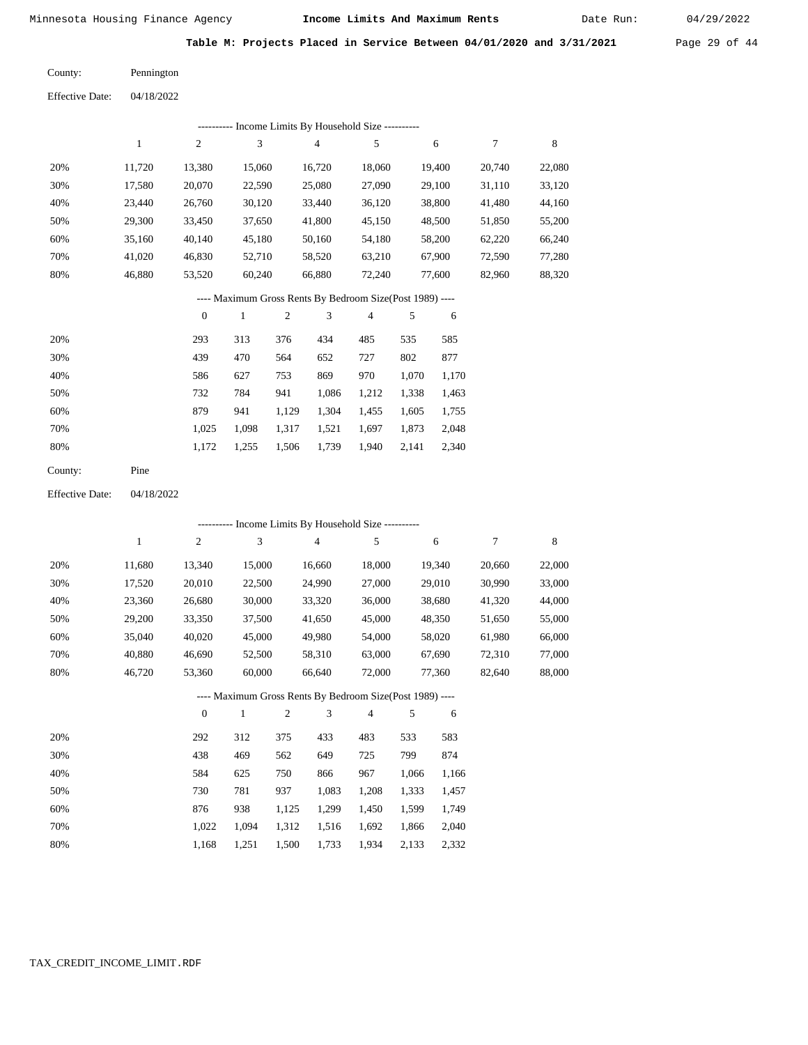Date Run:

| Table M: Projects Placed in Service Between 04/01/2020 and 3/31/2021 |  | Page 29 of 44 |  |  |  |  |  |  |  |
|----------------------------------------------------------------------|--|---------------|--|--|--|--|--|--|--|
|----------------------------------------------------------------------|--|---------------|--|--|--|--|--|--|--|

Pennington County:

| <b>Effective Date:</b> | 04/18/2022 |
|------------------------|------------|
|                        |            |

|     |        |        |        |        | Income Limits By Household Size ---------- |        |        |        |
|-----|--------|--------|--------|--------|--------------------------------------------|--------|--------|--------|
|     |        | 2      | 3      | 4      | 5                                          | 6      | 7      | 8      |
| 20% | 11.720 | 13,380 | 15,060 | 16,720 | 18,060                                     | 19,400 | 20,740 | 22,080 |
| 30% | 17,580 | 20,070 | 22,590 | 25,080 | 27,090                                     | 29,100 | 31,110 | 33,120 |
| 40% | 23,440 | 26,760 | 30,120 | 33,440 | 36,120                                     | 38,800 | 41,480 | 44,160 |
| 50% | 29,300 | 33,450 | 37,650 | 41,800 | 45,150                                     | 48,500 | 51,850 | 55,200 |
| 60% | 35,160 | 40,140 | 45,180 | 50,160 | 54,180                                     | 58,200 | 62,220 | 66,240 |
| 70% | 41,020 | 46,830 | 52,710 | 58,520 | 63,210                                     | 67,900 | 72,590 | 77,280 |
| 80% | 46,880 | 53,520 | 60,240 | 66,880 | 72,240                                     | 77,600 | 82,960 | 88,320 |

### ---- Maximum Gross Rents By Bedroom Size(Post 1989) ----

|     | $\mathbf{0}$ |       | $\overline{2}$ | 3     | $\overline{4}$ | 5     | 6     |
|-----|--------------|-------|----------------|-------|----------------|-------|-------|
| 20% | 293          | 313   | 376            | 434   | 485            | 535   | 585   |
| 30% | 439          | 470   | 564            | 652   | 727            | 802   | 877   |
| 40% | 586          | 627   | 753            | 869   | 970            | 1,070 | 1,170 |
| 50% | 732          | 784   | 941            | 1,086 | 1,212          | 1,338 | 1,463 |
| 60% | 879          | 941   | 1,129          | 1,304 | 1,455          | 1,605 | 1,755 |
| 70% | 1,025        | 1,098 | 1,317          | 1,521 | 1,697          | 1,873 | 2,048 |
| 80% | 1,172        | 1,255 | 1,506          | 1,739 | 1,940          | 2,141 | 2,340 |
|     |              |       |                |       |                |       |       |

04/18/2022 Effective Date:

|     |              |                  |              |                |                | --------- Income Limits By Household Size ----------     |       |        |        |        |
|-----|--------------|------------------|--------------|----------------|----------------|----------------------------------------------------------|-------|--------|--------|--------|
|     | $\mathbf{1}$ | $\boldsymbol{2}$ | 3            |                | $\overline{4}$ | 5                                                        |       | 6      | 7      | 8      |
| 20% | 11,680       | 13,340           | 15,000       |                | 16,660         | 18,000                                                   |       | 19,340 | 20,660 | 22,000 |
| 30% | 17,520       | 20,010           | 22,500       |                | 24,990         | 27,000                                                   |       | 29,010 | 30,990 | 33,000 |
| 40% | 23,360       | 26,680           | 30,000       |                | 33,320         | 36,000                                                   |       | 38,680 | 41,320 | 44,000 |
| 50% | 29,200       | 33,350           | 37,500       |                | 41,650         | 45,000                                                   |       | 48,350 | 51,650 | 55,000 |
| 60% | 35,040       | 40,020           | 45,000       |                | 49,980         | 54,000                                                   |       | 58,020 | 61,980 | 66,000 |
| 70% | 40,880       | 46,690           | 52,500       |                | 58,310         | 63,000                                                   |       | 67,690 | 72,310 | 77,000 |
| 80% | 46,720       | 53,360           | 60,000       |                | 66,640         | 72,000                                                   |       | 77,360 | 82,640 | 88,000 |
|     |              |                  |              |                |                | ---- Maximum Gross Rents By Bedroom Size(Post 1989) ---- |       |        |        |        |
|     |              | $\theta$         | $\mathbf{1}$ | $\overline{2}$ | 3              | $\overline{4}$                                           | 5     | 6      |        |        |
| 20% |              | 292              | 312          | 375            | 433            | 483                                                      | 533   | 583    |        |        |
| 30% |              | 438              | 469          | 562            | 649            | 725                                                      | 799   | 874    |        |        |
| 40% |              | 584              | 625          | 750            | 866            | 967                                                      | 1,066 | 1,166  |        |        |
| 50% |              | 730              | 781          | 937            | 1,083          | 1,208                                                    | 1,333 | 1,457  |        |        |
| 60% |              | 876              | 938          | 1,125          | 1,299          | 1,450                                                    | 1,599 | 1,749  |        |        |
| 70% |              | 1,022            | 1,094        | 1,312          | 1,516          | 1,692                                                    | 1,866 | 2,040  |        |        |

1,500 1,733

1,934 2,133 2,332

1,168

1,251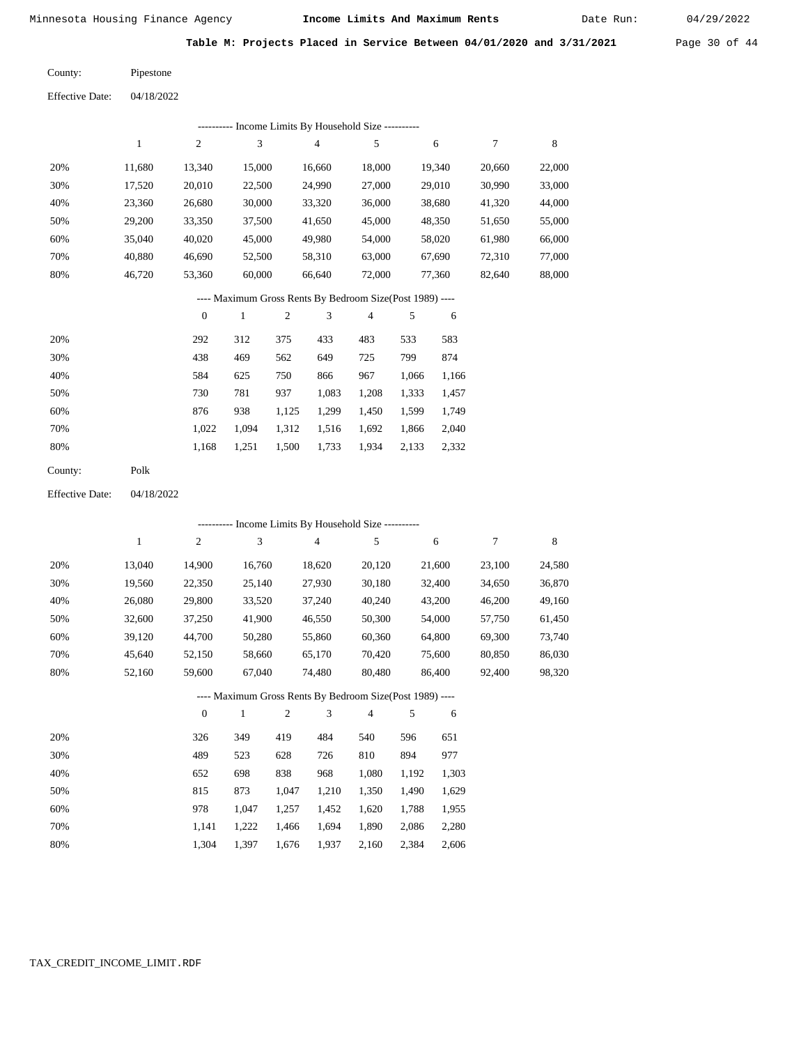|              |                                            |                                                                      |                                                                        |                                                                                                         |                                                           |                                                                                                                                                                         | Date Run:                                                                                                                                                                                                                                        | 04/29/2022                                                                                                    |
|--------------|--------------------------------------------|----------------------------------------------------------------------|------------------------------------------------------------------------|---------------------------------------------------------------------------------------------------------|-----------------------------------------------------------|-------------------------------------------------------------------------------------------------------------------------------------------------------------------------|--------------------------------------------------------------------------------------------------------------------------------------------------------------------------------------------------------------------------------------------------|---------------------------------------------------------------------------------------------------------------|
|              |                                            |                                                                      |                                                                        |                                                                                                         |                                                           |                                                                                                                                                                         |                                                                                                                                                                                                                                                  | Page 30 of 4                                                                                                  |
| Pipestone    |                                            |                                                                      |                                                                        |                                                                                                         |                                                           |                                                                                                                                                                         |                                                                                                                                                                                                                                                  |                                                                                                               |
|              |                                            |                                                                      |                                                                        |                                                                                                         |                                                           |                                                                                                                                                                         |                                                                                                                                                                                                                                                  |                                                                                                               |
|              |                                            |                                                                      |                                                                        |                                                                                                         |                                                           |                                                                                                                                                                         |                                                                                                                                                                                                                                                  |                                                                                                               |
| $\mathbf{1}$ | $\boldsymbol{2}$                           | $\mathfrak{Z}$                                                       | $\overline{\mathcal{A}}$                                               | 5                                                                                                       | $\sqrt{6}$                                                | $\tau$                                                                                                                                                                  | $\,8\,$                                                                                                                                                                                                                                          |                                                                                                               |
|              |                                            |                                                                      |                                                                        |                                                                                                         |                                                           |                                                                                                                                                                         |                                                                                                                                                                                                                                                  |                                                                                                               |
|              |                                            |                                                                      |                                                                        |                                                                                                         |                                                           | 30,990                                                                                                                                                                  | 33,000                                                                                                                                                                                                                                           |                                                                                                               |
| 23,360       | 26,680                                     | 30,000                                                               | 33,320                                                                 | 36,000                                                                                                  |                                                           | 41,320                                                                                                                                                                  | 44,000                                                                                                                                                                                                                                           |                                                                                                               |
| 29,200       | 33,350                                     | 37,500                                                               | 41,650                                                                 | 45,000                                                                                                  |                                                           | 51,650                                                                                                                                                                  | 55,000                                                                                                                                                                                                                                           |                                                                                                               |
| 35,040       | 40,020                                     | 45,000                                                               | 49,980                                                                 | 54,000                                                                                                  |                                                           | 61,980                                                                                                                                                                  | 66,000                                                                                                                                                                                                                                           |                                                                                                               |
| 40,880       | 46,690                                     | 52,500                                                               | 58,310                                                                 | 63,000                                                                                                  |                                                           | 72,310                                                                                                                                                                  | 77,000                                                                                                                                                                                                                                           |                                                                                                               |
| 46,720       | 53,360                                     | 60,000                                                               | 66,640                                                                 | 72,000                                                                                                  |                                                           | 82,640                                                                                                                                                                  | 88,000                                                                                                                                                                                                                                           |                                                                                                               |
|              |                                            |                                                                      |                                                                        |                                                                                                         |                                                           |                                                                                                                                                                         |                                                                                                                                                                                                                                                  |                                                                                                               |
|              | $\boldsymbol{0}$                           | $\mathbf{1}$                                                         | 3                                                                      | $\overline{\mathcal{A}}$                                                                                | 5                                                         | 6                                                                                                                                                                       |                                                                                                                                                                                                                                                  |                                                                                                               |
|              | 292                                        | 312                                                                  | 433                                                                    | 483                                                                                                     |                                                           |                                                                                                                                                                         |                                                                                                                                                                                                                                                  |                                                                                                               |
|              | 438                                        | 469                                                                  | 649                                                                    | 725                                                                                                     | 799                                                       |                                                                                                                                                                         |                                                                                                                                                                                                                                                  |                                                                                                               |
|              | 584                                        | 625                                                                  | 866                                                                    | 967                                                                                                     |                                                           |                                                                                                                                                                         |                                                                                                                                                                                                                                                  |                                                                                                               |
|              | 730                                        | 781                                                                  |                                                                        | 1,208                                                                                                   |                                                           |                                                                                                                                                                         |                                                                                                                                                                                                                                                  |                                                                                                               |
|              | 876                                        | 938                                                                  |                                                                        | 1,450                                                                                                   |                                                           |                                                                                                                                                                         |                                                                                                                                                                                                                                                  |                                                                                                               |
|              | 1,022                                      | 1,094                                                                |                                                                        | 1,692                                                                                                   |                                                           |                                                                                                                                                                         |                                                                                                                                                                                                                                                  |                                                                                                               |
|              | 1,168                                      | 1,251                                                                |                                                                        | 1,934                                                                                                   |                                                           |                                                                                                                                                                         |                                                                                                                                                                                                                                                  |                                                                                                               |
| Polk         |                                            |                                                                      |                                                                        |                                                                                                         |                                                           |                                                                                                                                                                         |                                                                                                                                                                                                                                                  |                                                                                                               |
|              |                                            |                                                                      |                                                                        |                                                                                                         |                                                           |                                                                                                                                                                         |                                                                                                                                                                                                                                                  |                                                                                                               |
|              |                                            |                                                                      |                                                                        |                                                                                                         |                                                           |                                                                                                                                                                         |                                                                                                                                                                                                                                                  |                                                                                                               |
|              |                                            |                                                                      |                                                                        |                                                                                                         |                                                           |                                                                                                                                                                         |                                                                                                                                                                                                                                                  |                                                                                                               |
|              |                                            |                                                                      |                                                                        |                                                                                                         |                                                           |                                                                                                                                                                         |                                                                                                                                                                                                                                                  |                                                                                                               |
| 19,560       |                                            |                                                                      |                                                                        |                                                                                                         |                                                           |                                                                                                                                                                         |                                                                                                                                                                                                                                                  |                                                                                                               |
|              |                                            |                                                                      |                                                                        | 20,120                                                                                                  | 21,600                                                    | 23,100                                                                                                                                                                  | 24,580                                                                                                                                                                                                                                           |                                                                                                               |
|              | 22,350                                     | 25,140                                                               | 27,930                                                                 | 30,180                                                                                                  | 32,400                                                    | 34,650                                                                                                                                                                  | 36,870                                                                                                                                                                                                                                           |                                                                                                               |
| 26,080       | 29,800                                     | 33,520                                                               | 37,240                                                                 | 40,240                                                                                                  | 43,200                                                    | 46,200                                                                                                                                                                  | 49,160                                                                                                                                                                                                                                           |                                                                                                               |
| 32,600       | 37,250                                     | 41,900                                                               | 46,550                                                                 | 50,300                                                                                                  | 54,000                                                    | 57,750                                                                                                                                                                  | 61,450                                                                                                                                                                                                                                           |                                                                                                               |
| 39,120       | 44,700                                     | 50,280                                                               | 55,860                                                                 | 60,360                                                                                                  | 64,800                                                    | 69,300                                                                                                                                                                  | 73,740                                                                                                                                                                                                                                           |                                                                                                               |
| 45,640       | 52,150                                     | 58,660                                                               | 65,170                                                                 | 70,420                                                                                                  | 75,600                                                    | 80,850<br>92,400                                                                                                                                                        | 86,030                                                                                                                                                                                                                                           |                                                                                                               |
| 52,160       | 59,600                                     | 67,040                                                               | 74,480                                                                 | 80,480                                                                                                  | 86,400                                                    |                                                                                                                                                                         | 98,320                                                                                                                                                                                                                                           |                                                                                                               |
|              |                                            | ---- Maximum Gross Rents By Bedroom Size(Post 1989) ----             |                                                                        |                                                                                                         |                                                           |                                                                                                                                                                         |                                                                                                                                                                                                                                                  |                                                                                                               |
|              | $\boldsymbol{0}$                           | $\sqrt{2}$<br>$\mathbf{1}$                                           | $\mathbf{3}$                                                           | $\overline{4}$                                                                                          | 5                                                         | 6                                                                                                                                                                       |                                                                                                                                                                                                                                                  |                                                                                                               |
|              | 326                                        | 349<br>419                                                           | 484                                                                    | 540                                                                                                     | 596                                                       | 651                                                                                                                                                                     |                                                                                                                                                                                                                                                  |                                                                                                               |
|              | 489                                        | 523<br>628                                                           | 726                                                                    | 810                                                                                                     | 894                                                       | 977                                                                                                                                                                     |                                                                                                                                                                                                                                                  |                                                                                                               |
|              | 652                                        | 698<br>838                                                           | 968                                                                    | 1,080                                                                                                   | 1,192                                                     | 1,303                                                                                                                                                                   |                                                                                                                                                                                                                                                  |                                                                                                               |
|              | 815                                        | 873<br>1,047                                                         | 1,210                                                                  | 1,350                                                                                                   | 1,490                                                     | 1,629                                                                                                                                                                   |                                                                                                                                                                                                                                                  |                                                                                                               |
|              | 978<br>1,141                               | 1,047<br>1,257<br>1,222<br>1,466                                     | 1,452<br>1,694                                                         | 1,620<br>1,890                                                                                          | 1,788<br>2,086                                            | 1,955<br>2,280                                                                                                                                                          |                                                                                                                                                                                                                                                  |                                                                                                               |
|              | 11,680<br>17,520<br>$\mathbf{1}$<br>13,040 | 04/18/2022<br>13,340<br>20,010<br>04/18/2022<br>$\sqrt{2}$<br>14,900 | Minnesota Housing Finance Agency<br>15,000<br>22,500<br>$\mathfrak{Z}$ | 16,660<br>24,990<br>$\sqrt{2}$<br>375<br>562<br>750<br>937<br>1,125<br>1,312<br>1,500<br>$\overline{4}$ | 18,000<br>27,000<br>1,083<br>1,299<br>1,516<br>1,733<br>5 | ---------- Income Limits By Household Size ----------<br>533<br>1,066<br>1,333<br>1,599<br>1,866<br>2,133<br>---------- Income Limits By Household Size ----------<br>6 | Income Limits And Maximum Rents<br>19,340<br>20,660<br>29,010<br>38,680<br>48,350<br>58,020<br>67,690<br>77,360<br>---- Maximum Gross Rents By Bedroom Size(Post 1989) ----<br>583<br>874<br>1,166<br>1,457<br>1,749<br>2,040<br>2,332<br>$\tau$ | Table M: Projects Placed in Service Between 04/01/2020 and 3/31/2021<br>22,000<br>$\,8\,$<br>16,760<br>18,620 |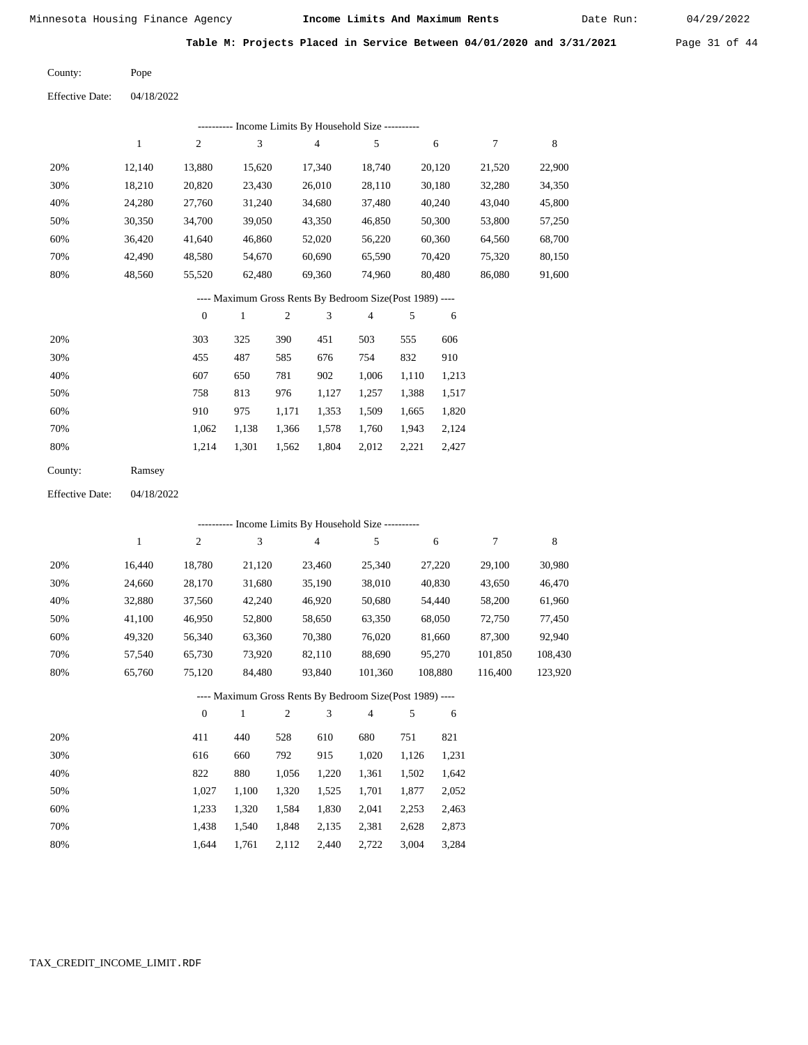Date Run:

**Table M: Projects Placed in Service Between 04/01/2020 and 3/31/2021** Page 31 of 44

Pope County:

Effective Date: 04/18/2022

|     |        |        |        |        | ---------- Income Limits By Household Size ----------    |        |        |        |
|-----|--------|--------|--------|--------|----------------------------------------------------------|--------|--------|--------|
|     | 1      | 2      | 3      | 4      | 5                                                        | 6      | 7      | 8      |
| 20% | 12.140 | 13.880 | 15.620 | 17.340 | 18.740                                                   | 20.120 | 21.520 | 22,900 |
| 30% | 18,210 | 20,820 | 23.430 | 26,010 | 28.110                                                   | 30,180 | 32,280 | 34,350 |
| 40% | 24,280 | 27,760 | 31,240 | 34,680 | 37,480                                                   | 40,240 | 43,040 | 45,800 |
| 50% | 30,350 | 34,700 | 39,050 | 43,350 | 46,850                                                   | 50,300 | 53,800 | 57,250 |
| 60% | 36,420 | 41,640 | 46,860 | 52,020 | 56,220                                                   | 60,360 | 64,560 | 68,700 |
| 70% | 42.490 | 48,580 | 54,670 | 60,690 | 65,590                                                   | 70,420 | 75,320 | 80,150 |
| 80% | 48,560 | 55,520 | 62.480 | 69,360 | 74,960                                                   | 80.480 | 86,080 | 91,600 |
|     |        |        |        |        | ---- Maximum Gross Rents By Bedroom Size(Post 1989) ---- |        |        |        |

|     | $\Omega$ |       | $\overline{c}$ | 3     | $\overline{4}$ |       | 6     |
|-----|----------|-------|----------------|-------|----------------|-------|-------|
| 20% | 303      | 325   | 390            | 451   | 503            | 555   | 606   |
| 30% | 455      | 487   | 585            | 676   | 754            | 832   | 910   |
| 40% | 607      | 650   | 781            | 902   | 1,006          | 1,110 | 1,213 |
| 50% | 758      | 813   | 976            | 1,127 | 1,257          | 1,388 | 1,517 |
| 60% | 910      | 975   | 1,171          | 1,353 | 1,509          | 1,665 | 1,820 |
| 70% | 1,062    | 1,138 | 1,366          | 1,578 | 1,760          | 1,943 | 2,124 |
| 80% | 1,214    | 1,301 | 1,562          | 1,804 | 2,012          | 2,221 | 2,427 |

| County: | Ramsey |
|---------|--------|
|---------|--------|

Effective Date: 04/18/2022

|     |        |          |        |     |                | ---------- Income Limits By Household Size ----------    |     |         |         |         |
|-----|--------|----------|--------|-----|----------------|----------------------------------------------------------|-----|---------|---------|---------|
|     | 1      | 2        | 3      |     | $\overline{4}$ | 5                                                        |     | 6       | 7       | 8       |
| 20% | 16,440 | 18,780   | 21,120 |     | 23,460         | 25,340                                                   |     | 27,220  | 29,100  | 30,980  |
| 30% | 24,660 | 28,170   | 31,680 |     | 35,190         | 38,010                                                   |     | 40,830  | 43,650  | 46,470  |
| 40% | 32,880 | 37,560   | 42,240 |     | 46,920         | 50,680                                                   |     | 54,440  | 58,200  | 61,960  |
| 50% | 41,100 | 46,950   | 52,800 |     | 58,650         | 63,350                                                   |     | 68,050  | 72,750  | 77,450  |
| 60% | 49,320 | 56,340   | 63,360 |     | 70,380         | 76,020                                                   |     | 81,660  | 87,300  | 92,940  |
| 70% | 57,540 | 65,730   | 73,920 |     | 82,110         | 88.690                                                   |     | 95,270  | 101.850 | 108,430 |
| 80% | 65,760 | 75,120   | 84,480 |     | 93,840         | 101,360                                                  |     | 108,880 | 116,400 | 123,920 |
|     |        |          |        |     |                | ---- Maximum Gross Rents By Bedroom Size(Post 1989) ---- |     |         |         |         |
|     |        | $\theta$ | 1      | 2   | 3              | $\overline{4}$                                           | 5   | 6       |         |         |
| 20% |        | 411      | 440    | 528 | 610            | 680                                                      | 751 | 821     |         |         |

| 30% | 616   | 660   | 792   | 915   | 1.020 | 1,126 1,231 |       |
|-----|-------|-------|-------|-------|-------|-------------|-------|
| 40% | 822   | 880   | 1.056 | 1.220 | 1.361 | 1.502       | 1,642 |
| 50% | 1.027 | 1.100 | 1.320 | 1.525 | 1,701 | 1.877       | 2,052 |
| 60% | 1.233 | 1.320 | 1.584 | 1.830 | 2,041 | 2.253       | 2,463 |
| 70% | 1.438 | 1.540 | 1.848 | 2.135 | 2.381 | 2.628       | 2,873 |
| 80% | 1.644 | 1.761 | 2,112 | 2,440 | 2,722 | 3,004       | 3,284 |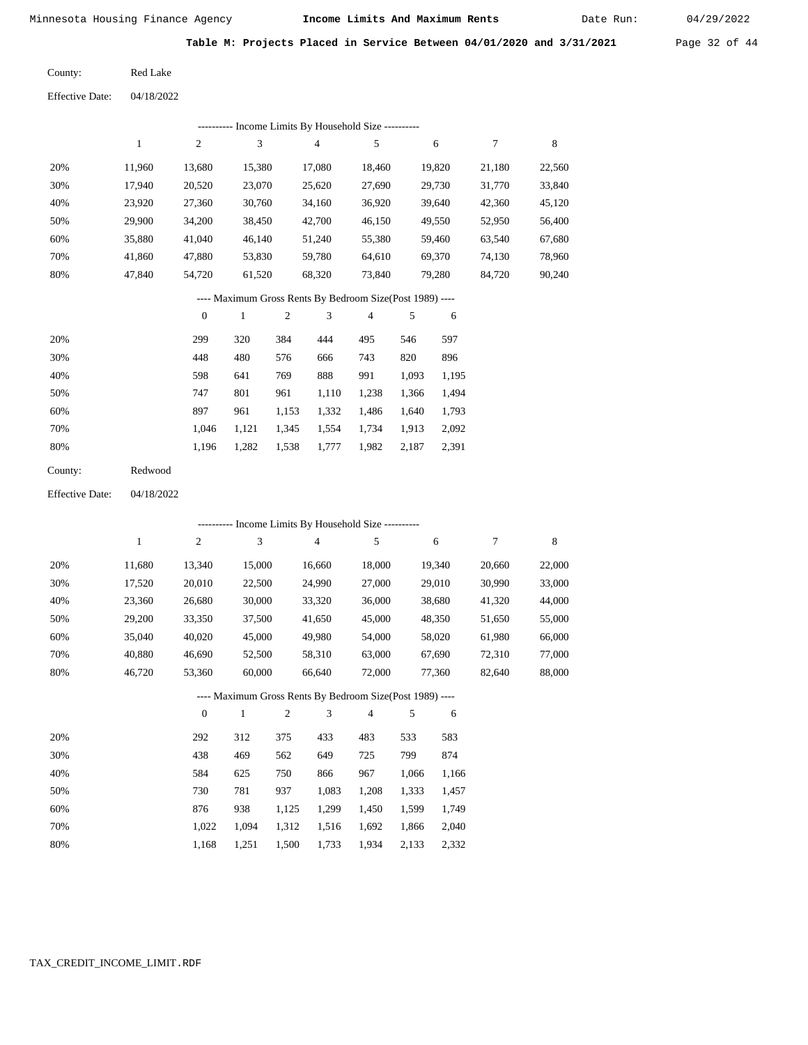Date Run:

**Table M: Projects Placed in Service Between 04/01/2020 and 3/31/2021** Page 32 of 44

| County: | <b>Red Lake</b> |
|---------|-----------------|
|         |                 |

|     | Income Limits By Household Size ---------- |                |        |        |        |        |        |        |  |  |  |  |
|-----|--------------------------------------------|----------------|--------|--------|--------|--------|--------|--------|--|--|--|--|
|     |                                            | $\overline{c}$ | 3      | 4      | 5      | 6      |        | 8      |  |  |  |  |
| 20% | 11.960                                     | 13,680         | 15,380 | 17.080 | 18.460 | 19,820 | 21,180 | 22,560 |  |  |  |  |
| 30% | 17,940                                     | 20,520         | 23,070 | 25,620 | 27,690 | 29,730 | 31,770 | 33,840 |  |  |  |  |
| 40% | 23,920                                     | 27,360         | 30,760 | 34,160 | 36,920 | 39,640 | 42,360 | 45,120 |  |  |  |  |
| 50% | 29,900                                     | 34,200         | 38,450 | 42,700 | 46,150 | 49,550 | 52,950 | 56,400 |  |  |  |  |
| 60% | 35,880                                     | 41,040         | 46.140 | 51,240 | 55,380 | 59,460 | 63,540 | 67,680 |  |  |  |  |
| 70% | 41.860                                     | 47.880         | 53,830 | 59,780 | 64.610 | 69,370 | 74,130 | 78,960 |  |  |  |  |
| 80% | 47.840                                     | 54.720         | 61,520 | 68,320 | 73,840 | 79.280 | 84.720 | 90,240 |  |  |  |  |

### ---- Maximum Gross Rents By Bedroom Size(Post 1989) ----

|     | $\mathbf{0}$ |       | $\overline{c}$ | 3     | $\overline{4}$ | 5     | 6     |
|-----|--------------|-------|----------------|-------|----------------|-------|-------|
| 20% | 299          | 320   | 384            | 444   | 495            | 546   | 597   |
| 30% | 448          | 480   | 576            | 666   | 743            | 820   | 896   |
| 40% | 598          | 641   | 769            | 888   | 991            | 1,093 | 1,195 |
| 50% | 747          | 801   | 961            | 1,110 | 1,238          | 1,366 | 1,494 |
| 60% | 897          | 961   | 1,153          | 1,332 | 1,486          | 1,640 | 1,793 |
| 70% | 1.046        | 1,121 | 1,345          | 1,554 | 1,734          | 1,913 | 2,092 |
| 80% | 1,196        | 1,282 | 1,538          | 1,777 | 1,982          | 2,187 | 2,391 |
|     |              |       |                |       |                |       |       |

| Redwood |
|---------|
|         |

04/18/2022 Effective Date:

|     |        |                |        |                |                | --------- Income Limits By Household Size ----------     |       |        |        |        |
|-----|--------|----------------|--------|----------------|----------------|----------------------------------------------------------|-------|--------|--------|--------|
|     | 1      | $\overline{c}$ | 3      |                | $\overline{4}$ | 5                                                        |       | 6      | 7      | 8      |
| 20% | 11,680 | 13,340         | 15,000 |                | 16,660         | 18,000                                                   |       | 19,340 | 20,660 | 22,000 |
| 30% | 17,520 | 20,010         | 22,500 |                | 24,990         | 27,000                                                   |       | 29,010 | 30,990 | 33,000 |
| 40% | 23,360 | 26,680         | 30,000 |                | 33,320         | 36,000                                                   |       | 38,680 | 41,320 | 44,000 |
| 50% | 29,200 | 33,350         | 37,500 |                | 41,650         | 45,000                                                   |       | 48,350 | 51,650 | 55,000 |
| 60% | 35,040 | 40,020         | 45,000 |                | 49,980         | 54,000                                                   |       | 58,020 | 61,980 | 66,000 |
| 70% | 40,880 | 46,690         | 52,500 |                | 58,310         | 63,000                                                   |       | 67,690 | 72,310 | 77,000 |
| 80% | 46,720 | 53,360         | 60,000 |                | 66,640         | 72,000                                                   |       | 77,360 | 82,640 | 88,000 |
|     |        |                |        |                |                | ---- Maximum Gross Rents By Bedroom Size(Post 1989) ---- |       |        |        |        |
|     |        | $\mathbf{0}$   | 1      | $\overline{2}$ | 3              | 4                                                        | 5     | 6      |        |        |
| 20% |        | 292            | 312    | 375            | 433            | 483                                                      | 533   | 583    |        |        |
| 30% |        | 438            | 469    | 562            | 649            | 725                                                      | 799   | 874    |        |        |
| 40% |        | 584            | 625    | 750            | 866            | 967                                                      | 1,066 | 1,166  |        |        |
| 50% |        | 730            | 781    | 937            | 1,083          | 1,208                                                    | 1,333 | 1,457  |        |        |
| 60% |        | 876            | 938    | 1,125          | 1,299          | 1,450                                                    | 1,599 | 1,749  |        |        |
| 70% |        | 1,022          | 1,094  | 1,312          | 1,516          | 1,692                                                    | 1,866 | 2,040  |        |        |

1,168 1,251 1,500 1,733 1,934 2,133 2,332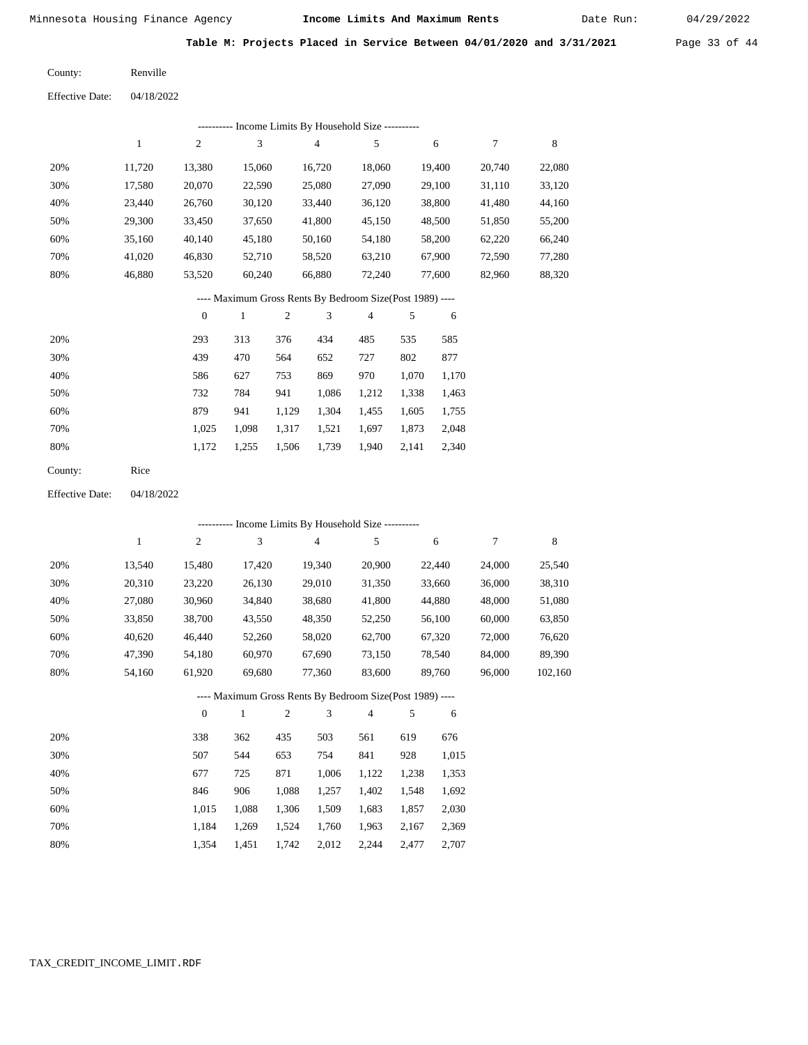Date Run:

**Table M: Projects Placed in Service Between 04/01/2020 and 3/31/2021** Page 33 of 44

Renville County:

04/18/2022 Effective Date:

|     | ---------- Income Limits By Household Size ---------- |        |        |        |        |        |        |        |  |  |  |  |  |
|-----|-------------------------------------------------------|--------|--------|--------|--------|--------|--------|--------|--|--|--|--|--|
|     |                                                       | 2      | 3      | 4      | 5      | 6      | 7      | 8      |  |  |  |  |  |
| 20% | 11.720                                                | 13,380 | 15,060 | 16,720 | 18,060 | 19,400 | 20,740 | 22,080 |  |  |  |  |  |
| 30% | 17,580                                                | 20,070 | 22,590 | 25,080 | 27,090 | 29,100 | 31,110 | 33,120 |  |  |  |  |  |
| 40% | 23.440                                                | 26,760 | 30,120 | 33,440 | 36,120 | 38,800 | 41,480 | 44,160 |  |  |  |  |  |
| 50% | 29,300                                                | 33,450 | 37,650 | 41,800 | 45,150 | 48,500 | 51,850 | 55,200 |  |  |  |  |  |
| 60% | 35,160                                                | 40,140 | 45,180 | 50,160 | 54,180 | 58,200 | 62,220 | 66,240 |  |  |  |  |  |
| 70% | 41,020                                                | 46,830 | 52,710 | 58,520 | 63,210 | 67,900 | 72,590 | 77,280 |  |  |  |  |  |
| 80% | 46,880                                                | 53,520 | 60,240 | 66,880 | 72,240 | 77,600 | 82,960 | 88,320 |  |  |  |  |  |
|     |                                                       |        |        |        |        |        |        |        |  |  |  |  |  |

### ---- Maximum Gross Rents By Bedroom Size(Post 1989) ----

|     | $\mathbf{0}$ |       | 2     | 3     | 4     | 5     | 6     |
|-----|--------------|-------|-------|-------|-------|-------|-------|
| 20% | 293          | 313   | 376   | 434   | 485   | 535   | 585   |
| 30% | 439          | 470   | 564   | 652   | 727   | 802   | 877   |
| 40% | 586          | 627   | 753   | 869   | 970   | 1,070 | 1,170 |
| 50% | 732          | 784   | 941   | 1,086 | 1,212 | 1,338 | 1,463 |
| 60% | 879          | 941   | 1,129 | 1,304 | 1,455 | 1,605 | 1,755 |
| 70% | 1,025        | 1,098 | 1,317 | 1,521 | 1,697 | 1,873 | 2,048 |
| 80% | 1,172        | 1,255 | 1,506 | 1,739 | 1,940 | 2,141 | 2,340 |
|     |              |       |       |       |       |       |       |

| County: | Rice |
|---------|------|
|---------|------|

04/18/2022 Effective Date:

|     |              |                  |        |              | ---------- Income Limits By Household Size ----------    |                |       |        |        |         |
|-----|--------------|------------------|--------|--------------|----------------------------------------------------------|----------------|-------|--------|--------|---------|
|     | $\mathbf{1}$ | 2                | 3      |              | $\overline{4}$                                           | 5              |       | 6      | 7      | 8       |
| 20% | 13,540       | 15,480           | 17,420 |              | 19,340                                                   | 20,900         |       | 22,440 | 24,000 | 25,540  |
| 30% | 20,310       | 23,220           | 26,130 |              | 29,010                                                   | 31,350         |       | 33,660 | 36,000 | 38,310  |
| 40% | 27,080       | 30,960           | 34,840 |              | 38,680                                                   | 41,800         |       | 44,880 | 48,000 | 51,080  |
| 50% | 33,850       | 38,700           | 43,550 |              | 48,350                                                   | 52,250         |       | 56,100 | 60,000 | 63,850  |
| 60% | 40,620       | 46,440           | 52,260 |              | 58,020                                                   | 62,700         |       | 67,320 | 72,000 | 76,620  |
| 70% | 47,390       | 54,180           | 60,970 |              | 67,690                                                   | 73,150         |       | 78,540 | 84,000 | 89,390  |
| 80% | 54,160       | 61,920           | 69,680 |              | 77,360                                                   | 83,600         |       | 89,760 | 96,000 | 102,160 |
|     |              |                  |        |              | ---- Maximum Gross Rents By Bedroom Size(Post 1989) ---- |                |       |        |        |         |
|     |              | $\boldsymbol{0}$ | 1      | $\mathbf{2}$ | 3                                                        | $\overline{4}$ | 5     | 6      |        |         |
| 20% |              | 338              | 362    | 435          | 503                                                      | 561            | 619   | 676    |        |         |
| 30% |              | 507              | 544    | 653          | 754                                                      | 841            | 928   | 1,015  |        |         |
| 40% |              | 677              | 725    | 871          | 1,006                                                    | 1,122          | 1,238 | 1,353  |        |         |
| 50% |              | 846              | 906    | 1,088        | 1,257                                                    | 1,402          | 1,548 | 1,692  |        |         |
| 60% |              | 1,015            | 1,088  | 1,306        | 1,509                                                    | 1,683          | 1,857 | 2,030  |        |         |

1,683 1,857

 2,369 2,707

|  |  | 1,184 1,269 1,524 1,760 1,963 2,167 |  |
|--|--|-------------------------------------|--|
|  |  | 1.354 1.451 1.742 2.012 2.244 2.477 |  |

 70% 80%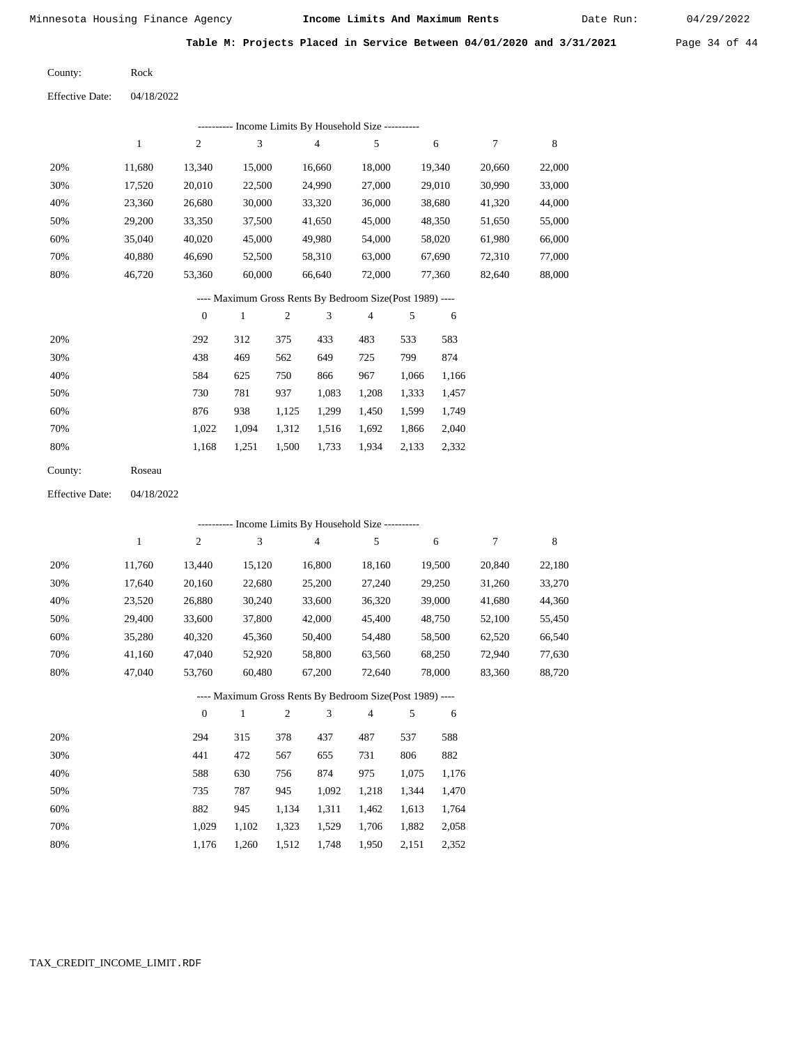Date Run:

**Table M: Projects Placed in Service Between 04/01/2020 and 3/31/2021** Page 34 of 44

Rock County:

04/18/2022 Effective Date:

|     | ---------- Income Limits By Household Size ---------- |        |        |        |        |        |        |        |  |  |  |  |  |
|-----|-------------------------------------------------------|--------|--------|--------|--------|--------|--------|--------|--|--|--|--|--|
|     |                                                       | 2      | 3      | 4      | 5      | 6      | 7      | 8      |  |  |  |  |  |
| 20% | 11,680                                                | 13,340 | 15,000 | 16,660 | 18,000 | 19,340 | 20,660 | 22,000 |  |  |  |  |  |
| 30% | 17,520                                                | 20,010 | 22,500 | 24,990 | 27,000 | 29,010 | 30,990 | 33,000 |  |  |  |  |  |
| 40% | 23,360                                                | 26,680 | 30,000 | 33,320 | 36,000 | 38,680 | 41,320 | 44,000 |  |  |  |  |  |
| 50% | 29,200                                                | 33,350 | 37,500 | 41,650 | 45,000 | 48,350 | 51,650 | 55,000 |  |  |  |  |  |
| 60% | 35,040                                                | 40,020 | 45,000 | 49,980 | 54,000 | 58,020 | 61,980 | 66,000 |  |  |  |  |  |
| 70% | 40,880                                                | 46,690 | 52,500 | 58,310 | 63,000 | 67,690 | 72,310 | 77,000 |  |  |  |  |  |
| 80% | 46,720                                                | 53,360 | 60,000 | 66.640 | 72,000 | 77,360 | 82,640 | 88,000 |  |  |  |  |  |
|     |                                                       |        |        |        |        |        |        |        |  |  |  |  |  |

### ---- Maximum Gross Rents By Bedroom Size(Post 1989) ----

|     | $\mathbf{0}$ |       | 2     | 3     | 4     | 5     | 6     |
|-----|--------------|-------|-------|-------|-------|-------|-------|
| 20% | 292          | 312   | 375   | 433   | 483   | 533   | 583   |
| 30% | 438          | 469   | 562   | 649   | 725   | 799   | 874   |
| 40% | 584          | 625   | 750   | 866   | 967   | 1,066 | 1,166 |
| 50% | 730          | 781   | 937   | 1,083 | 1,208 | 1,333 | 1,457 |
| 60% | 876          | 938   | 1,125 | 1,299 | 1,450 | 1,599 | 1,749 |
| 70% | 1.022        | 1.094 | 1,312 | 1,516 | 1,692 | 1,866 | 2,040 |
| 80% | 1,168        | 1,251 | 1,500 | 1,733 | 1,934 | 2,133 | 2,332 |
|     |              |       |       |       |       |       |       |

Roseau County:

04/18/2022 Effective Date:

|     |        |                |        |                |                | ---------- Income Limits By Household Size ----------    |       |        |        |        |
|-----|--------|----------------|--------|----------------|----------------|----------------------------------------------------------|-------|--------|--------|--------|
|     | 1      | $\overline{c}$ | 3      |                | $\overline{4}$ | 5                                                        |       | 6      | 7      | 8      |
| 20% | 11,760 | 13,440         | 15,120 |                | 16,800         | 18,160                                                   |       | 19,500 | 20,840 | 22,180 |
| 30% | 17,640 | 20,160         | 22,680 |                | 25,200         | 27,240                                                   |       | 29,250 | 31,260 | 33,270 |
| 40% | 23,520 | 26,880         | 30,240 |                | 33,600         | 36,320                                                   |       | 39,000 | 41,680 | 44,360 |
| 50% | 29,400 | 33,600         | 37,800 |                | 42,000         | 45,400                                                   |       | 48,750 | 52,100 | 55,450 |
| 60% | 35,280 | 40,320         | 45,360 |                | 50,400         | 54,480                                                   |       | 58,500 | 62,520 | 66,540 |
| 70% | 41,160 | 47,040         | 52,920 |                | 58,800         | 63,560                                                   |       | 68,250 | 72,940 | 77,630 |
| 80% | 47,040 | 53,760         | 60,480 |                | 67,200         | 72,640                                                   |       | 78,000 | 83,360 | 88,720 |
|     |        |                |        |                |                | ---- Maximum Gross Rents By Bedroom Size(Post 1989) ---- |       |        |        |        |
|     |        | $\mathbf{0}$   | 1      | $\overline{2}$ | 3              | $\overline{4}$                                           | 5     | 6      |        |        |
| 20% |        | 294            | 315    | 378            | 437            | 487                                                      | 537   | 588    |        |        |
| 30% |        | 441            | 472    | 567            | 655            | 731                                                      | 806   | 882    |        |        |
| 40% |        | 588            | 630    | 756            | 874            | 975                                                      | 1,075 | 1,176  |        |        |
| 50% |        | 735            | 787    | 945            | 1,092          | 1,218                                                    | 1,344 | 1,470  |        |        |
| 60% |        | 882            | 945    | 1,134          | 1,311          | 1,462                                                    | 1,613 | 1,764  |        |        |
| 70% |        | 1,029          | 1,102  | 1,323          | 1,529          | 1,706                                                    | 1,882 | 2,058  |        |        |

1,176 1,260 1,512 1,748 1,950 2,151 2,352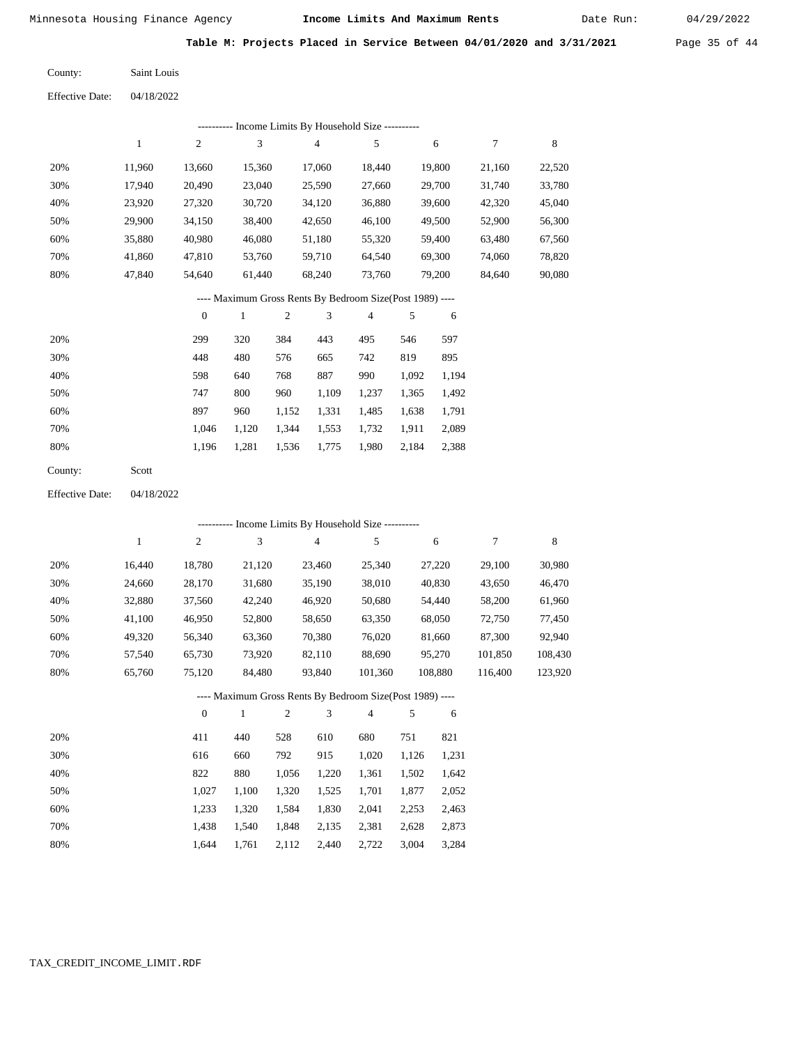Date Run:

**Table M: Projects Placed in Service Between 04/01/2020 and 3/31/2021** Page 35 of 44

Saint Louis County:

04/18/2022 Effective Date:

| ---------- Income Limits By Household Size ---------- |        |        |        |        |        |        |        |        |  |  |
|-------------------------------------------------------|--------|--------|--------|--------|--------|--------|--------|--------|--|--|
|                                                       |        | 2      | 3      | 4      | 5      | 6      | 7      | 8      |  |  |
| 20%                                                   | 11,960 | 13,660 | 15,360 | 17,060 | 18,440 | 19,800 | 21,160 | 22,520 |  |  |
| 30%                                                   | 17.940 | 20,490 | 23,040 | 25,590 | 27,660 | 29,700 | 31,740 | 33,780 |  |  |
| 40%                                                   | 23,920 | 27,320 | 30,720 | 34,120 | 36,880 | 39,600 | 42,320 | 45,040 |  |  |
| 50%                                                   | 29,900 | 34,150 | 38,400 | 42,650 | 46,100 | 49,500 | 52,900 | 56,300 |  |  |
| 60%                                                   | 35,880 | 40,980 | 46,080 | 51,180 | 55,320 | 59,400 | 63.480 | 67,560 |  |  |
| 70%                                                   | 41,860 | 47,810 | 53,760 | 59,710 | 64,540 | 69,300 | 74,060 | 78,820 |  |  |
| 80%                                                   | 47,840 | 54,640 | 61,440 | 68,240 | 73,760 | 79,200 | 84,640 | 90,080 |  |  |
|                                                       |        |        |        |        |        |        |        |        |  |  |

### ---- Maximum Gross Rents By Bedroom Size(Post 1989) ----

|     | $\mathbf{0}$ |       | $\overline{2}$ | 3     | 4     | 5     | 6     |
|-----|--------------|-------|----------------|-------|-------|-------|-------|
| 20% | 299          | 320   | 384            | 443   | 495   | 546   | 597   |
| 30% | 448          | 480   | 576            | 665   | 742   | 819   | 895   |
| 40% | 598          | 640   | 768            | 887   | 990   | 1,092 | 1,194 |
| 50% | 747          | 800   | 960            | 1,109 | 1,237 | 1,365 | 1,492 |
| 60% | 897          | 960   | 1,152          | 1,331 | 1,485 | 1,638 | 1,791 |
| 70% | 1.046        | 1,120 | 1,344          | 1,553 | 1,732 | 1,911 | 2,089 |
| 80% | 1,196        | 1,281 | 1,536          | 1,775 | 1,980 | 2,184 | 2,388 |
|     |              |       |                |       |       |       |       |

Scott County:

04/18/2022 Effective Date:

|       |        |              |        |                  |        | ---------- Income Limits By Household Size ----------    |        |         |         |         |
|-------|--------|--------------|--------|------------------|--------|----------------------------------------------------------|--------|---------|---------|---------|
|       | 1      | 2            | 3      |                  | 4      | 5                                                        |        | 6       | 7       | 8       |
| 20%   | 16,440 | 18,780       | 21,120 |                  | 23,460 | 25,340                                                   |        | 27,220  | 29,100  | 30,980  |
| 30%   | 24,660 | 28,170       |        | 31,680<br>35,190 |        | 38,010                                                   | 40,830 |         | 43,650  | 46,470  |
| 40%   | 32,880 | 37,560       | 42,240 |                  | 46,920 | 50,680                                                   |        | 54,440  | 58,200  | 61,960  |
| 50%   | 41,100 | 46,950       | 52,800 |                  | 58,650 | 63,350                                                   |        | 68,050  | 72,750  | 77,450  |
| 60%   | 49,320 | 56,340       | 63,360 |                  | 70,380 | 76,020                                                   |        | 81,660  | 87,300  | 92,940  |
| 70%   | 57,540 | 65,730       | 73,920 |                  | 82,110 | 88,690<br>95,270                                         |        |         | 101,850 | 108,430 |
| 80%   | 65,760 | 75,120       | 84,480 |                  | 93,840 | 101,360                                                  |        | 108,880 | 116,400 | 123,920 |
|       |        |              |        |                  |        | ---- Maximum Gross Rents By Bedroom Size(Post 1989) ---- |        |         |         |         |
|       |        | $\mathbf{0}$ | 1      | 2                | 3      | $\overline{4}$                                           | 5      | 6       |         |         |
| 20%   |        | 411          | 440    | 528              | 610    | 680                                                      | 751    | 821     |         |         |
| $  -$ |        |              |        |                  |        |                                                          |        |         |         |         |

| 30% | 616   | 660   | 792   | 915   |       | $1,020$ $1,126$ $1,231$ |       |
|-----|-------|-------|-------|-------|-------|-------------------------|-------|
| 40% | 822   | 880   | 1.056 | 1.220 | 1.361 | 1.502                   | 1,642 |
| 50% | 1.027 | 1.100 | 1.320 | 1.525 | 1,701 | 1,877 2,052             |       |
| 60% | 1.233 | 1.320 | 1.584 | 1.830 | 2.041 | 2.253                   | 2,463 |
| 70% | 1.438 | 1.540 | 1.848 | 2,135 | 2,381 | 2.628                   | 2,873 |
| 80% | 1.644 | 1.761 | 2,112 | 2,440 | 2,722 | 3,004                   | 3,284 |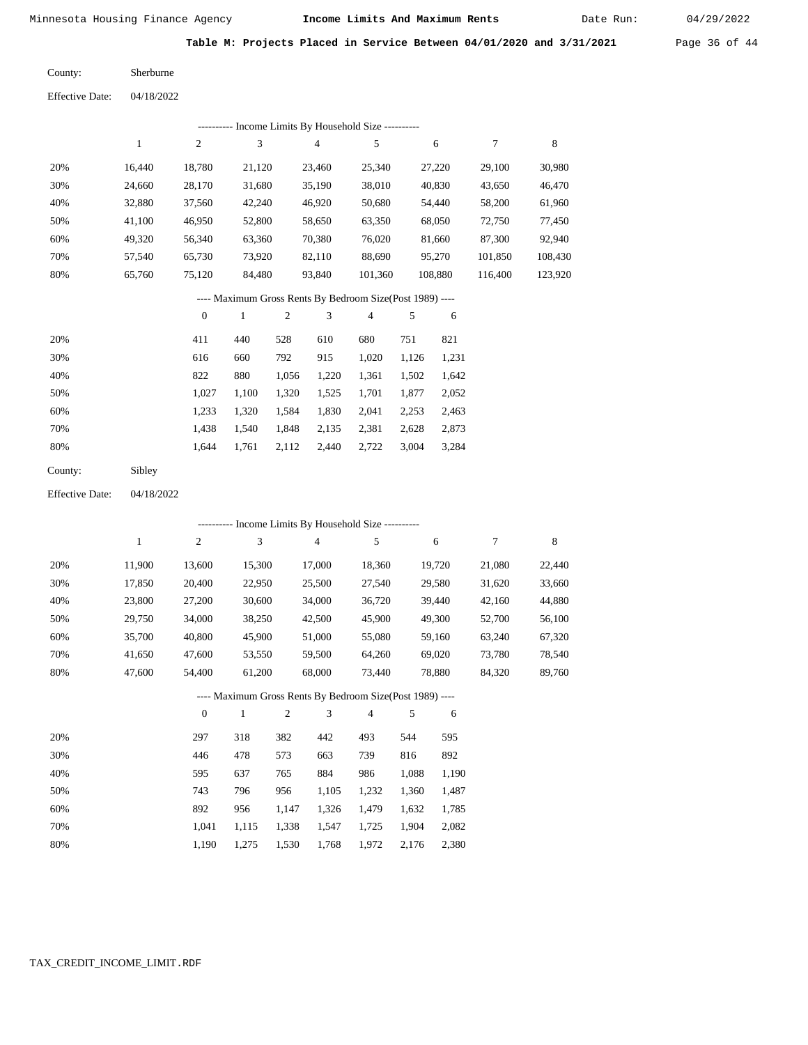Date Run:

**Table M: Projects Placed in Service Between 04/01/2020 and 3/31/2021** Page 36 of 44

| County:                | Sherburne  |
|------------------------|------------|
| <b>Effective Date:</b> | 04/18/2022 |

| ---------- Income Limits By Household Size ---------- |        |        |        |                |         |         |         |         |  |  |
|-------------------------------------------------------|--------|--------|--------|----------------|---------|---------|---------|---------|--|--|
|                                                       |        | 2      | 3      | $\overline{4}$ | 5       | 6       |         | 8       |  |  |
| 20%                                                   | 16.440 | 18,780 | 21,120 | 23.460         | 25.340  | 27,220  | 29,100  | 30,980  |  |  |
| 30%                                                   | 24,660 | 28,170 | 31,680 | 35,190         | 38,010  | 40,830  | 43,650  | 46,470  |  |  |
| 40%                                                   | 32,880 | 37,560 | 42,240 | 46,920         | 50,680  | 54.440  | 58,200  | 61,960  |  |  |
| 50%                                                   | 41,100 | 46,950 | 52,800 | 58,650         | 63,350  | 68,050  | 72,750  | 77,450  |  |  |
| 60%                                                   | 49.320 | 56,340 | 63,360 | 70,380         | 76,020  | 81,660  | 87,300  | 92,940  |  |  |
| 70%                                                   | 57.540 | 65,730 | 73.920 | 82,110         | 88.690  | 95,270  | 101,850 | 108,430 |  |  |
| 80%                                                   | 65,760 | 75,120 | 84,480 | 93,840         | 101,360 | 108,880 | 116,400 | 123,920 |  |  |

### ---- Maximum Gross Rents By Bedroom Size(Post 1989) ----

|     | $\mathbf{0}$ |       | 2     | 3     | 4     | 5     | 6     |
|-----|--------------|-------|-------|-------|-------|-------|-------|
| 20% | 411          | 440   | 528   | 610   | 680   | 751   | 821   |
| 30% | 616          | 660   | 792   | 915   | 1,020 | 1,126 | 1,231 |
| 40% | 822          | 880   | 1,056 | 1,220 | 1,361 | 1,502 | 1,642 |
| 50% | 1.027        | 1.100 | 1,320 | 1,525 | 1,701 | 1,877 | 2,052 |
| 60% | 1,233        | 1,320 | 1,584 | 1,830 | 2,041 | 2,253 | 2,463 |
| 70% | 1,438        | 1,540 | 1,848 | 2,135 | 2,381 | 2,628 | 2,873 |
| 80% | 1.644        | 1,761 | 2,112 | 2,440 | 2,722 | 3,004 | 3,284 |
|     |              |       |       |       |       |       |       |

| County: | Sibley |
|---------|--------|
|---------|--------|

04/18/2022 Effective Date:

| --------- Income Limits By Household Size ----------     |        |                |              |                |                |                |       |        |        |        |
|----------------------------------------------------------|--------|----------------|--------------|----------------|----------------|----------------|-------|--------|--------|--------|
|                                                          | 1      | $\mathfrak{2}$ | 3            |                | $\overline{4}$ | 5              |       | 6      | 7      | 8      |
| 20%                                                      | 11,900 | 13,600         | 15,300       |                | 17,000         | 18,360         |       | 19,720 | 21,080 | 22,440 |
| 30%                                                      | 17,850 | 20,400         | 22,950       |                | 25,500         | 27,540         |       | 29,580 | 31,620 | 33,660 |
| 40%                                                      | 23,800 | 27,200         | 30,600       |                | 34,000         | 36,720         |       | 39,440 | 42,160 | 44,880 |
| 50%                                                      | 29,750 | 34,000         | 38,250       |                | 42,500         | 45,900         |       | 49,300 | 52,700 | 56,100 |
| 60%                                                      | 35,700 | 40,800         | 45,900       |                | 51,000         | 55,080         |       | 59,160 | 63,240 | 67,320 |
| 70%                                                      | 41,650 | 47,600         | 53,550       |                | 59,500         | 64,260         |       | 69,020 | 73,780 | 78,540 |
| 80%                                                      | 47,600 | 54,400         | 61,200       |                | 68,000         | 73,440         |       | 78,880 | 84,320 | 89,760 |
| ---- Maximum Gross Rents By Bedroom Size(Post 1989) ---- |        |                |              |                |                |                |       |        |        |        |
|                                                          |        | $\overline{0}$ | $\mathbf{1}$ | $\overline{2}$ | 3              | $\overline{4}$ | 5     | 6      |        |        |
| 20%                                                      |        | 297            | 318          | 382            | 442            | 493            | 544   | 595    |        |        |
| 30%                                                      |        | 446            | 478          | 573            | 663            | 739            | 816   | 892    |        |        |
| 40%                                                      |        | 595            | 637          | 765            | 884            | 986            | 1,088 | 1,190  |        |        |
| 50%                                                      |        | 743            | 796          | 956            | 1,105          | 1,232          | 1,360 | 1,487  |        |        |
| 60%                                                      |        | 892            | 956          | 1,147          | 1,326          | 1,479          | 1,632 | 1,785  |        |        |
| 70%                                                      |        | 1,041          | 1,115        | 1,338          | 1,547          | 1,725          | 1,904 | 2,082  |        |        |

1,190 1,275 1,530 1,768 1,972 2,176 2,380

## TAX\_CREDIT\_INCOME\_LIMIT.RDF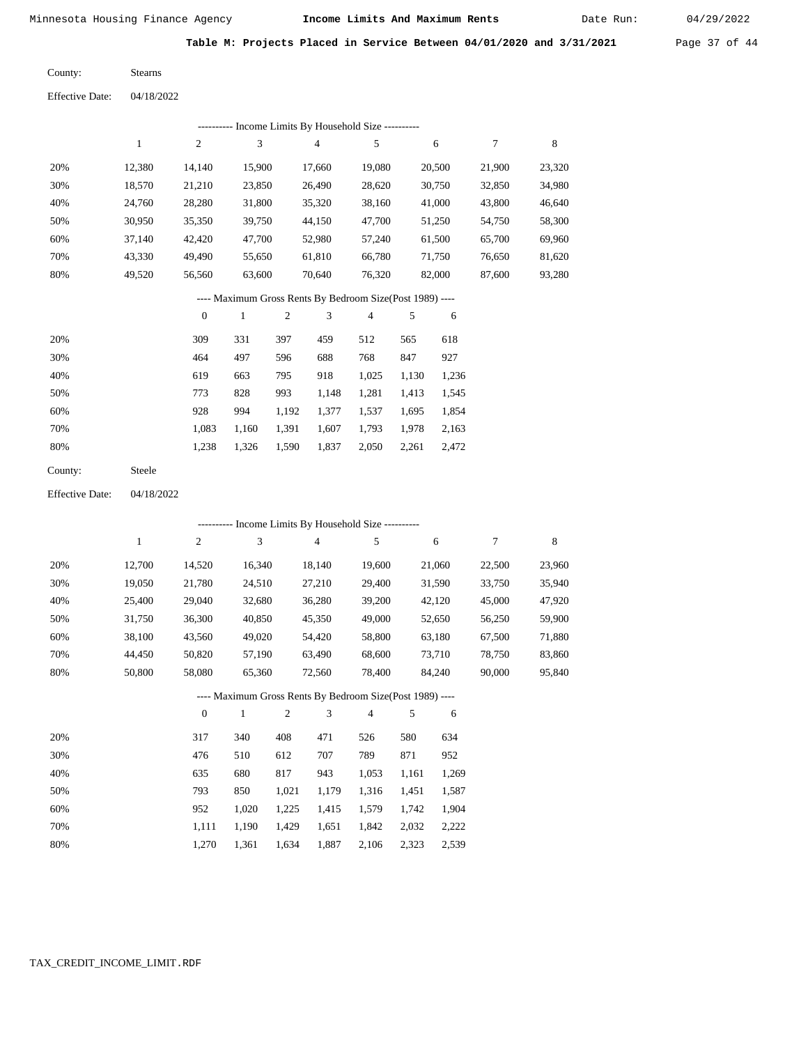Date Run:

**Table M: Projects Placed in Service Between 04/01/2020 and 3/31/2021** Page 37 of 44

Stearns County:

| ---------- Income Limits By Household Size ---------- |        |                |        |        |        |        |        |        |  |  |  |
|-------------------------------------------------------|--------|----------------|--------|--------|--------|--------|--------|--------|--|--|--|
|                                                       |        | $\overline{c}$ | 3      | 4      | 5      | 6      |        | 8      |  |  |  |
| 20%                                                   | 12.380 | 14.140         | 15.900 | 17.660 | 19.080 | 20,500 | 21,900 | 23,320 |  |  |  |
| 30%                                                   | 18,570 | 21,210         | 23,850 | 26,490 | 28,620 | 30,750 | 32,850 | 34,980 |  |  |  |
| 40%                                                   | 24,760 | 28,280         | 31,800 | 35,320 | 38,160 | 41,000 | 43,800 | 46,640 |  |  |  |
| 50%                                                   | 30,950 | 35,350         | 39,750 | 44,150 | 47,700 | 51,250 | 54,750 | 58,300 |  |  |  |
| 60%                                                   | 37.140 | 42,420         | 47,700 | 52,980 | 57,240 | 61,500 | 65,700 | 69,960 |  |  |  |
| 70%                                                   | 43,330 | 49,490         | 55,650 | 61,810 | 66,780 | 71,750 | 76,650 | 81,620 |  |  |  |
| 80%                                                   | 49,520 | 56,560         | 63,600 | 70,640 | 76,320 | 82,000 | 87,600 | 93,280 |  |  |  |

### ---- Maximum Gross Rents By Bedroom Size(Post 1989) ----

|     | $\mathbf{0}$ |       | 2     | 3     | 4     |       | 6     |
|-----|--------------|-------|-------|-------|-------|-------|-------|
| 20% | 309          | 331   | 397   | 459   | 512   | 565   | 618   |
| 30% | 464          | 497   | 596   | 688   | 768   | 847   | 927   |
| 40% | 619          | 663   | 795   | 918   | 1,025 | 1,130 | 1,236 |
| 50% | 773          | 828   | 993   | 1,148 | 1,281 | 1,413 | 1,545 |
| 60% | 928          | 994   | 1,192 | 1,377 | 1,537 | 1,695 | 1,854 |
| 70% | 1,083        | 1,160 | 1,391 | 1,607 | 1,793 | 1,978 | 2,163 |
| 80% | 1,238        | 1,326 | 1,590 | 1,837 | 2,050 | 2,261 | 2,472 |
|     |              |       |       |       |       |       |       |

Steele County:

04/18/2022 Effective Date:

|                                                          | - Income Limits By Household Size ---------- |                |              |                |                |                |       |        |        |        |  |  |
|----------------------------------------------------------|----------------------------------------------|----------------|--------------|----------------|----------------|----------------|-------|--------|--------|--------|--|--|
|                                                          | 1                                            | $\overline{c}$ | 3            |                | $\overline{4}$ | 5              |       | 6      | 7      | 8      |  |  |
| 20%                                                      | 12,700                                       | 14,520         | 16,340       |                | 18,140         | 19,600         |       | 21,060 | 22,500 | 23,960 |  |  |
| 30%                                                      | 19,050                                       | 21,780         | 24,510       |                | 27,210         | 29,400         |       | 31,590 | 33,750 | 35,940 |  |  |
| 40%                                                      | 25,400                                       | 29,040         | 32,680       |                | 36,280         | 39,200         |       | 42,120 | 45,000 | 47,920 |  |  |
| 50%                                                      | 31,750                                       | 36,300         | 40,850       |                | 45,350         | 49,000         |       | 52,650 | 56,250 | 59,900 |  |  |
| 60%                                                      | 38,100                                       | 43,560         | 49,020       |                | 54,420         | 58,800         |       | 63,180 | 67,500 | 71,880 |  |  |
| 70%                                                      | 44,450                                       | 50,820         | 57,190       |                | 63,490         | 68,600         |       | 73,710 | 78,750 | 83,860 |  |  |
| 80%                                                      | 50,800                                       | 58,080         | 65,360       |                | 72,560         | 78,400         |       | 84,240 | 90,000 | 95,840 |  |  |
| ---- Maximum Gross Rents By Bedroom Size(Post 1989) ---- |                                              |                |              |                |                |                |       |        |        |        |  |  |
|                                                          |                                              | $\theta$       | $\mathbf{1}$ | $\mathfrak{2}$ | 3              | $\overline{4}$ | 5     | 6      |        |        |  |  |
| 20%                                                      |                                              | 317            | 340          | 408            | 471            | 526            | 580   | 634    |        |        |  |  |
| 30%                                                      |                                              | 476            | 510          | 612            | 707            | 789            | 871   | 952    |        |        |  |  |
| 40%                                                      |                                              | 635            | 680          | 817            | 943            | 1,053          | 1,161 | 1,269  |        |        |  |  |
| 50%                                                      |                                              | 793            | 850          | 1,021          | 1,179          | 1,316          | 1,451 | 1,587  |        |        |  |  |
| 60%                                                      |                                              | 952            | 1,020        | 1,225          | 1,415          | 1,579          | 1,742 | 1,904  |        |        |  |  |
| 70%                                                      |                                              | 1,111          | 1,190        | 1,429          | 1,651          | 1,842          | 2,032 | 2,222  |        |        |  |  |

1,270

1,361

1,634

1,887

2,106 2,323 2,539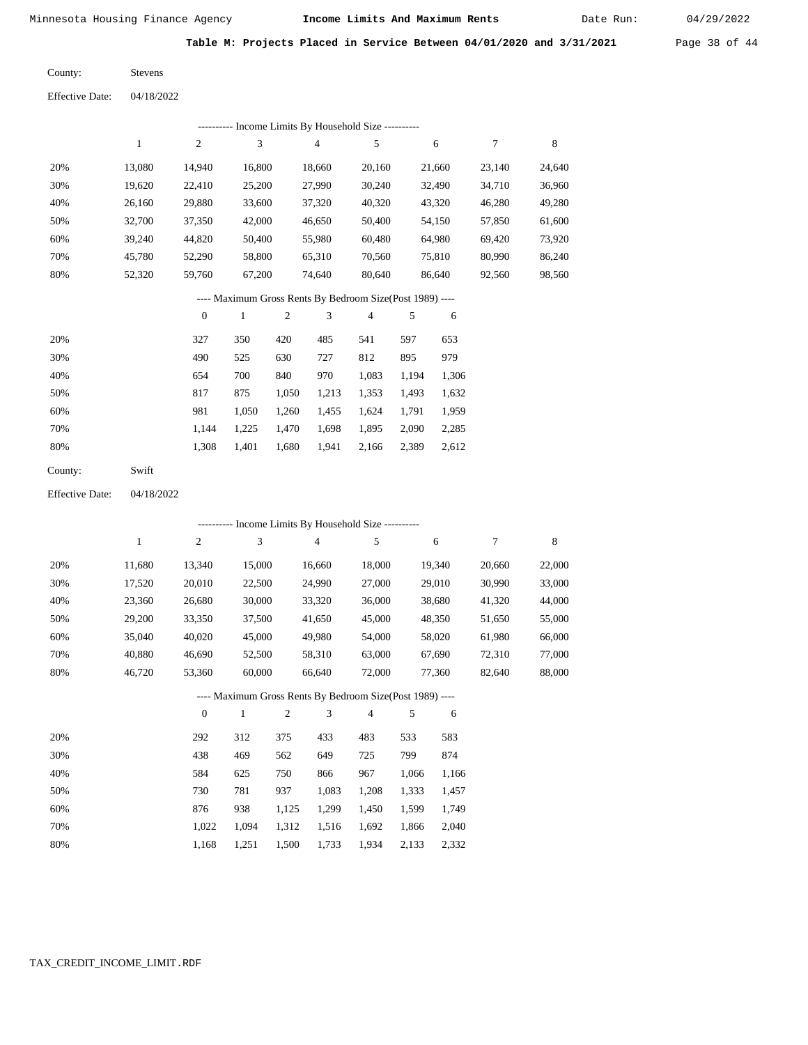52,320

59,760

Minnesota Housing Finance Agency **Income Limits And Maximum Rents** 04/29/2022

Date Run:

**Table M: Projects Placed in Service Between 04/01/2020 and 3/31/2021** Page 38 of 44

| County:                | <b>Stevens</b> |
|------------------------|----------------|
| <b>Effective Date:</b> | 04/18/2022     |

|     | - Income Limits By Household Size ---------- |                |        |        |        |        |        |  |  |  |  |  |  |
|-----|----------------------------------------------|----------------|--------|--------|--------|--------|--------|--|--|--|--|--|--|
|     |                                              | $\overline{2}$ | 3      | 4      | 5      | 6      | 7      |  |  |  |  |  |  |
| 20% | 13,080                                       | 14.940         | 16,800 | 18,660 | 20,160 | 21,660 | 23,140 |  |  |  |  |  |  |
| 30% | 19,620                                       | 22.410         | 25,200 | 27,990 | 30,240 | 32,490 | 34,710 |  |  |  |  |  |  |
| 40% | 26,160                                       | 29,880         | 33,600 | 37,320 | 40,320 | 43,320 | 46,280 |  |  |  |  |  |  |
| 50% | 32,700                                       | 37,350         | 42,000 | 46,650 | 50,400 | 54,150 | 57,850 |  |  |  |  |  |  |
| 60% | 39,240                                       | 44,820         | 50,400 | 55,980 | 60,480 | 64,980 | 69,420 |  |  |  |  |  |  |
| 70% | 45,780                                       | 52,290         | 58,800 | 65,310 | 70,560 | 75,810 | 80,990 |  |  |  |  |  |  |

#### ---- Maximum Gross Rents By Bedroom Size(Post 1989) ----

80,640

86,640

92,560

 24,640 36,960 49,280 61,600 73,920 86,240 98,560

8

74,640

|     | $\mathbf{0}$ |       | $\overline{c}$ | 3     | $\overline{4}$ | 5     | 6     |
|-----|--------------|-------|----------------|-------|----------------|-------|-------|
| 20% | 327          | 350   | 420            | 485   | 541            | 597   | 653   |
| 30% | 490          | 525   | 630            | 727   | 812            | 895   | 979   |
| 40% | 654          | 700   | 840            | 970   | 1,083          | 1,194 | 1,306 |
| 50% | 817          | 875   | 1,050          | 1,213 | 1,353          | 1,493 | 1,632 |
| 60% | 981          | 1,050 | 1,260          | 1,455 | 1,624          | 1,791 | 1,959 |
| 70% | 1.144        | 1,225 | 1,470          | 1,698 | 1,895          | 2,090 | 2,285 |
| 80% | 1,308        | 1,401 | 1,680          | 1,941 | 2,166          | 2,389 | 2,612 |
|     |              |       |                |       |                |       |       |

67,200

| County: | Swift |
|---------|-------|
|---------|-------|

80%

04/18/2022 Effective Date:

|                                                          | ---------- Income Limits By Household Size ---------- |                |              |                |                |                |       |        |        |             |  |  |
|----------------------------------------------------------|-------------------------------------------------------|----------------|--------------|----------------|----------------|----------------|-------|--------|--------|-------------|--|--|
|                                                          | 1                                                     | $\overline{c}$ | 3            |                | $\overline{4}$ | 5              |       | 6      | 7      | $\,$ 8 $\,$ |  |  |
| 20%                                                      | 11,680                                                | 13,340         | 15,000       |                | 16,660         | 18,000         |       | 19,340 | 20,660 | 22,000      |  |  |
| 30%                                                      | 17,520                                                | 20,010         | 22,500       |                | 24,990         | 27,000         |       | 29,010 | 30,990 | 33,000      |  |  |
| 40%                                                      | 23,360                                                | 26,680         | 30,000       |                | 33,320         | 36,000         |       | 38,680 | 41,320 | 44,000      |  |  |
| 50%                                                      | 29,200                                                | 33,350         | 37,500       |                | 41,650         | 45,000         |       | 48,350 | 51,650 | 55,000      |  |  |
| 60%                                                      | 35,040                                                | 40,020         | 45,000       |                | 49,980         | 54,000         |       | 58,020 | 61,980 | 66,000      |  |  |
| 70%                                                      | 40,880                                                | 46,690         | 52,500       |                | 58,310         | 63,000         |       | 67,690 | 72,310 | 77,000      |  |  |
| 80%                                                      | 46,720                                                | 53,360         | 60,000       |                | 66,640         | 72,000         |       | 77,360 | 82,640 | 88,000      |  |  |
| ---- Maximum Gross Rents By Bedroom Size(Post 1989) ---- |                                                       |                |              |                |                |                |       |        |        |             |  |  |
|                                                          |                                                       | $\overline{0}$ | $\mathbf{1}$ | $\overline{2}$ | 3              | $\overline{4}$ | 5     | 6      |        |             |  |  |
| 20%                                                      |                                                       | 292            | 312          | 375            | 433            | 483            | 533   | 583    |        |             |  |  |
| 30%                                                      |                                                       | 438            | 469          | 562            | 649            | 725            | 799   | 874    |        |             |  |  |
| 40%                                                      |                                                       | 584            | 625          | 750            | 866            | 967            | 1,066 | 1,166  |        |             |  |  |
| 50%                                                      |                                                       | 730            | 781          | 937            | 1,083          | 1,208          | 1,333 | 1,457  |        |             |  |  |
| 60%                                                      |                                                       | 876            | 938          | 1,125          | 1,299          | 1,450          | 1,599 | 1,749  |        |             |  |  |
| 70%                                                      |                                                       | 1,022          | 1,094        | 1,312          | 1,516          | 1,692          | 1,866 | 2,040  |        |             |  |  |

1,168

1,251

1,500

1,733

1,934

2,133

2,332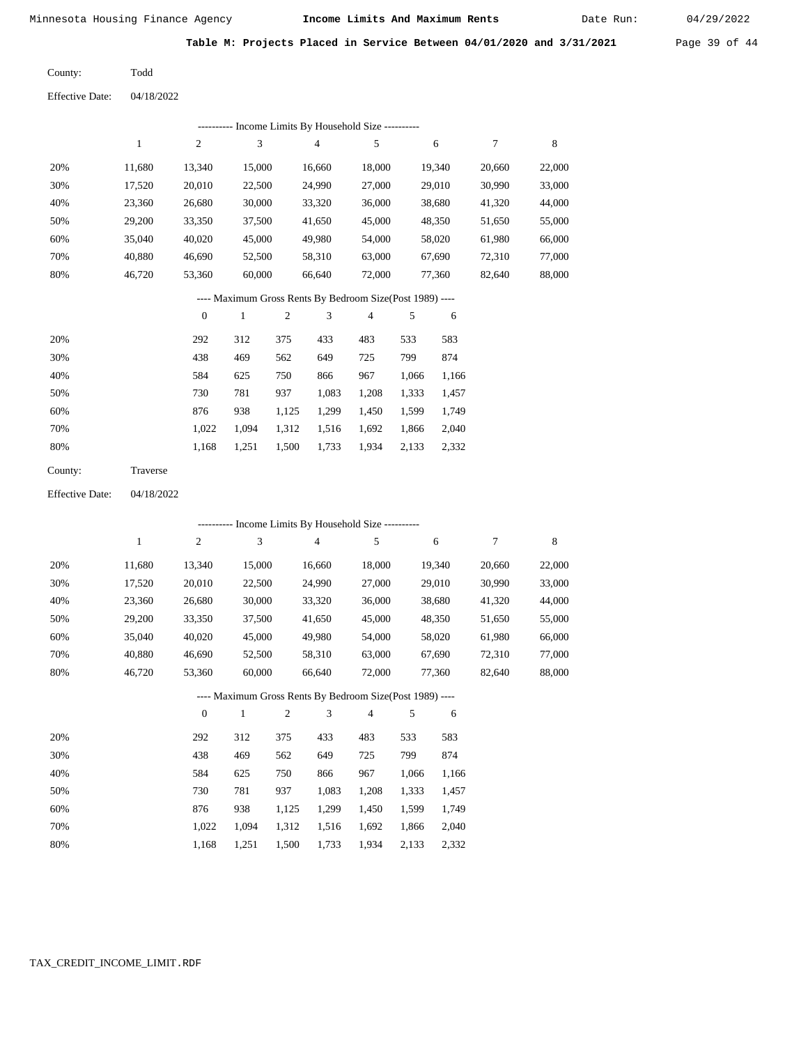Date Run:

**Table M: Projects Placed in Service Between 04/01/2020 and 3/31/2021** Page 39 of 44

Todd County:

04/18/2022 Effective Date:

|     | ---------- Income Limits By Household Size ---------- |        |        |        |        |        |        |        |  |  |  |  |
|-----|-------------------------------------------------------|--------|--------|--------|--------|--------|--------|--------|--|--|--|--|
|     | 1                                                     | 2      | 3      | 4      | 5      | 6      | 7      | 8      |  |  |  |  |
| 20% | 11,680                                                | 13,340 | 15,000 | 16.660 | 18,000 | 19,340 | 20,660 | 22,000 |  |  |  |  |
| 30% | 17,520                                                | 20,010 | 22,500 | 24,990 | 27,000 | 29,010 | 30,990 | 33,000 |  |  |  |  |
| 40% | 23,360                                                | 26,680 | 30,000 | 33,320 | 36,000 | 38,680 | 41,320 | 44,000 |  |  |  |  |
| 50% | 29,200                                                | 33,350 | 37,500 | 41,650 | 45,000 | 48,350 | 51,650 | 55,000 |  |  |  |  |
| 60% | 35,040                                                | 40,020 | 45,000 | 49,980 | 54,000 | 58,020 | 61,980 | 66,000 |  |  |  |  |
| 70% | 40,880                                                | 46,690 | 52,500 | 58,310 | 63,000 | 67,690 | 72,310 | 77,000 |  |  |  |  |
| 80% | 46,720                                                | 53,360 | 60,000 | 66,640 | 72,000 | 77,360 | 82,640 | 88,000 |  |  |  |  |
|     |                                                       |        |        |        |        |        |        |        |  |  |  |  |

---- Maximum Gross Rents By Bedroom Size(Post 1989) ----

|     | $\mathbf{0}$ |       |       | 3     | 4     | 5     | 6     |
|-----|--------------|-------|-------|-------|-------|-------|-------|
| 20% | 292          | 312   | 375   | 433   | 483   | 533   | 583   |
| 30% | 438          | 469   | 562   | 649   | 725   | 799   | 874   |
| 40% | 584          | 625   | 750   | 866   | 967   | 1,066 | 1,166 |
| 50% | 730          | 781   | 937   | 1,083 | 1,208 | 1,333 | 1,457 |
| 60% | 876          | 938   | 1,125 | 1,299 | 1,450 | 1,599 | 1,749 |
| 70% | 1,022        | 1.094 | 1,312 | 1,516 | 1,692 | 1,866 | 2,040 |
| 80% | 1,168        | 1,251 | 1,500 | 1,733 | 1,934 | 2,133 | 2,332 |
|     |              |       |       |       |       |       |       |

| County: | Traverse |
|---------|----------|
|---------|----------|

04/18/2022 Effective Date:

|     |              |                  |        |                |                | ---------- Income Limits By Household Size ----------    |       |        |        |             |
|-----|--------------|------------------|--------|----------------|----------------|----------------------------------------------------------|-------|--------|--------|-------------|
|     | $\mathbf{1}$ | $\boldsymbol{2}$ | 3      |                | $\overline{4}$ | 5                                                        |       | 6      | 7      | $\,$ 8 $\,$ |
| 20% | 11,680       | 13,340           | 15,000 |                | 16,660         | 18,000                                                   |       | 19,340 | 20,660 | 22,000      |
| 30% | 17,520       | 20,010           | 22,500 |                | 24,990         | 27,000                                                   |       | 29,010 | 30,990 | 33,000      |
| 40% | 23,360       | 26,680           | 30,000 |                | 33,320         | 36,000                                                   |       | 38,680 | 41,320 | 44,000      |
| 50% | 29,200       | 33,350           | 37,500 |                | 41,650         | 45,000                                                   |       | 48,350 | 51,650 | 55,000      |
| 60% | 35,040       | 40,020           | 45,000 |                | 49,980         | 54,000                                                   |       | 58,020 | 61,980 | 66,000      |
| 70% | 40,880       | 46,690           | 52,500 |                | 58,310         | 63,000                                                   |       | 67,690 | 72,310 | 77,000      |
| 80% | 46,720       | 53,360           | 60,000 |                | 66,640         | 72,000                                                   |       | 77,360 | 82,640 | 88,000      |
|     |              |                  |        |                |                | ---- Maximum Gross Rents By Bedroom Size(Post 1989) ---- |       |        |        |             |
|     |              | $\theta$         | 1      | $\overline{2}$ | 3              | $\overline{4}$                                           | 5     | 6      |        |             |
| 20% |              | 292              | 312    | 375            | 433            | 483                                                      | 533   | 583    |        |             |
| 30% |              | 438              | 469    | 562            | 649            | 725                                                      | 799   | 874    |        |             |
| 40% |              | 584              | 625    | 750            | 866            | 967                                                      | 1,066 | 1,166  |        |             |
| 50% |              | 730              | 781    | 937            | 1,083          | 1,208                                                    | 1,333 | 1,457  |        |             |
| 60% |              | 876              | 938    | 1,125          | 1,299          | 1,450                                                    | 1,599 | 1,749  |        |             |
| 70% |              | 1,022            | 1,094  | 1,312          | 1,516          | 1,692                                                    | 1,866 | 2,040  |        |             |

1,168 1,251 1,500 1,733 1,934 2,133 2,332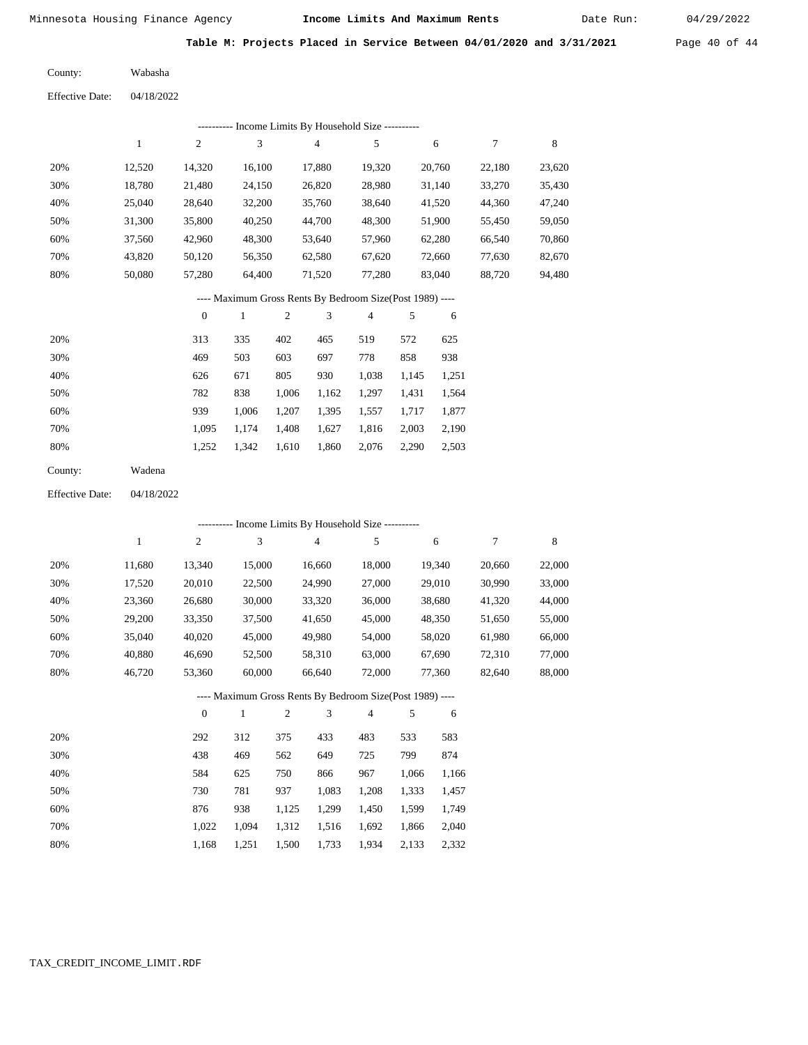Date Run:

**Table M: Projects Placed in Service Between 04/01/2020 and 3/31/2021** Page 40 of 44

| County:                | Wabasha    |
|------------------------|------------|
| <b>Effective Date:</b> | 04/18/2022 |

|                        |              |                  |              |            | --------- Income Limits By Household Size ----------     |                         |        |        |                  |             |
|------------------------|--------------|------------------|--------------|------------|----------------------------------------------------------|-------------------------|--------|--------|------------------|-------------|
|                        | $\mathbf{1}$ | 2                | 3            |            | $\overline{4}$                                           | 5                       |        | 6      | $\boldsymbol{7}$ | $\,$ 8 $\,$ |
| 20%                    | 12,520       | 14,320           | 16,100       |            | 17,880                                                   | 19,320                  |        | 20,760 | 22,180           | 23,620      |
| 30%                    | 18,780       | 21,480           | 24,150       |            | 26,820                                                   | 28,980                  |        | 31,140 | 33,270           | 35,430      |
| 40%                    | 25,040       | 28,640           | 32,200       |            | 35,760                                                   | 38,640                  |        | 41,520 | 44,360           | 47,240      |
| 50%                    | 31,300       | 35,800           | 40,250       |            | 44,700                                                   | 48,300                  |        | 51,900 | 55,450           | 59,050      |
| 60%                    | 37,560       | 42,960           | 48,300       |            | 53,640                                                   | 57,960                  |        | 62,280 | 66,540           | 70,860      |
| 70%                    | 43,820       | 50,120           | 56,350       |            | 62,580                                                   | 67,620                  |        | 72,660 | 77,630           | 82,670      |
| 80%                    | 50,080       | 57,280           | 64,400       | 71,520     |                                                          | 77,280                  | 83,040 |        | 88,720           | 94,480      |
|                        |              |                  |              |            | ---- Maximum Gross Rents By Bedroom Size(Post 1989) ---- |                         |        |        |                  |             |
|                        |              | $\boldsymbol{0}$ | $\mathbf{1}$ | $\sqrt{2}$ | 3                                                        | $\overline{\mathbf{4}}$ | 5      | 6      |                  |             |
| 20%                    |              | 313              | 335          | 402        | 465                                                      | 519                     | 572    | 625    |                  |             |
| 30%                    |              | 469              | 503          | 603        | 697                                                      | 778                     | 858    | 938    |                  |             |
| 40%                    |              | 626              | 671          | 805        | 930                                                      | 1,038                   | 1,145  | 1,251  |                  |             |
| 50%                    |              | 782              | 838          | 1,006      | 1,162                                                    | 1,297                   | 1,431  | 1,564  |                  |             |
| 60%                    |              | 939              | 1,006        | 1,207      | 1,395                                                    | 1,557                   | 1,717  | 1,877  |                  |             |
| 70%                    |              | 1,095            | 1,174        | 1,408      | 1,627                                                    | 1,816                   | 2,003  | 2,190  |                  |             |
| 80%                    |              | 1,252            | 1,342        | 1,610      | 1,860                                                    | 2,076                   | 2,290  | 2,503  |                  |             |
| County:                | Wadena       |                  |              |            |                                                          |                         |        |        |                  |             |
| <b>Effective Date:</b> | 04/18/2022   |                  |              |            |                                                          |                         |        |        |                  |             |
|                        |              |                  |              |            | --------- Income Limits By Household Size ----------     |                         |        |        |                  |             |
|                        | $\mathbf{1}$ | 2                | 3            |            | $\overline{4}$                                           | 5                       |        | 6      | 7                | $\,$ 8 $\,$ |
| 20%                    | 11,680       | 13,340           | 15,000       |            | 16,660                                                   | 18,000                  |        | 19,340 | 20,660           | 22,000      |
| 30%                    | 17,520       | 20,010           | 22,500       |            | 24,990                                                   | 27,000                  |        | 29,010 | 30,990           | 33,000      |
| 40%                    | 23,360       | 26,680           | 30,000       |            | 33,320                                                   | 36,000                  |        | 38,680 | 41,320           | 44,000      |
| 50%                    | 29,200       | 33,350           | 37,500       |            | 41,650                                                   | 45,000                  |        | 48,350 | 51,650           | 55,000      |
| 60%                    | 35,040       | 40,020           | 45,000       |            | 49,980                                                   | 54,000                  |        | 58,020 | 61,980           | 66,000      |
| 70%                    | 40,880       | 46,690           | 52,500       |            | 58,310                                                   | 63,000                  |        | 67,690 | 72,310           | 77,000      |
| 80%                    | 46,720       | 53,360           | 60,000       |            | 66,640                                                   | 72,000                  |        | 77,360 | 82,640           | 88,000      |
|                        |              |                  |              |            | ---- Maximum Gross Rents By Bedroom Size(Post 1989) ---- |                         |        |        |                  |             |
|                        |              | $\boldsymbol{0}$ | $\mathbf{1}$ | 2          | 3                                                        | 4                       | 5      | 6      |                  |             |
| 20%                    |              | 292              | 312          | 375        | 433                                                      | 483                     | 533    | 583    |                  |             |
| 30%                    |              | 438              | 469          | 562        | 649                                                      | 725                     | 799    | 874    |                  |             |
| 40%                    |              | 584              | 625          | 750        | 866                                                      | 967                     | 1,066  | 1,166  |                  |             |
| 50%                    |              | 730              | 781          | 937        | 1,083                                                    | 1,208                   | 1,333  | 1,457  |                  |             |
| $60\%$                 |              | 876              | 938          | 1,125      | 1,299                                                    | 1,450                   | 1,599  | 1,749  |                  |             |
| 70%                    |              | 1,022            | 1,094        | 1,312      | 1,516                                                    | 1,692                   | 1,866  | 2,040  |                  |             |
| 80%                    |              | 1,168            | 1,251        | 1,500      | 1,733                                                    | 1,934                   | 2,133  | 2,332  |                  |             |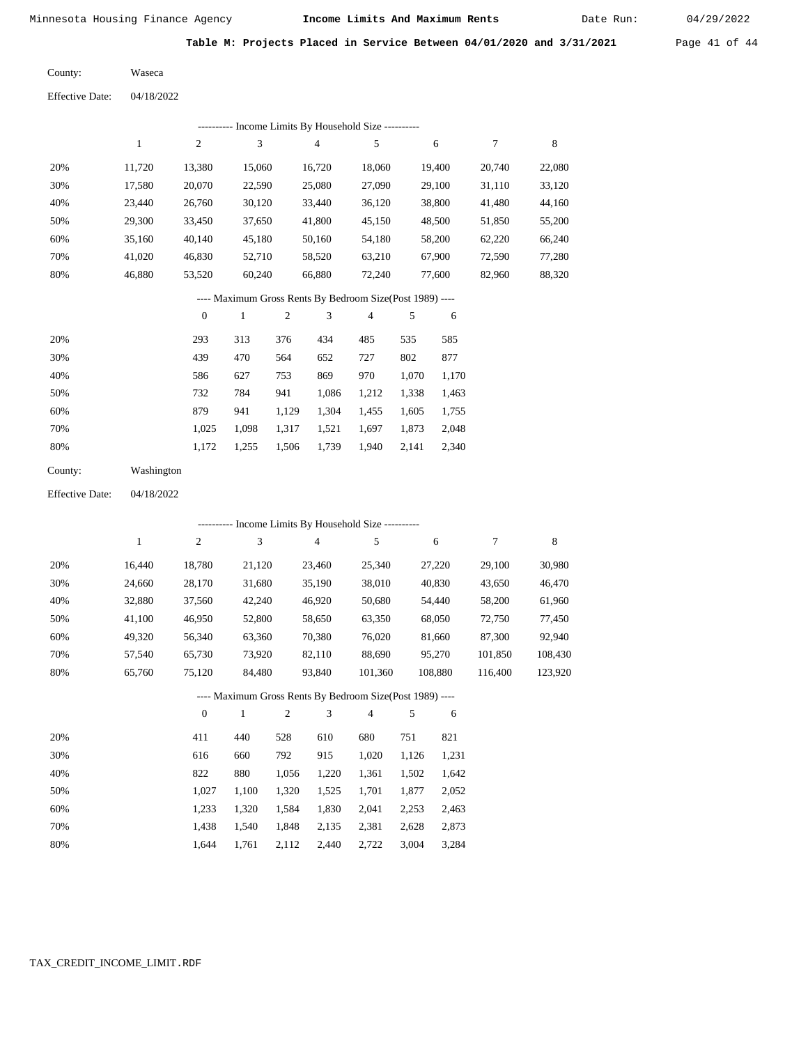Date Run:

**Table M: Projects Placed in Service Between 04/01/2020 and 3/31/2021** Page 41 of 44

Waseca County:  $E_{\text{reflection}}$  D

| <b>Effective Date:</b> | 04/18/2022 |
|------------------------|------------|
|                        |            |

|     | Income Limits By Household Size ---------- |        |        |        |        |        |        |        |  |  |  |  |  |
|-----|--------------------------------------------|--------|--------|--------|--------|--------|--------|--------|--|--|--|--|--|
|     |                                            | 2      | 3      | 4      | 5      | 6      |        | 8      |  |  |  |  |  |
| 20% | 11.720                                     | 13.380 | 15,060 | 16.720 | 18,060 | 19.400 | 20,740 | 22,080 |  |  |  |  |  |
| 30% | 17.580                                     | 20,070 | 22,590 | 25,080 | 27,090 | 29,100 | 31,110 | 33,120 |  |  |  |  |  |
| 40% | 23.440                                     | 26,760 | 30,120 | 33,440 | 36,120 | 38,800 | 41,480 | 44,160 |  |  |  |  |  |
| 50% | 29,300                                     | 33,450 | 37,650 | 41,800 | 45,150 | 48,500 | 51,850 | 55,200 |  |  |  |  |  |
| 60% | 35,160                                     | 40,140 | 45,180 | 50,160 | 54,180 | 58,200 | 62,220 | 66,240 |  |  |  |  |  |
| 70% | 41.020                                     | 46,830 | 52,710 | 58,520 | 63,210 | 67,900 | 72,590 | 77,280 |  |  |  |  |  |
| 80% | 46,880                                     | 53,520 | 60,240 | 66,880 | 72,240 | 77,600 | 82,960 | 88,320 |  |  |  |  |  |

### ---- Maximum Gross Rents By Bedroom Size(Post 1989) ----

|     | $\mathbf{0}$ |       | $\overline{2}$ | 3     | 4     | 5     | 6     |
|-----|--------------|-------|----------------|-------|-------|-------|-------|
| 20% | 293          | 313   | 376            | 434   | 485   | 535   | 585   |
| 30% | 439          | 470   | 564            | 652   | 727   | 802   | 877   |
| 40% | 586          | 627   | 753            | 869   | 970   | 1,070 | 1,170 |
| 50% | 732          | 784   | 941            | 1,086 | 1,212 | 1,338 | 1,463 |
| 60% | 879          | 941   | 1,129          | 1,304 | 1,455 | 1,605 | 1,755 |
| 70% | 1.025        | 1,098 | 1,317          | 1,521 | 1,697 | 1,873 | 2,048 |
| 80% | 1,172        | 1,255 | 1,506          | 1,739 | 1,940 | 2,141 | 2,340 |

| County: | Washington |
|---------|------------|
|---------|------------|

04/18/2022 Effective Date:

|     | ---------- Income Limits By Household Size ---------- |          |        |                                                          |                |         |         |         |  |  |  |  |
|-----|-------------------------------------------------------|----------|--------|----------------------------------------------------------|----------------|---------|---------|---------|--|--|--|--|
|     | 1                                                     | 2        | 3      | 4                                                        | 5              | 6       | 7       | 8       |  |  |  |  |
| 20% | 16.440                                                | 18,780   | 21,120 | 23,460                                                   | 25,340         | 27,220  | 29,100  | 30,980  |  |  |  |  |
| 30% | 24,660                                                | 28,170   | 31,680 | 35,190                                                   | 38,010         | 40,830  | 43,650  | 46,470  |  |  |  |  |
| 40% | 32,880                                                | 37,560   | 42,240 | 46,920                                                   | 50,680         | 54,440  | 58,200  | 61,960  |  |  |  |  |
| 50% | 41,100                                                | 46,950   | 52,800 | 58,650                                                   | 63,350         | 68,050  | 72,750  | 77,450  |  |  |  |  |
| 60% | 49,320                                                | 56,340   | 63,360 | 70,380                                                   | 76,020         | 81,660  | 87,300  | 92,940  |  |  |  |  |
| 70% | 57.540                                                | 65,730   | 73,920 | 82,110                                                   | 88,690         | 95,270  | 101,850 | 108,430 |  |  |  |  |
| 80% | 65,760                                                | 75,120   | 84,480 | 93.840                                                   | 101,360        | 108,880 | 116,400 | 123,920 |  |  |  |  |
|     |                                                       |          |        | ---- Maximum Gross Rents By Bedroom Size(Post 1989) ---- |                |         |         |         |  |  |  |  |
|     |                                                       | $\theta$ | 1      | 3<br>2                                                   | $\overline{4}$ | 5<br>6  |         |         |  |  |  |  |
|     |                                                       |          |        |                                                          |                |         |         |         |  |  |  |  |

| 20% | 411   | 440   | 528   | 610   | 680   | 751   | 821   |
|-----|-------|-------|-------|-------|-------|-------|-------|
| 30% | 616   | 660   | 792   | 915   | 1.020 | 1.126 | 1,231 |
| 40% | 822   | 880   | 1.056 | 1,220 | 1,361 | 1.502 | 1,642 |
| 50% | 1.027 | 1.100 | 1.320 | 1,525 | 1.701 | 1.877 | 2,052 |
| 60% | 1.233 | 1.320 | 1.584 | 1,830 | 2.041 | 2.253 | 2,463 |
| 70% | 1.438 | 1.540 | 1.848 | 2,135 | 2,381 | 2.628 | 2,873 |
| 80% | 1.644 | 1.761 | 2,112 | 2.440 | 2.722 | 3,004 | 3.284 |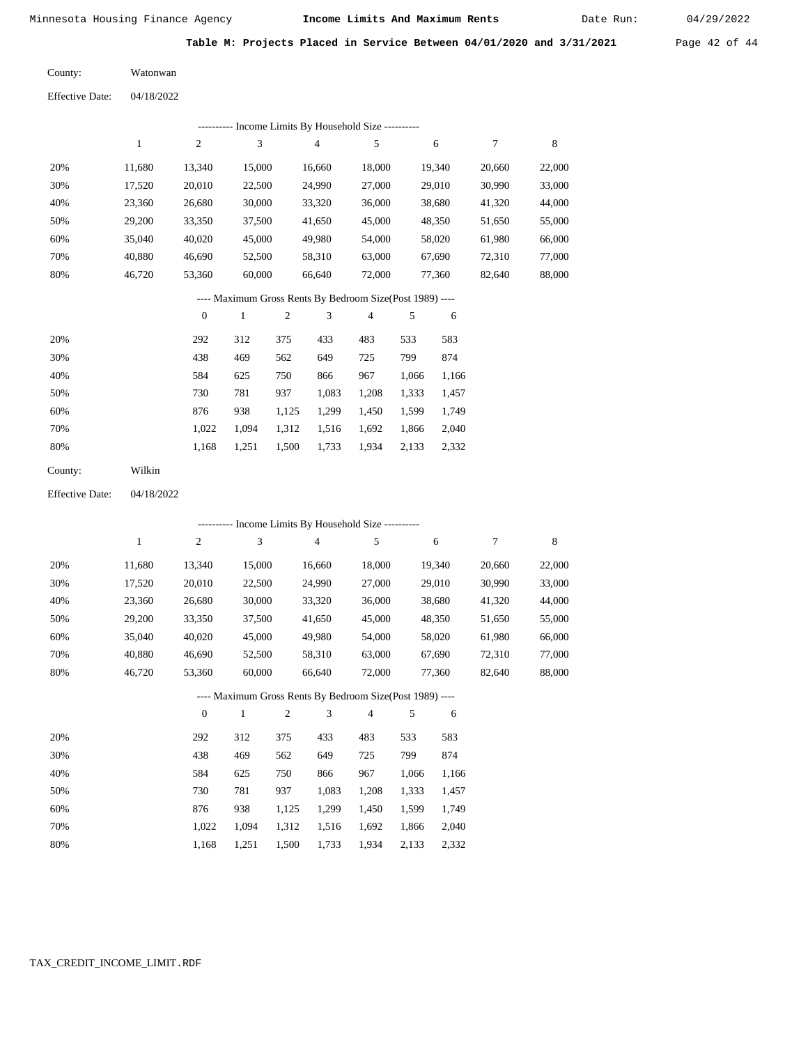Date Run:

**Table M: Projects Placed in Service Between 04/01/2020 and 3/31/2021** Page 42 of 44

Watonwan County:

04/18/2022 Effective Date:

|     | ---------- Income Limits By Household Size ---------- |        |                                                           |                |        |        |        |        |  |  |  |  |  |
|-----|-------------------------------------------------------|--------|-----------------------------------------------------------|----------------|--------|--------|--------|--------|--|--|--|--|--|
|     | 1                                                     | 2      | 3                                                         | $\overline{4}$ | 5      | 6      | 7      | 8      |  |  |  |  |  |
| 20% | 11.680                                                | 13.340 | 15,000                                                    | 16,660         | 18,000 | 19.340 | 20,660 | 22,000 |  |  |  |  |  |
| 30% | 17,520                                                | 20,010 | 22,500                                                    | 24,990         | 27,000 | 29,010 | 30,990 | 33,000 |  |  |  |  |  |
| 40% | 23,360                                                | 26,680 | 30,000                                                    | 33,320         | 36,000 | 38,680 | 41,320 | 44,000 |  |  |  |  |  |
| 50% | 29,200                                                | 33.350 | 37,500                                                    | 41,650         | 45,000 | 48,350 | 51,650 | 55,000 |  |  |  |  |  |
| 60% | 35,040                                                | 40,020 | 45,000                                                    | 49,980         | 54,000 | 58,020 | 61,980 | 66,000 |  |  |  |  |  |
| 70% | 40.880                                                | 46.690 | 52,500                                                    | 58,310         | 63,000 | 67.690 | 72,310 | 77,000 |  |  |  |  |  |
| 80% | 46,720                                                | 53,360 | 60,000                                                    | 66,640         | 72,000 | 77,360 | 82,640 | 88,000 |  |  |  |  |  |
|     |                                                       |        | ---- Maximum Gross Rents By Bedroom Size (Post 1989) ---- |                |        |        |        |        |  |  |  |  |  |

|     | $\mathbf{0}$ |       | $\overline{c}$ | 3     | 4     | 5     | 6     |
|-----|--------------|-------|----------------|-------|-------|-------|-------|
| 20% | 292          | 312   | 375            | 433   | 483   | 533   | 583   |
| 30% | 438          | 469   | 562            | 649   | 725   | 799   | 874   |
| 40% | 584          | 625   | 750            | 866   | 967   | 1,066 | 1,166 |
| 50% | 730          | 781   | 937            | 1,083 | 1,208 | 1,333 | 1,457 |
| 60% | 876          | 938   | 1,125          | 1.299 | 1,450 | 1,599 | 1,749 |
| 70% | 1.022        | 1.094 | 1,312          | 1,516 | 1,692 | 1,866 | 2,040 |
| 80% | 1,168        | 1,251 | 1,500          | 1,733 | 1,934 | 2,133 | 2,332 |
|     |              |       |                |       |       |       |       |

Wilkin County:

04/18/2022 Effective Date:

|     |              |                  |              |                |                | ---------- Income Limits By Household Size ----------    |       |        |        |        |
|-----|--------------|------------------|--------------|----------------|----------------|----------------------------------------------------------|-------|--------|--------|--------|
|     | $\mathbf{1}$ | $\boldsymbol{2}$ | 3            |                | $\overline{4}$ | 5                                                        |       | 6      | 7      | 8      |
| 20% | 11,680       | 13,340           | 15,000       |                | 16,660         | 18,000                                                   |       | 19,340 | 20,660 | 22,000 |
| 30% | 17,520       | 20,010           | 22,500       |                | 24,990         | 27,000                                                   |       | 29,010 | 30,990 | 33,000 |
| 40% | 23,360       | 26,680           | 30,000       |                | 33,320         | 36,000                                                   |       | 38,680 | 41,320 | 44,000 |
| 50% | 29,200       | 33,350           | 37,500       |                | 41,650         | 45,000                                                   |       | 48,350 | 51,650 | 55,000 |
| 60% | 35,040       | 40,020           | 45,000       |                | 49,980         | 54,000                                                   |       | 58,020 | 61,980 | 66,000 |
| 70% | 40,880       | 46,690           | 52,500       |                | 58,310         | 63,000                                                   |       | 67,690 | 72,310 | 77,000 |
| 80% | 46,720       | 53,360           | 60,000       |                | 66,640         | 72,000                                                   |       | 77,360 | 82,640 | 88,000 |
|     |              |                  |              |                |                | ---- Maximum Gross Rents By Bedroom Size(Post 1989) ---- |       |        |        |        |
|     |              | $\theta$         | $\mathbf{1}$ | $\overline{2}$ | 3              | 4                                                        | 5     | 6      |        |        |
| 20% |              | 292              | 312          | 375            | 433            | 483                                                      | 533   | 583    |        |        |
| 30% |              | 438              | 469          | 562            | 649            | 725                                                      | 799   | 874    |        |        |
| 40% |              | 584              | 625          | 750            | 866            | 967                                                      | 1,066 | 1,166  |        |        |
| 50% |              | 730              | 781          | 937            | 1,083          | 1,208                                                    | 1,333 | 1,457  |        |        |
| 60% |              | 876              | 938          | 1,125          | 1,299          | 1,450                                                    | 1,599 | 1,749  |        |        |
| 70% |              | 1,022            | 1,094        | 1,312          | 1,516          | 1,692                                                    | 1,866 | 2,040  |        |        |

1,168 1,251 1,500 1,733 1,934 2,133 2,332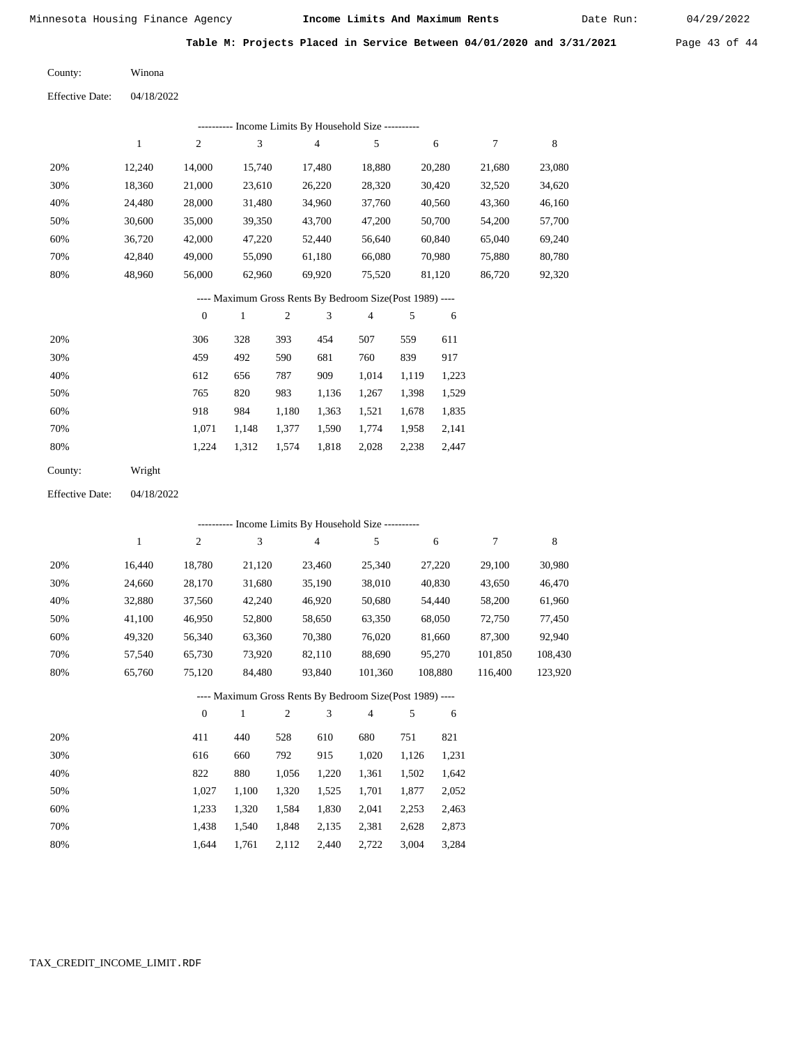Date Run:

**Table M: Projects Placed in Service Between 04/01/2020 and 3/31/2021** Page 43 of 44

Winona County:

04/18/2022 Effective Date:

|     | ---------- Income Limits By Household Size ---------- |        |        |        |                                |        |        |        |  |  |  |  |  |
|-----|-------------------------------------------------------|--------|--------|--------|--------------------------------|--------|--------|--------|--|--|--|--|--|
|     |                                                       | 2      | 3      | 4      | 5                              | 6      | 7      | 8      |  |  |  |  |  |
| 20% | 12.240                                                | 14,000 | 15.740 | 17,480 | 18,880                         | 20,280 | 21,680 | 23,080 |  |  |  |  |  |
| 30% | 18,360                                                | 21,000 | 23,610 | 26,220 | 28,320                         | 30,420 | 32,520 | 34,620 |  |  |  |  |  |
| 40% | 24.480                                                | 28,000 | 31,480 | 34,960 | 37,760                         | 40,560 | 43,360 | 46,160 |  |  |  |  |  |
| 50% | 30,600                                                | 35,000 | 39,350 | 43,700 | 47,200                         | 50,700 | 54,200 | 57,700 |  |  |  |  |  |
| 60% | 36,720                                                | 42,000 | 47,220 | 52,440 | 56,640                         | 60,840 | 65,040 | 69,240 |  |  |  |  |  |
| 70% | 42,840                                                | 49,000 | 55,090 | 61,180 | 66,080                         | 70,980 | 75,880 | 80,780 |  |  |  |  |  |
| 80% | 48,960                                                | 56,000 | 62,960 | 69,920 | 75,520                         | 81,120 | 86,720 | 92,320 |  |  |  |  |  |
|     |                                                       |        | $\sim$ | .      | $\alpha$ , $\alpha$ , $\alpha$ |        |        |        |  |  |  |  |  |

---- Maximum Gross Rents By Bedroom Size(Post 1989) ----

|     | $\theta$ |       | $\overline{c}$ | 3     | $\overline{4}$ |       | 6     |
|-----|----------|-------|----------------|-------|----------------|-------|-------|
| 20% | 306      | 328   | 393            | 454   | 507            | 559   | 611   |
| 30% | 459      | 492   | 590            | 681   | 760            | 839   | 917   |
| 40% | 612      | 656   | 787            | 909   | 1,014          | 1.119 | 1,223 |
| 50% | 765      | 820   | 983            | 1,136 | 1,267          | 1,398 | 1,529 |
| 60% | 918      | 984   | 1,180          | 1,363 | 1,521          | 1,678 | 1,835 |
| 70% | 1.071    | 1.148 | 1,377          | 1,590 | 1,774          | 1,958 | 2,141 |
| 80% | 1,224    | 1,312 | 1,574          | 1,818 | 2,028          | 2,238 | 2,447 |
|     |          |       |                |       |                |       |       |

Wright County:

04/18/2022 Effective Date:

|     |              |              | ---------- Income Limits By Household Size ----------    |                |                |                |       |         |         |         |
|-----|--------------|--------------|----------------------------------------------------------|----------------|----------------|----------------|-------|---------|---------|---------|
|     | $\mathbf{1}$ | 2            | 3                                                        |                | $\overline{4}$ | 5              |       | 6       | 7       | 8       |
| 20% | 16,440       | 18,780       | 21,120                                                   |                | 23,460         | 25,340         |       | 27,220  | 29,100  | 30,980  |
| 30% | 24,660       | 28,170       | 31,680                                                   |                | 35,190         | 38,010         |       | 40,830  | 43,650  | 46,470  |
| 40% | 32,880       | 37,560       | 42,240                                                   |                | 46,920         | 50,680         |       | 54,440  | 58,200  | 61,960  |
| 50% | 41,100       | 46,950       | 52,800                                                   |                | 58,650         | 63,350         |       | 68,050  | 72,750  | 77,450  |
| 60% | 49,320       | 56,340       | 63,360                                                   |                | 70,380         | 76,020         |       | 81,660  | 87,300  | 92,940  |
| 70% | 57,540       | 65,730       | 73,920                                                   |                | 82,110         | 88,690         |       | 95,270  | 101,850 | 108,430 |
| 80% | 65,760       | 75,120       | 84,480                                                   |                | 93,840         | 101,360        |       | 108,880 | 116,400 | 123,920 |
|     |              |              | ---- Maximum Gross Rents By Bedroom Size(Post 1989) ---- |                |                |                |       |         |         |         |
|     |              | $\mathbf{0}$ | 1                                                        | $\overline{2}$ | 3              | $\overline{4}$ | 5     | 6       |         |         |
| 20% |              | 411          | 440                                                      | 528            | 610            | 680            | 751   | 821     |         |         |
| 30% |              | 616          | 660                                                      | 792            | 915            | 1,020          | 1,126 | 1,231   |         |         |
| 40% |              | 822          | 880                                                      | 1,056          | 1,220          | 1,361          | 1,502 | 1,642   |         |         |

| 40% | 822   | 880         | 1,056 1,220 1,361 1,502 1,642       |             |  |
|-----|-------|-------------|-------------------------------------|-------------|--|
| 50% | 1.027 |             | 1,100 1,320 1,525 1,701 1,877 2,052 |             |  |
| 60% | 1.233 |             | 1,320 1,584 1,830 2,041 2,253 2,463 |             |  |
| 70% | 1.438 |             | 1,540 1,848 2,135 2,381 2,628 2,873 |             |  |
| 80% | 1.644 | 1,761 2,112 | 2,440 2,722                         | 3,004 3,284 |  |